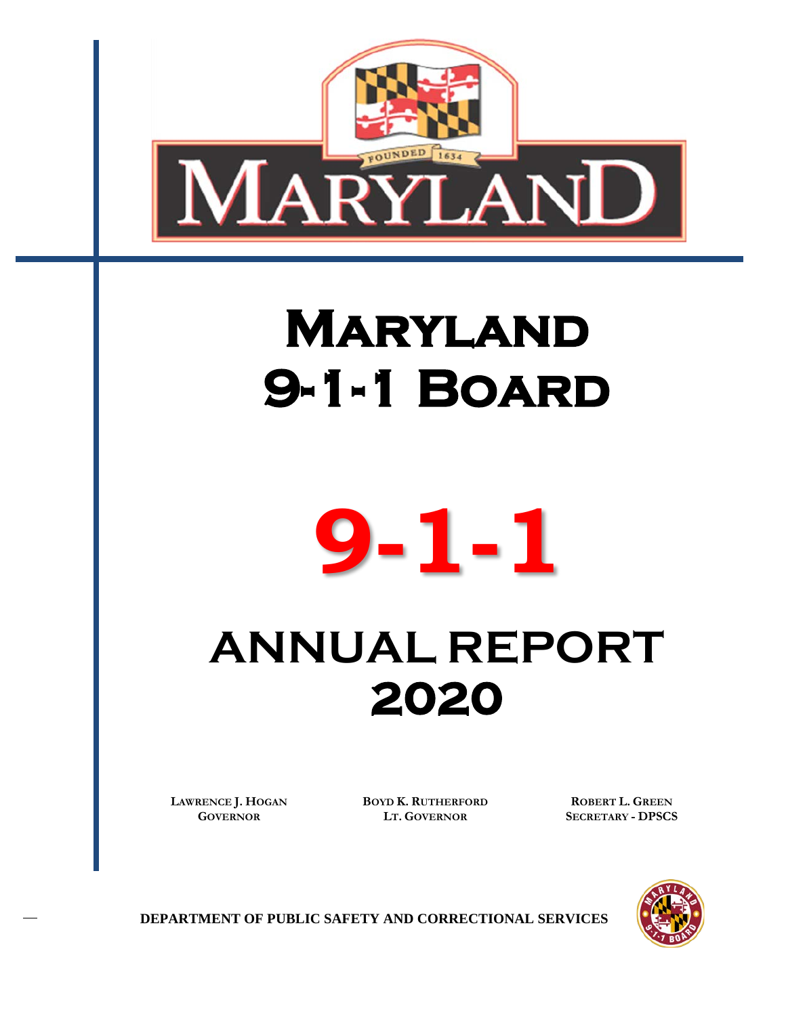

# **MARYLAND 9-1-1 Board**



# **ANNUAL REPORT 2020**

**LAWRENCE J. HOGAN GOVERNOR**

**BOYD K. RUTHERFORD LT. GOVERNOR**

**ROBERT L. GREEN SECRETARY - DPSCS**



**DEPARTMENT OF PUBLIC SAFETY AND CORRECTIONAL SERVICES**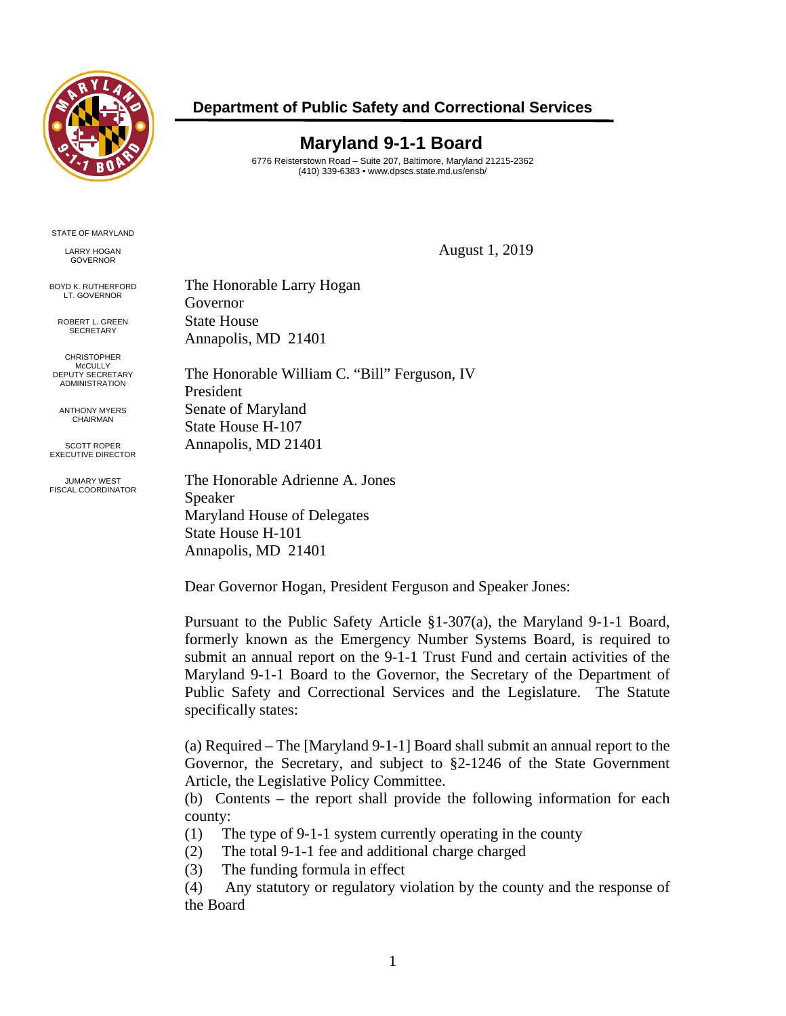

### **Department of Public Safety and Correctional Services**

## **Maryland 9-1-1 Board**

6776 Reisterstown Road – Suite 207, Baltimore, Maryland 21215-2362 (410) 339-6383 • www.dpscs.state.md.us/ensb/

STATE OF MARYLAND

LARRY HOGAN **GOVERNOR** 

BOYD K. RUTHERFORD LT. GOVERNOR

> ROBERT L. GREEN **SECRETARY**

CHRISTOPHER McCULLY DEPUTY SECRETARY ADMINISTRATION

ANTHONY MYERS CHAIRMAN

SCOTT ROPER EXECUTIVE DIRECTOR

JUMARY WEST FISCAL COORDINATOR August 1, 2019

The Honorable Larry Hogan Governor State House Annapolis, MD 21401

The Honorable William C. "Bill" Ferguson, IV President Senate of Maryland State House H-107 Annapolis, MD 21401

The Honorable Adrienne A. Jones Speaker Maryland House of Delegates State House H-101 Annapolis, MD 21401

Dear Governor Hogan, President Ferguson and Speaker Jones:

Pursuant to the Public Safety Article §1-307(a), the Maryland 9-1-1 Board, formerly known as the Emergency Number Systems Board, is required to submit an annual report on the 9-1-1 Trust Fund and certain activities of the Maryland 9-1-1 Board to the Governor, the Secretary of the Department of Public Safety and Correctional Services and the Legislature. The Statute specifically states:

(a) Required – The [Maryland 9-1-1] Board shall submit an annual report to the Governor, the Secretary, and subject to §2-1246 of the State Government Article, the Legislative Policy Committee.

(b) Contents – the report shall provide the following information for each county:

(1) The type of 9-1-1 system currently operating in the county

(2) The total 9-1-1 fee and additional charge charged

(3) The funding formula in effect

(4) Any statutory or regulatory violation by the county and the response of the Board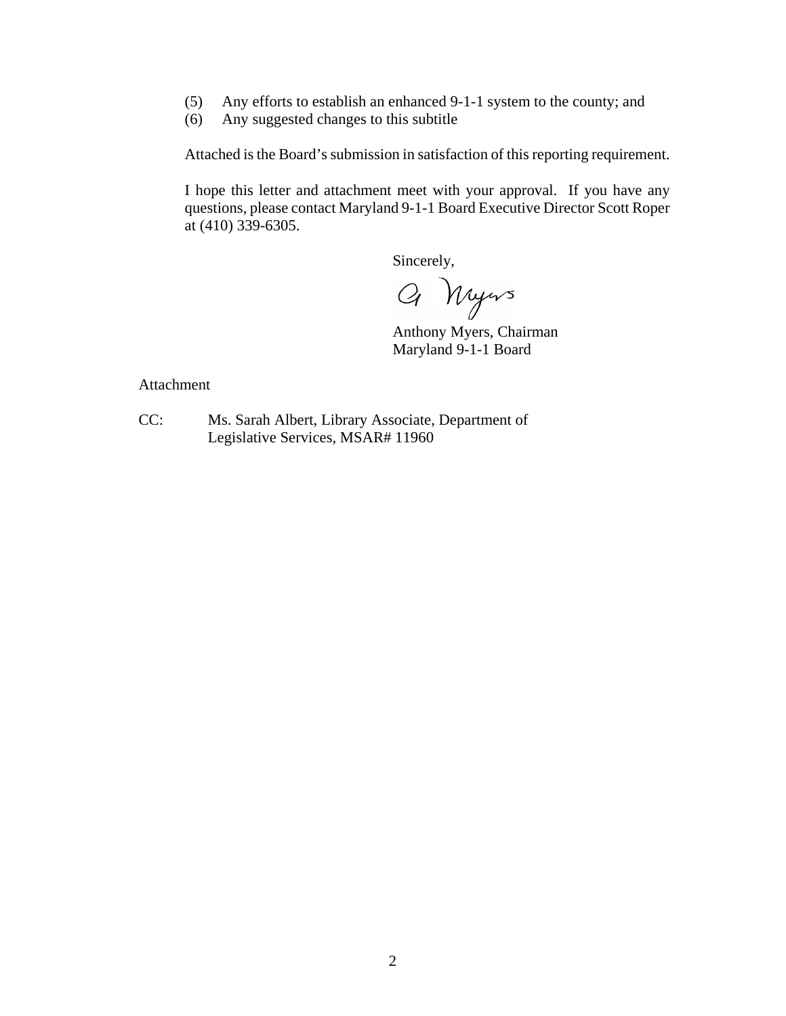- (5) Any efforts to establish an enhanced 9-1-1 system to the county; and
- (6) Any suggested changes to this subtitle

Attached is the Board's submission in satisfaction of this reporting requirement.

I hope this letter and attachment meet with your approval. If you have any questions, please contact Maryland 9-1-1 Board Executive Director Scott Roper at (410) 339-6305.

Sincerely,<br>Q Myers

Anthony Myers, Chairman Maryland 9-1-1 Board

Attachment

CC: Ms. Sarah Albert, Library Associate, Department of Legislative Services, MSAR# 11960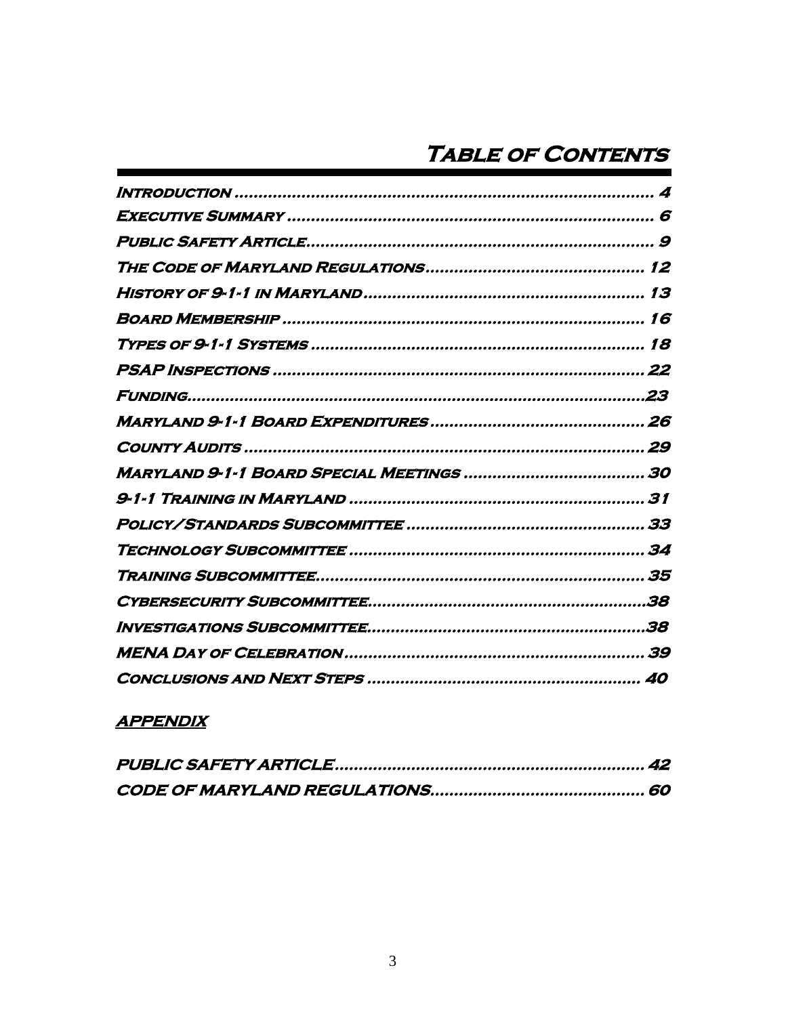## **APPENDIX**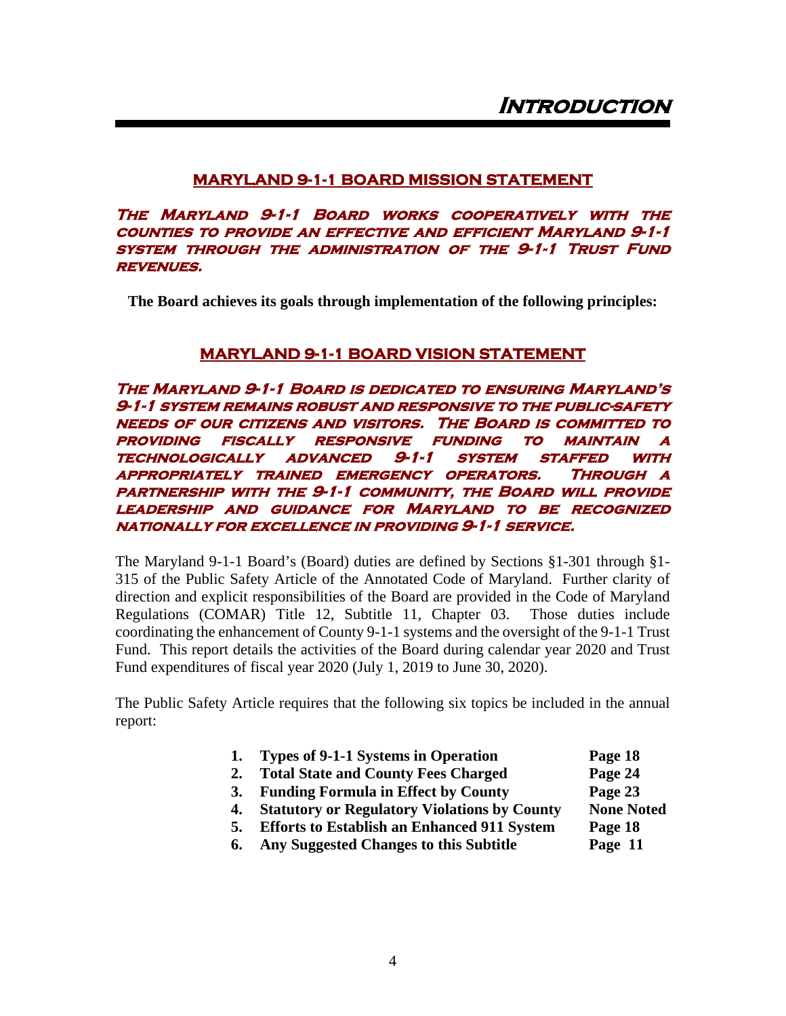#### <span id="page-4-0"></span>**MARYLAND 9-1-1 BOARD MISSION STATEMENT**

**The Maryland 9-1-1 Board works cooperatively with the counties to provide an effective and efficient Maryland 9-1-1 system through the administration of the 9-1-1 Trust Fund revenues.** 

**The Board achieves its goals through implementation of the following principles:**

#### **MARYLAND 9-1-1 BOARD VISION STATEMENT**

**The Maryland 9-1-1 Board is dedicated to ensuring Maryland's 9-1-1 system remains robust and responsive to the public-safety needs of our citizens and visitors. The Board is committed to providing fiscally responsive funding to maintain a technologically advanced 9-1-1 system staffed with appropriately trained emergency operators. Through a partnership with the 9-1-1 community, the Board will provide leadership and guidance for Maryland to be recognized nationally for excellence in providing 9-1-1 service.**

The Maryland 9-1-1 Board's (Board) duties are defined by Sections §1-301 through §1- 315 of the Public Safety Article of the Annotated Code of Maryland. Further clarity of direction and explicit responsibilities of the Board are provided in the Code of Maryland Regulations (COMAR) Title 12, Subtitle 11, Chapter 03. Those duties include coordinating the enhancement of County 9-1-1 systems and the oversight of the 9-1-1 Trust Fund. This report details the activities of the Board during calendar year 2020 and Trust Fund expenditures of fiscal year 2020 (July 1, 2019 to June 30, 2020).

The Public Safety Article requires that the following six topics be included in the annual report:

| Types of 9-1-1 Systems in Operation<br>Page 18<br>1. |
|------------------------------------------------------|
|------------------------------------------------------|

- **2. Total State and County Fees Charged Page 24**
- **3. Funding Formula in Effect by County Page 23**
- **4.** Statutory or Regulatory Violations by County None Noted
- **5. Efforts to Establish an Enhanced 911 System Page 18**
- **6. Any Suggested Changes to this Subtitle Page 11**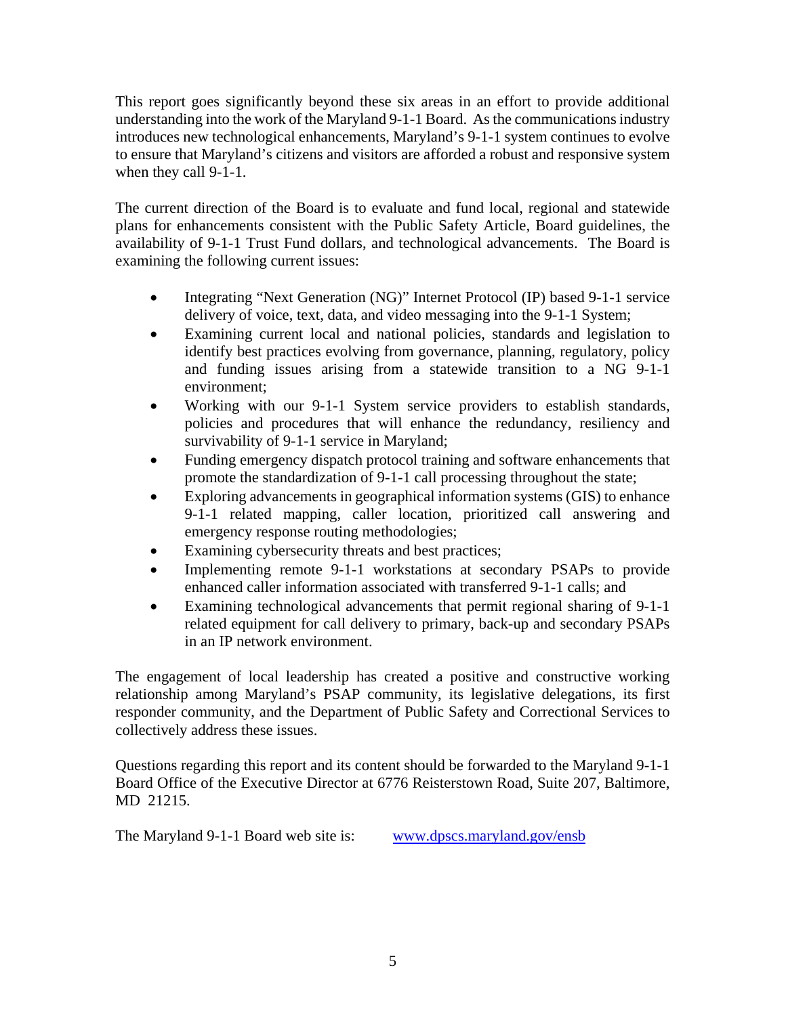This report goes significantly beyond these six areas in an effort to provide additional understanding into the work of the Maryland 9-1-1 Board. As the communications industry introduces new technological enhancements, Maryland's 9-1-1 system continues to evolve to ensure that Maryland's citizens and visitors are afforded a robust and responsive system when they call 9-1-1.

The current direction of the Board is to evaluate and fund local, regional and statewide plans for enhancements consistent with the Public Safety Article, Board guidelines, the availability of 9-1-1 Trust Fund dollars, and technological advancements. The Board is examining the following current issues:

- Integrating "Next Generation (NG)" Internet Protocol (IP) based 9-1-1 service delivery of voice, text, data, and video messaging into the 9-1-1 System;
- Examining current local and national policies, standards and legislation to identify best practices evolving from governance, planning, regulatory, policy and funding issues arising from a statewide transition to a NG 9-1-1 environment;
- Working with our 9-1-1 System service providers to establish standards, policies and procedures that will enhance the redundancy, resiliency and survivability of 9-1-1 service in Maryland;
- Funding emergency dispatch protocol training and software enhancements that promote the standardization of 9-1-1 call processing throughout the state;
- Exploring advancements in geographical information systems (GIS) to enhance 9-1-1 related mapping, caller location, prioritized call answering and emergency response routing methodologies;
- Examining cybersecurity threats and best practices;
- Implementing remote 9-1-1 workstations at secondary PSAPs to provide enhanced caller information associated with transferred 9-1-1 calls; and
- Examining technological advancements that permit regional sharing of 9-1-1 related equipment for call delivery to primary, back-up and secondary PSAPs in an IP network environment.

The engagement of local leadership has created a positive and constructive working relationship among Maryland's PSAP community, its legislative delegations, its first responder community, and the Department of Public Safety and Correctional Services to collectively address these issues.

Questions regarding this report and its content should be forwarded to the Maryland 9-1-1 Board Office of the Executive Director at 6776 Reisterstown Road, Suite 207, Baltimore, MD 21215.

The Maryland 9-1-1 Board web site is: [www.dpscs.maryland.gov/ensb](http://www.dpscs.maryland.gov/ensb)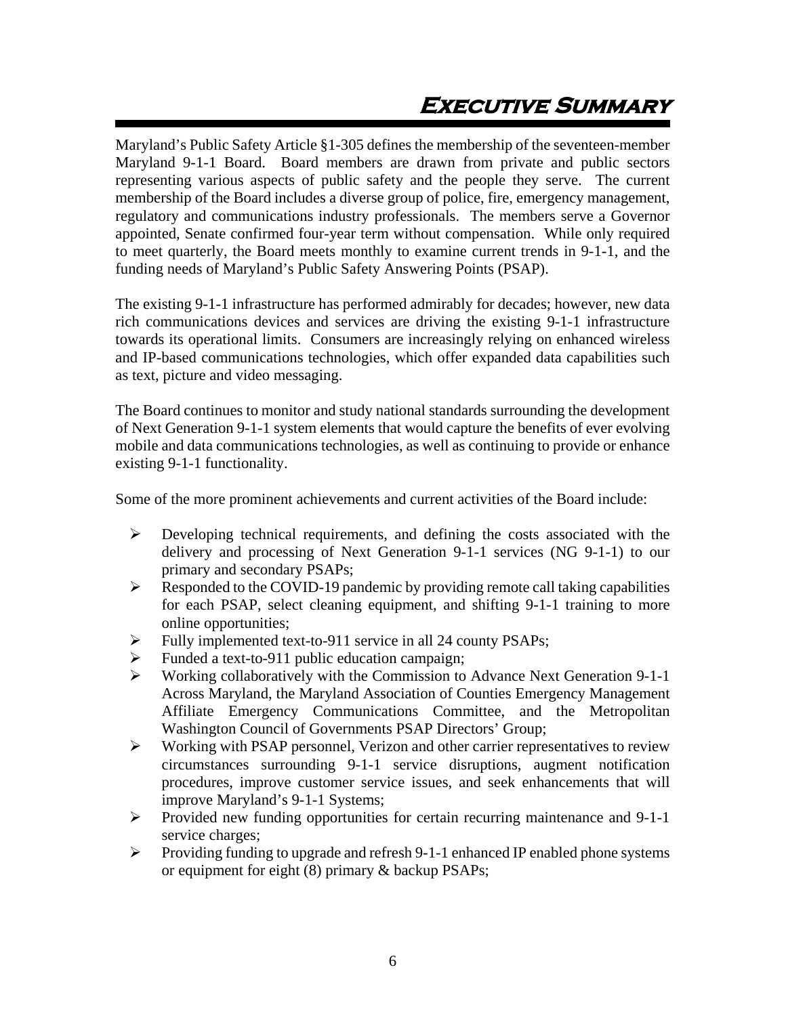# **Executive Summary**

<span id="page-6-0"></span>Maryland's Public Safety Article §1-305 defines the membership of the seventeen-member Maryland 9-1-1 Board. Board members are drawn from private and public sectors representing various aspects of public safety and the people they serve. The current membership of the Board includes a diverse group of police, fire, emergency management, regulatory and communications industry professionals. The members serve a Governor appointed, Senate confirmed four-year term without compensation. While only required to meet quarterly, the Board meets monthly to examine current trends in 9-1-1, and the funding needs of Maryland's Public Safety Answering Points (PSAP).

The existing 9-1-1 infrastructure has performed admirably for decades; however, new data rich communications devices and services are driving the existing 9-1-1 infrastructure towards its operational limits. Consumers are increasingly relying on enhanced wireless and IP-based communications technologies, which offer expanded data capabilities such as text, picture and video messaging.

The Board continues to monitor and study national standards surrounding the development of Next Generation 9-1-1 system elements that would capture the benefits of ever evolving mobile and data communications technologies, as well as continuing to provide or enhance existing 9-1-1 functionality.

Some of the more prominent achievements and current activities of the Board include:

- $\triangleright$  Developing technical requirements, and defining the costs associated with the delivery and processing of Next Generation 9-1-1 services (NG 9-1-1) to our primary and secondary PSAPs;
- $\triangleright$  Responded to the COVID-19 pandemic by providing remote call taking capabilities for each PSAP, select cleaning equipment, and shifting 9-1-1 training to more online opportunities;
- Fully implemented text-to-911 service in all 24 county PSAPs;
- $\triangleright$  Funded a text-to-911 public education campaign;
- $\triangleright$  Working collaboratively with the Commission to Advance Next Generation 9-1-1 Across Maryland, the Maryland Association of Counties Emergency Management Affiliate Emergency Communications Committee, and the Metropolitan Washington Council of Governments PSAP Directors' Group;
- $\triangleright$  Working with PSAP personnel, Verizon and other carrier representatives to review circumstances surrounding 9-1-1 service disruptions, augment notification procedures, improve customer service issues, and seek enhancements that will improve Maryland's 9-1-1 Systems;
- $\triangleright$  Provided new funding opportunities for certain recurring maintenance and 9-1-1 service charges;
- Providing funding to upgrade and refresh 9-1-1 enhanced IP enabled phone systems or equipment for eight (8) primary & backup PSAPs;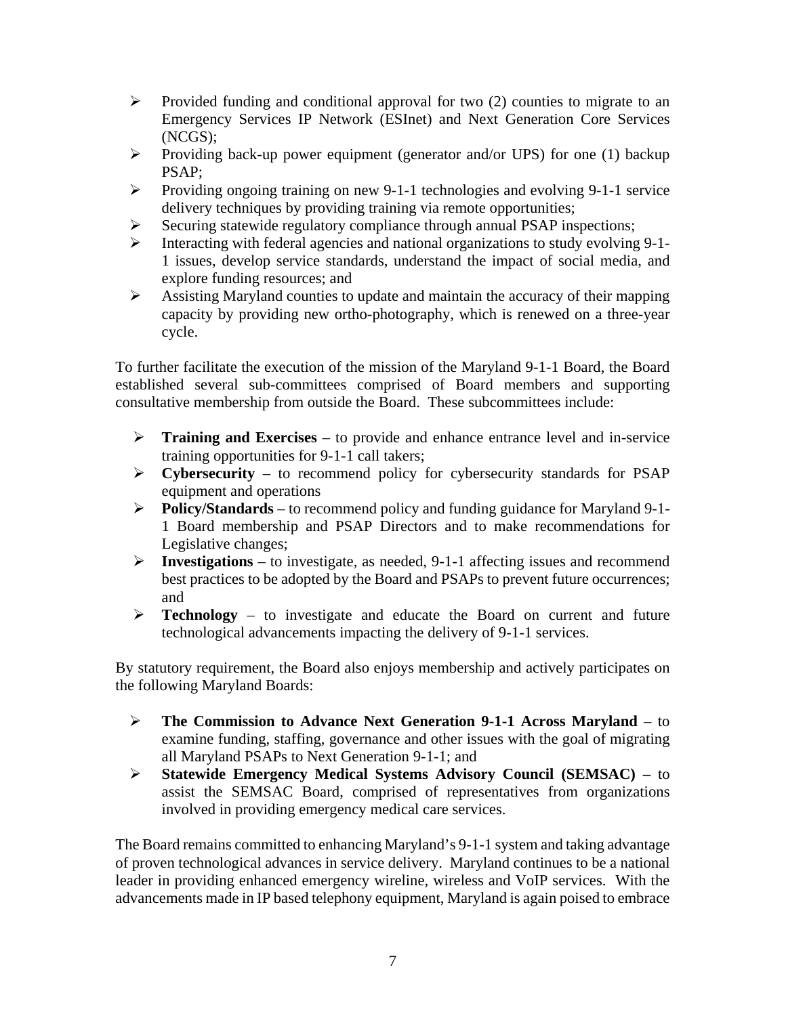- $\triangleright$  Provided funding and conditional approval for two (2) counties to migrate to an Emergency Services IP Network (ESInet) and Next Generation Core Services (NCGS);
- Providing back-up power equipment (generator and/or UPS) for one (1) backup PSAP;
- Providing ongoing training on new 9-1-1 technologies and evolving 9-1-1 service delivery techniques by providing training via remote opportunities;
- $\triangleright$  Securing statewide regulatory compliance through annual PSAP inspections;
- $\triangleright$  Interacting with federal agencies and national organizations to study evolving 9-1-1 issues, develop service standards, understand the impact of social media, and explore funding resources; and
- $\triangleright$  Assisting Maryland counties to update and maintain the accuracy of their mapping capacity by providing new ortho-photography, which is renewed on a three-year cycle.

To further facilitate the execution of the mission of the Maryland 9-1-1 Board, the Board established several sub-committees comprised of Board members and supporting consultative membership from outside the Board. These subcommittees include:

- **Training and Exercises** to provide and enhance entrance level and in-service training opportunities for 9-1-1 call takers;
- **Cybersecurity**  to recommend policy for cybersecurity standards for PSAP equipment and operations
- **Policy/Standards** to recommend policy and funding guidance for Maryland 9-1- 1 Board membership and PSAP Directors and to make recommendations for Legislative changes;
- **Investigations** to investigate, as needed, 9-1-1 affecting issues and recommend best practices to be adopted by the Board and PSAPs to prevent future occurrences; and
- **Technology**  to investigate and educate the Board on current and future technological advancements impacting the delivery of 9-1-1 services.

By statutory requirement, the Board also enjoys membership and actively participates on the following Maryland Boards:

- **The Commission to Advance Next Generation 9-1-1 Across Maryland** to examine funding, staffing, governance and other issues with the goal of migrating all Maryland PSAPs to Next Generation 9-1-1; and
- **Statewide Emergency Medical Systems Advisory Council (SEMSAC) –** to assist the SEMSAC Board, comprised of representatives from organizations involved in providing emergency medical care services.

The Board remains committed to enhancing Maryland's 9-1-1 system and taking advantage of proven technological advances in service delivery. Maryland continues to be a national leader in providing enhanced emergency wireline, wireless and VoIP services. With the advancements made in IP based telephony equipment, Maryland is again poised to embrace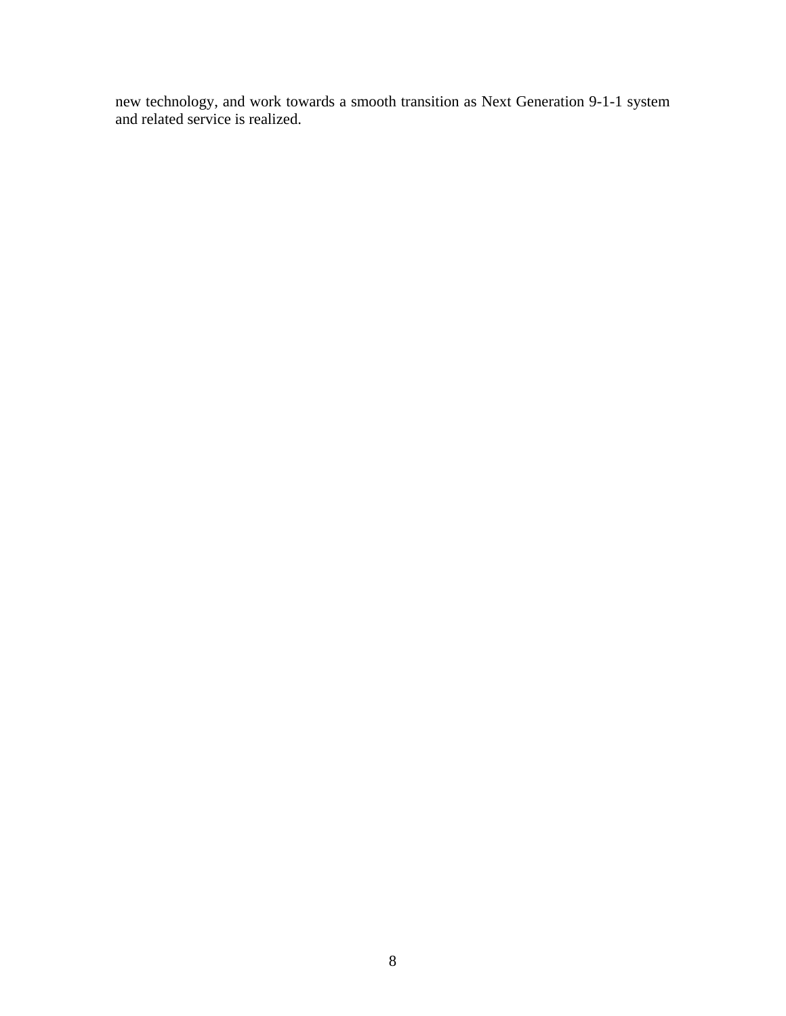new technology, and work towards a smooth transition as Next Generation 9-1-1 system and related service is realized.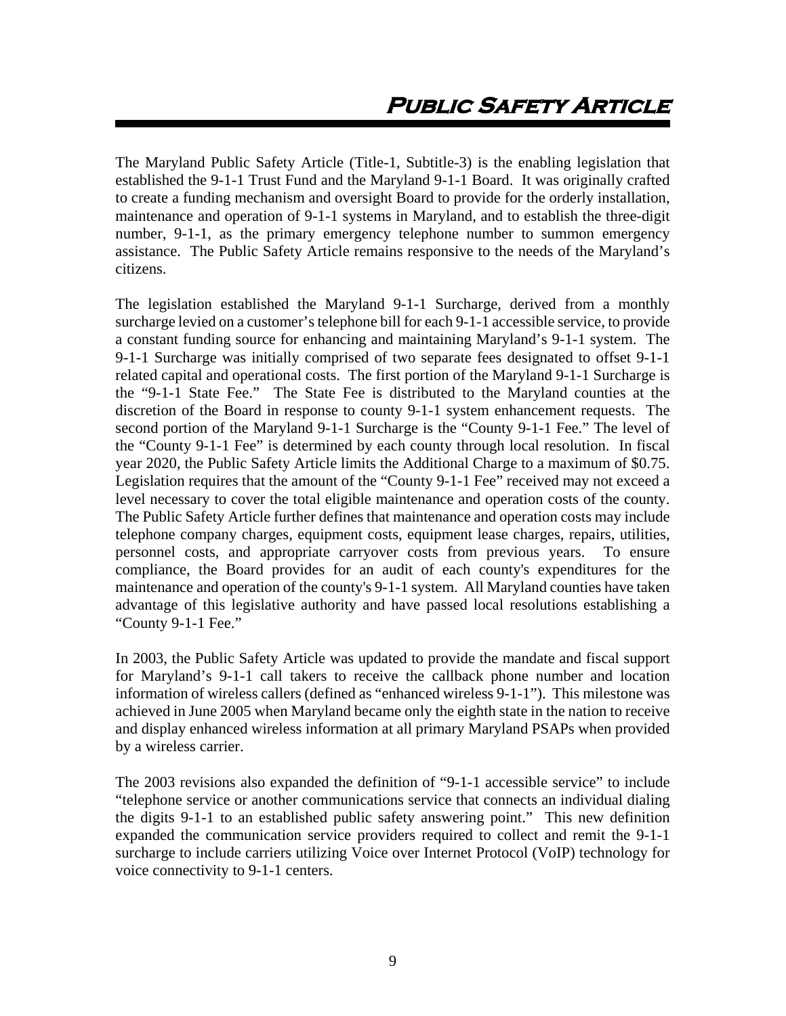<span id="page-9-0"></span>The Maryland Public Safety Article (Title-1, Subtitle-3) is the enabling legislation that established the 9-1-1 Trust Fund and the Maryland 9-1-1 Board. It was originally crafted to create a funding mechanism and oversight Board to provide for the orderly installation, maintenance and operation of 9-1-1 systems in Maryland, and to establish the three-digit number, 9-1-1, as the primary emergency telephone number to summon emergency assistance. The Public Safety Article remains responsive to the needs of the Maryland's citizens.

The legislation established the Maryland 9-1-1 Surcharge, derived from a monthly surcharge levied on a customer's telephone bill for each 9-1-1 accessible service, to provide a constant funding source for enhancing and maintaining Maryland's 9-1-1 system. The 9-1-1 Surcharge was initially comprised of two separate fees designated to offset 9-1-1 related capital and operational costs. The first portion of the Maryland 9-1-1 Surcharge is the "9-1-1 State Fee." The State Fee is distributed to the Maryland counties at the discretion of the Board in response to county 9-1-1 system enhancement requests. The second portion of the Maryland 9-1-1 Surcharge is the "County 9-1-1 Fee." The level of the "County 9-1-1 Fee" is determined by each county through local resolution. In fiscal year 2020, the Public Safety Article limits the Additional Charge to a maximum of \$0.75. Legislation requires that the amount of the "County 9-1-1 Fee" received may not exceed a level necessary to cover the total eligible maintenance and operation costs of the county. The Public Safety Article further defines that maintenance and operation costs may include telephone company charges, equipment costs, equipment lease charges, repairs, utilities, personnel costs, and appropriate carryover costs from previous years. To ensure compliance, the Board provides for an audit of each county's expenditures for the maintenance and operation of the county's 9-1-1 system. All Maryland counties have taken advantage of this legislative authority and have passed local resolutions establishing a "County 9-1-1 Fee."

In 2003, the Public Safety Article was updated to provide the mandate and fiscal support for Maryland's 9-1-1 call takers to receive the callback phone number and location information of wireless callers (defined as "enhanced wireless 9-1-1"). This milestone was achieved in June 2005 when Maryland became only the eighth state in the nation to receive and display enhanced wireless information at all primary Maryland PSAPs when provided by a wireless carrier.

The 2003 revisions also expanded the definition of "9-1-1 accessible service" to include "telephone service or another communications service that connects an individual dialing the digits 9-1-1 to an established public safety answering point." This new definition expanded the communication service providers required to collect and remit the 9-1-1 surcharge to include carriers utilizing Voice over Internet Protocol (VoIP) technology for voice connectivity to 9-1-1 centers.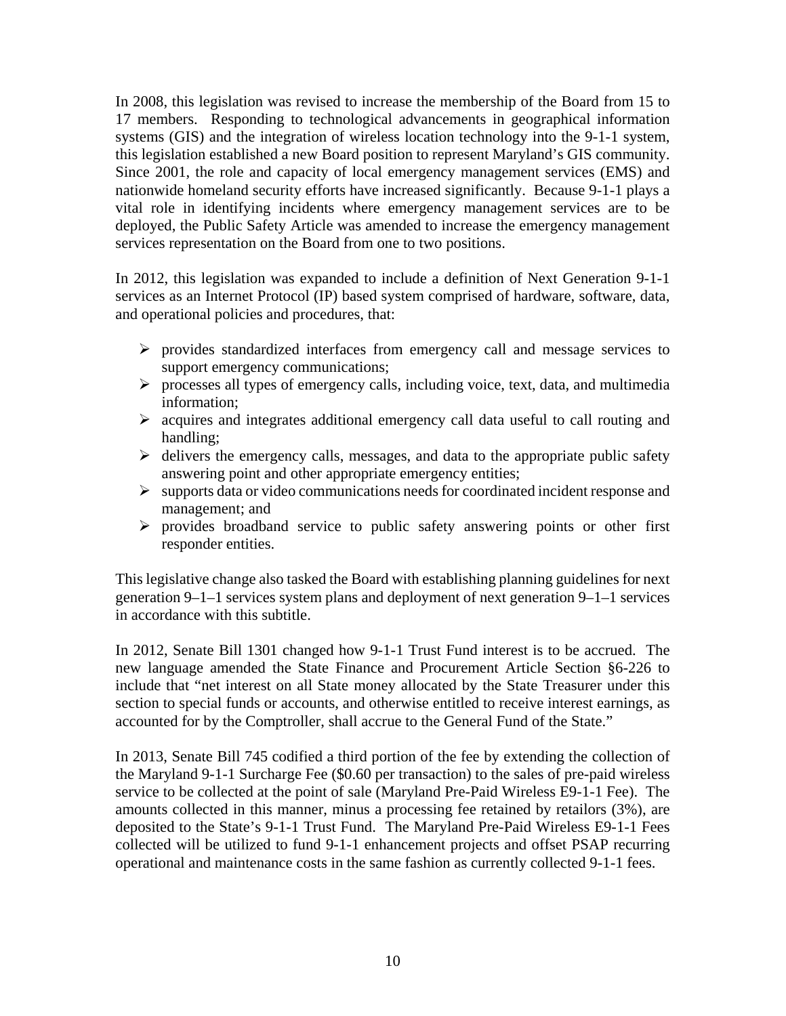In 2008, this legislation was revised to increase the membership of the Board from 15 to 17 members. Responding to technological advancements in geographical information systems (GIS) and the integration of wireless location technology into the 9-1-1 system, this legislation established a new Board position to represent Maryland's GIS community. Since 2001, the role and capacity of local emergency management services (EMS) and nationwide homeland security efforts have increased significantly. Because 9-1-1 plays a vital role in identifying incidents where emergency management services are to be deployed, the Public Safety Article was amended to increase the emergency management services representation on the Board from one to two positions.

In 2012, this legislation was expanded to include a definition of Next Generation 9-1-1 services as an Internet Protocol (IP) based system comprised of hardware, software, data, and operational policies and procedures, that:

- $\triangleright$  provides standardized interfaces from emergency call and message services to support emergency communications;
- $\triangleright$  processes all types of emergency calls, including voice, text, data, and multimedia information;
- $\triangleright$  acquires and integrates additional emergency call data useful to call routing and handling;
- $\triangleright$  delivers the emergency calls, messages, and data to the appropriate public safety answering point and other appropriate emergency entities;
- $\triangleright$  supports data or video communications needs for coordinated incident response and management; and
- $\triangleright$  provides broadband service to public safety answering points or other first responder entities.

This legislative change also tasked the Board with establishing planning guidelines for next generation 9–1–1 services system plans and deployment of next generation 9–1–1 services in accordance with this subtitle.

In 2012, Senate Bill 1301 changed how 9-1-1 Trust Fund interest is to be accrued. The new language amended the State Finance and Procurement Article Section §6-226 to include that "net interest on all State money allocated by the State Treasurer under this section to special funds or accounts, and otherwise entitled to receive interest earnings, as accounted for by the Comptroller, shall accrue to the General Fund of the State."

In 2013, Senate Bill 745 codified a third portion of the fee by extending the collection of the Maryland 9-1-1 Surcharge Fee (\$0.60 per transaction) to the sales of pre-paid wireless service to be collected at the point of sale (Maryland Pre-Paid Wireless E9-1-1 Fee). The amounts collected in this manner, minus a processing fee retained by retailors (3%), are deposited to the State's 9-1-1 Trust Fund. The Maryland Pre-Paid Wireless E9-1-1 Fees collected will be utilized to fund 9-1-1 enhancement projects and offset PSAP recurring operational and maintenance costs in the same fashion as currently collected 9-1-1 fees.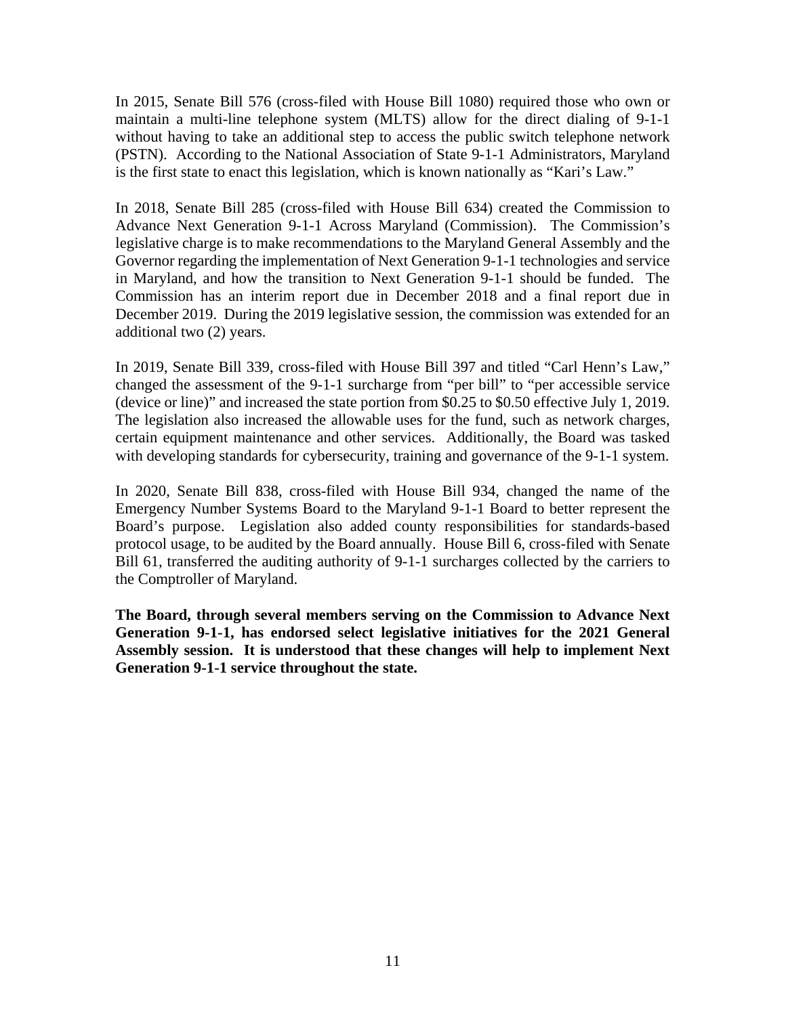In 2015, Senate Bill 576 (cross-filed with House Bill 1080) required those who own or maintain a multi-line telephone system (MLTS) allow for the direct dialing of 9-1-1 without having to take an additional step to access the public switch telephone network (PSTN). According to the National Association of State 9-1-1 Administrators, Maryland is the first state to enact this legislation, which is known nationally as "Kari's Law."

In 2018, Senate Bill 285 (cross-filed with House Bill 634) created the Commission to Advance Next Generation 9-1-1 Across Maryland (Commission). The Commission's legislative charge is to make recommendations to the Maryland General Assembly and the Governor regarding the implementation of Next Generation 9-1-1 technologies and service in Maryland, and how the transition to Next Generation 9-1-1 should be funded. The Commission has an interim report due in December 2018 and a final report due in December 2019. During the 2019 legislative session, the commission was extended for an additional two (2) years.

In 2019, Senate Bill 339, cross-filed with House Bill 397 and titled "Carl Henn's Law," changed the assessment of the 9-1-1 surcharge from "per bill" to "per accessible service (device or line)" and increased the state portion from \$0.25 to \$0.50 effective July 1, 2019. The legislation also increased the allowable uses for the fund, such as network charges, certain equipment maintenance and other services. Additionally, the Board was tasked with developing standards for cybersecurity, training and governance of the 9-1-1 system.

In 2020, Senate Bill 838, cross-filed with House Bill 934, changed the name of the Emergency Number Systems Board to the Maryland 9-1-1 Board to better represent the Board's purpose. Legislation also added county responsibilities for standards-based protocol usage, to be audited by the Board annually. House Bill 6, cross-filed with Senate Bill 61, transferred the auditing authority of 9-1-1 surcharges collected by the carriers to the Comptroller of Maryland.

<span id="page-11-0"></span>**The Board, through several members serving on the Commission to Advance Next Generation 9-1-1, has endorsed select legislative initiatives for the 2021 General Assembly session. It is understood that these changes will help to implement Next Generation 9-1-1 service throughout the state.**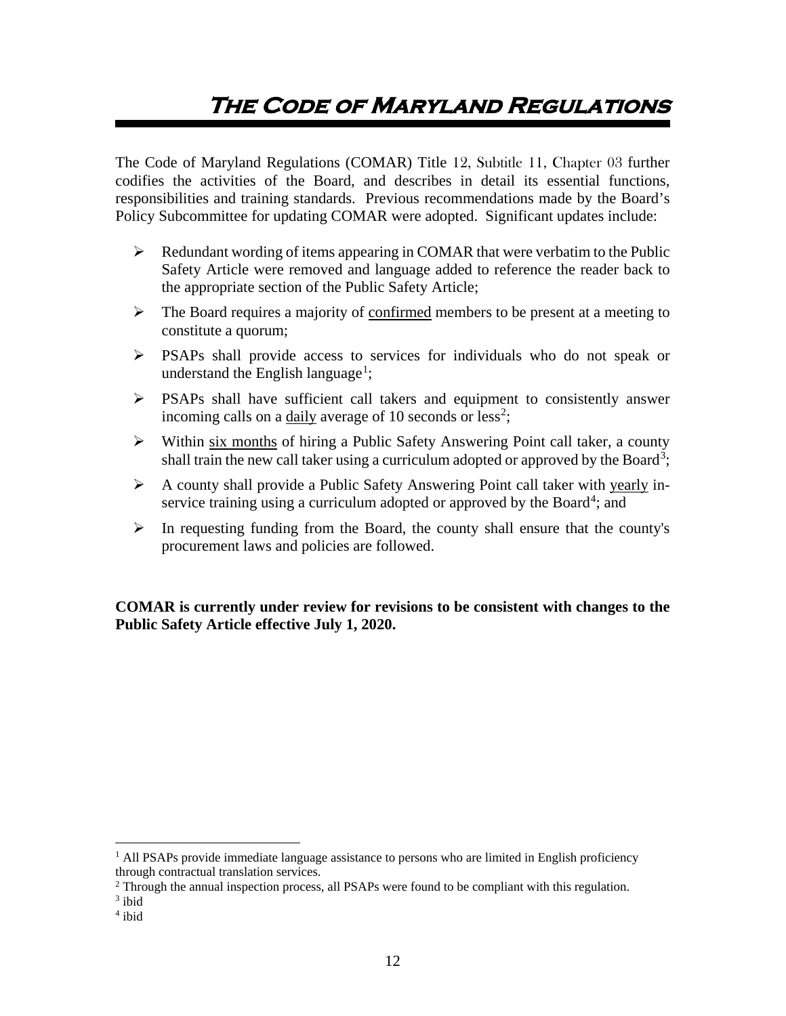# **The Code of Maryland Regulations**

The Code of Maryland Regulations (COMAR) Title 12, Subtitle 11, Chapter 03 further codifies the activities of the Board, and describes in detail its essential functions, responsibilities and training standards. Previous recommendations made by the Board's Policy Subcommittee for updating COMAR were adopted. Significant updates include:

- $\triangleright$  Redundant wording of items appearing in COMAR that were verbatim to the Public Safety Article were removed and language added to reference the reader back to the appropriate section of the Public Safety Article;
- $\triangleright$  The Board requires a majority of confirmed members to be present at a meeting to constitute a quorum;
- PSAPs shall provide access to services for individuals who do not speak or understand the English language<sup>[1](#page-12-0)</sup>;
- PSAPs shall have sufficient call takers and equipment to consistently answer incoming calls on a daily average of 10 seconds or less<sup>[2](#page-12-1)</sup>;
- Within six months of hiring a Public Safety Answering Point call taker, a county shall train the new call taker using a curriculum adopted or approved by the Board<sup>[3](#page-12-2)</sup>;
- A county shall provide a Public Safety Answering Point call taker with yearly in-service training using a curriculum adopted or approved by the Board<sup>[4](#page-12-3)</sup>; and
- $\triangleright$  In requesting funding from the Board, the county shall ensure that the county's procurement laws and policies are followed.

**COMAR is currently under review for revisions to be consistent with changes to the Public Safety Article effective July 1, 2020.** 

<span id="page-12-0"></span><sup>&</sup>lt;sup>1</sup> All PSAPs provide immediate language assistance to persons who are limited in English proficiency through contractual translation services.

<span id="page-12-1"></span><sup>&</sup>lt;sup>2</sup> Through the annual inspection process, all PSAPs were found to be compliant with this regulation.<sup>3</sup> ibid

<span id="page-12-2"></span>

<span id="page-12-3"></span><sup>4</sup> ibid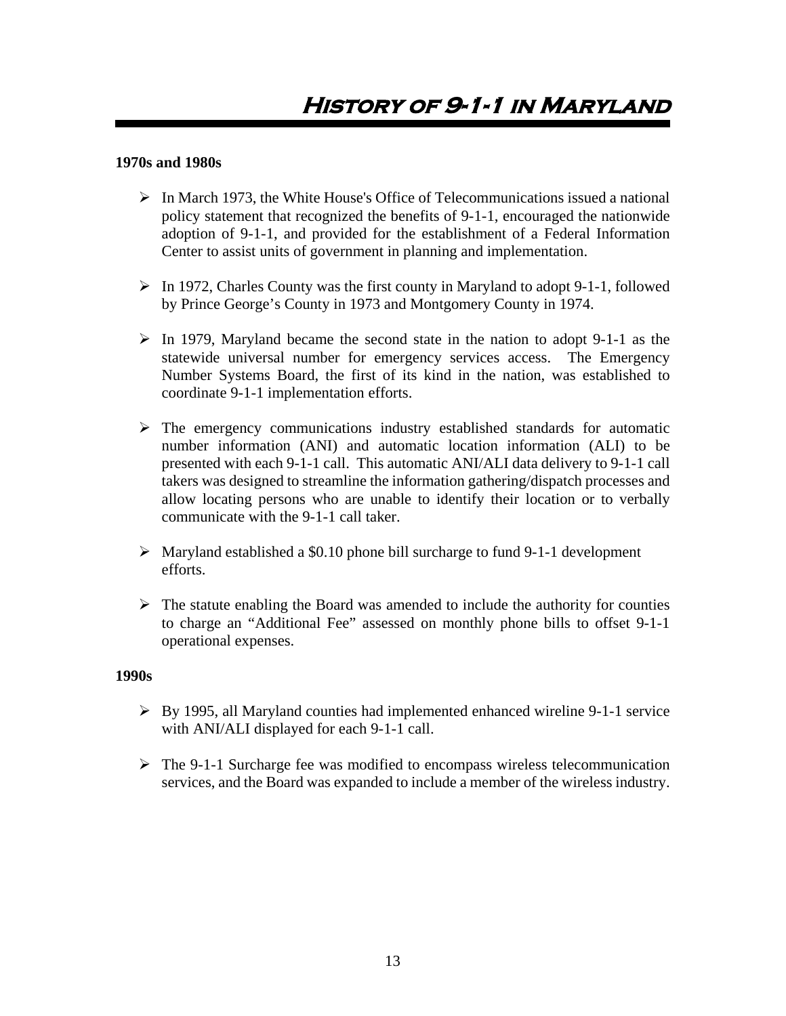#### <span id="page-13-0"></span>**1970s and 1980s**

- $\triangleright$  In March 1973, the White House's Office of Telecommunications issued a national policy statement that recognized the benefits of 9-1-1, encouraged the nationwide adoption of 9-1-1, and provided for the establishment of a Federal Information Center to assist units of government in planning and implementation.
- $\triangleright$  In 1972, Charles County was the first county in Maryland to adopt 9-1-1, followed by Prince George's County in 1973 and Montgomery County in 1974.
- $\triangleright$  In 1979, Maryland became the second state in the nation to adopt 9-1-1 as the statewide universal number for emergency services access. The Emergency Number Systems Board, the first of its kind in the nation, was established to coordinate 9-1-1 implementation efforts.
- $\triangleright$  The emergency communications industry established standards for automatic number information (ANI) and automatic location information (ALI) to be presented with each 9-1-1 call. This automatic ANI/ALI data delivery to 9-1-1 call takers was designed to streamline the information gathering/dispatch processes and allow locating persons who are unable to identify their location or to verbally communicate with the 9-1-1 call taker.
- $\triangleright$  Maryland established a \$0.10 phone bill surcharge to fund 9-1-1 development efforts.
- $\triangleright$  The statute enabling the Board was amended to include the authority for counties to charge an "Additional Fee" assessed on monthly phone bills to offset 9-1-1 operational expenses.

#### **1990s**

- $\triangleright$  By 1995, all Maryland counties had implemented enhanced wireline 9-1-1 service with ANI/ALI displayed for each 9-1-1 call.
- $\triangleright$  The 9-1-1 Surcharge fee was modified to encompass wireless telecommunication services, and the Board was expanded to include a member of the wireless industry.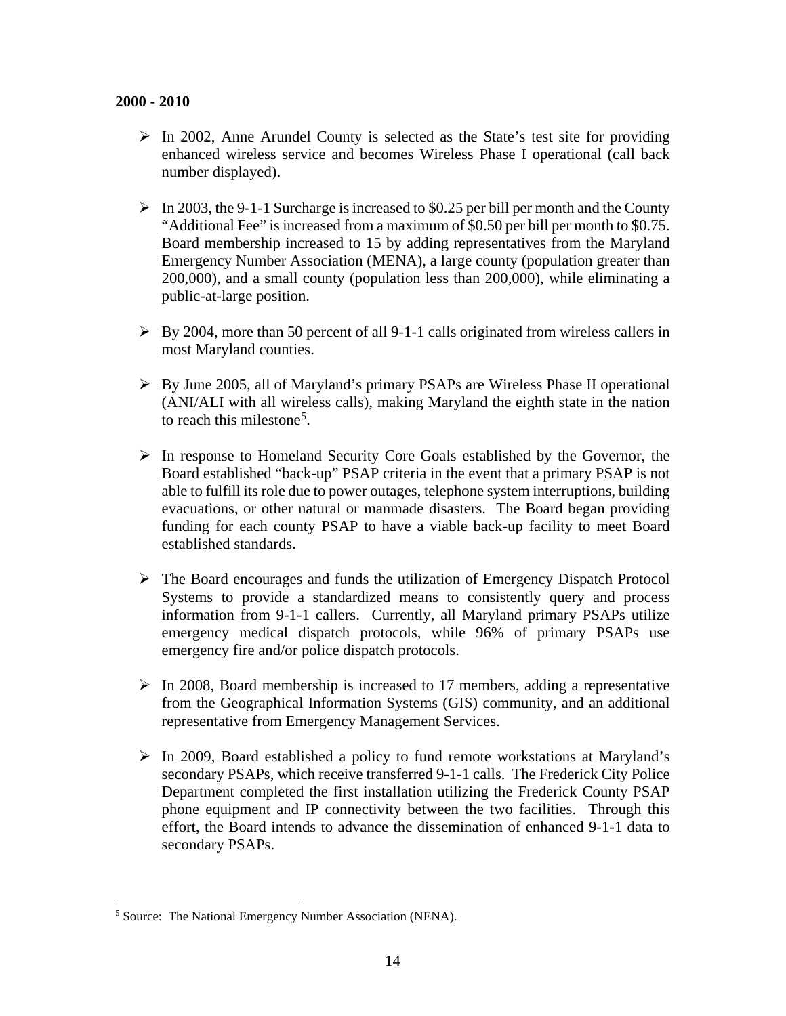- $\triangleright$  In 2002, Anne Arundel County is selected as the State's test site for providing enhanced wireless service and becomes Wireless Phase I operational (call back number displayed).
- $\triangleright$  In 2003, the 9-1-1 Surcharge is increased to \$0.25 per bill per month and the County "Additional Fee" is increased from a maximum of \$0.50 per bill per month to \$0.75. Board membership increased to 15 by adding representatives from the Maryland Emergency Number Association (MENA), a large county (population greater than 200,000), and a small county (population less than 200,000), while eliminating a public-at-large position.
- $\triangleright$  By 2004, more than 50 percent of all 9-1-1 calls originated from wireless callers in most Maryland counties.
- By June 2005, all of Maryland's primary PSAPs are Wireless Phase II operational (ANI/ALI with all wireless calls), making Maryland the eighth state in the nation to reach this milestone<sup>[5](#page-14-0)</sup>.
- $\triangleright$  In response to Homeland Security Core Goals established by the Governor, the Board established "back-up" PSAP criteria in the event that a primary PSAP is not able to fulfill its role due to power outages, telephone system interruptions, building evacuations, or other natural or manmade disasters. The Board began providing funding for each county PSAP to have a viable back-up facility to meet Board established standards.
- $\triangleright$  The Board encourages and funds the utilization of Emergency Dispatch Protocol Systems to provide a standardized means to consistently query and process information from 9-1-1 callers. Currently, all Maryland primary PSAPs utilize emergency medical dispatch protocols, while 96% of primary PSAPs use emergency fire and/or police dispatch protocols.
- $\triangleright$  In 2008, Board membership is increased to 17 members, adding a representative from the Geographical Information Systems (GIS) community, and an additional representative from Emergency Management Services.
- $\triangleright$  In 2009, Board established a policy to fund remote workstations at Maryland's secondary PSAPs, which receive transferred 9-1-1 calls. The Frederick City Police Department completed the first installation utilizing the Frederick County PSAP phone equipment and IP connectivity between the two facilities. Through this effort, the Board intends to advance the dissemination of enhanced 9-1-1 data to secondary PSAPs.

<span id="page-14-0"></span> <sup>5</sup> Source: The National Emergency Number Association (NENA).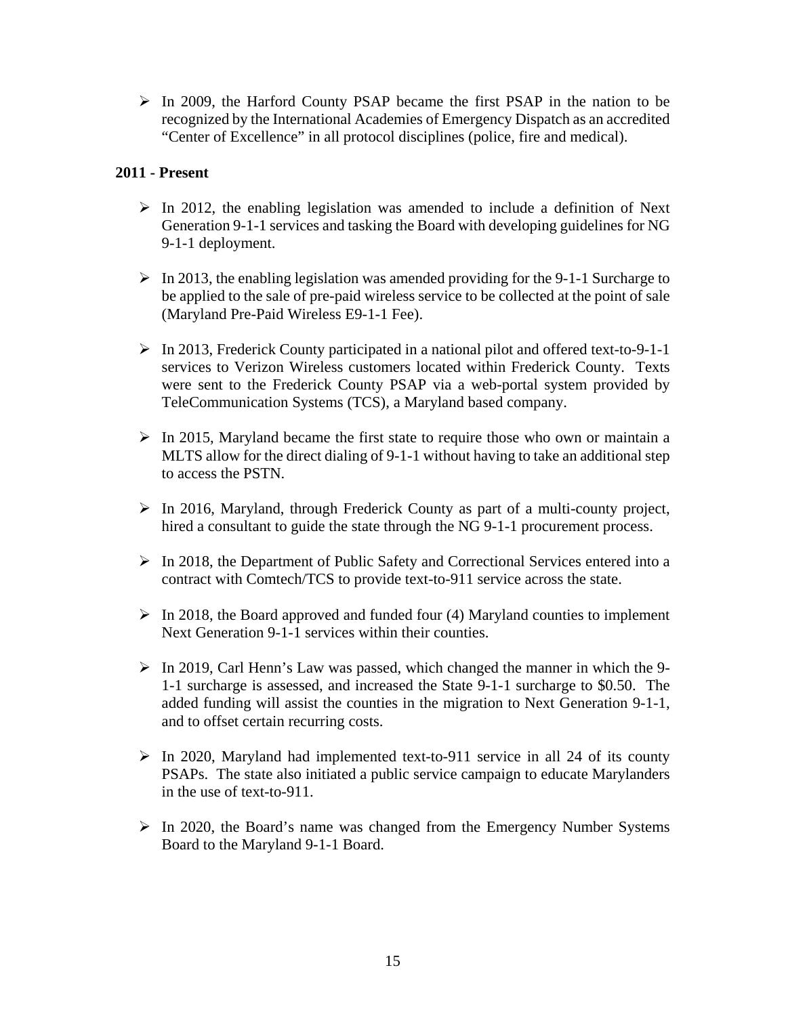$\triangleright$  In 2009, the Harford County PSAP became the first PSAP in the nation to be recognized by the International Academies of Emergency Dispatch as an accredited "Center of Excellence" in all protocol disciplines (police, fire and medical).

#### **2011 - Present**

- $\triangleright$  In 2012, the enabling legislation was amended to include a definition of Next Generation 9-1-1 services and tasking the Board with developing guidelines for NG 9-1-1 deployment.
- $\triangleright$  In 2013, the enabling legislation was amended providing for the 9-1-1 Surcharge to be applied to the sale of pre-paid wireless service to be collected at the point of sale (Maryland Pre-Paid Wireless E9-1-1 Fee).
- In 2013, Frederick County participated in a national pilot and offered text-to-9-1-1 services to Verizon Wireless customers located within Frederick County. Texts were sent to the Frederick County PSAP via a web-portal system provided by TeleCommunication Systems (TCS), a Maryland based company.
- $\triangleright$  In 2015, Maryland became the first state to require those who own or maintain a MLTS allow for the direct dialing of 9-1-1 without having to take an additional step to access the PSTN.
- $\triangleright$  In 2016, Maryland, through Frederick County as part of a multi-county project, hired a consultant to guide the state through the NG 9-1-1 procurement process.
- $\triangleright$  In 2018, the Department of Public Safety and Correctional Services entered into a contract with Comtech/TCS to provide text-to-911 service across the state.
- $\triangleright$  In 2018, the Board approved and funded four (4) Maryland counties to implement Next Generation 9-1-1 services within their counties.
- $\triangleright$  In 2019, Carl Henn's Law was passed, which changed the manner in which the 9-1-1 surcharge is assessed, and increased the State 9-1-1 surcharge to \$0.50. The added funding will assist the counties in the migration to Next Generation 9-1-1, and to offset certain recurring costs.
- $\triangleright$  In 2020, Maryland had implemented text-to-911 service in all 24 of its county PSAPs. The state also initiated a public service campaign to educate Marylanders in the use of text-to-911.
- $\triangleright$  In 2020, the Board's name was changed from the Emergency Number Systems Board to the Maryland 9-1-1 Board.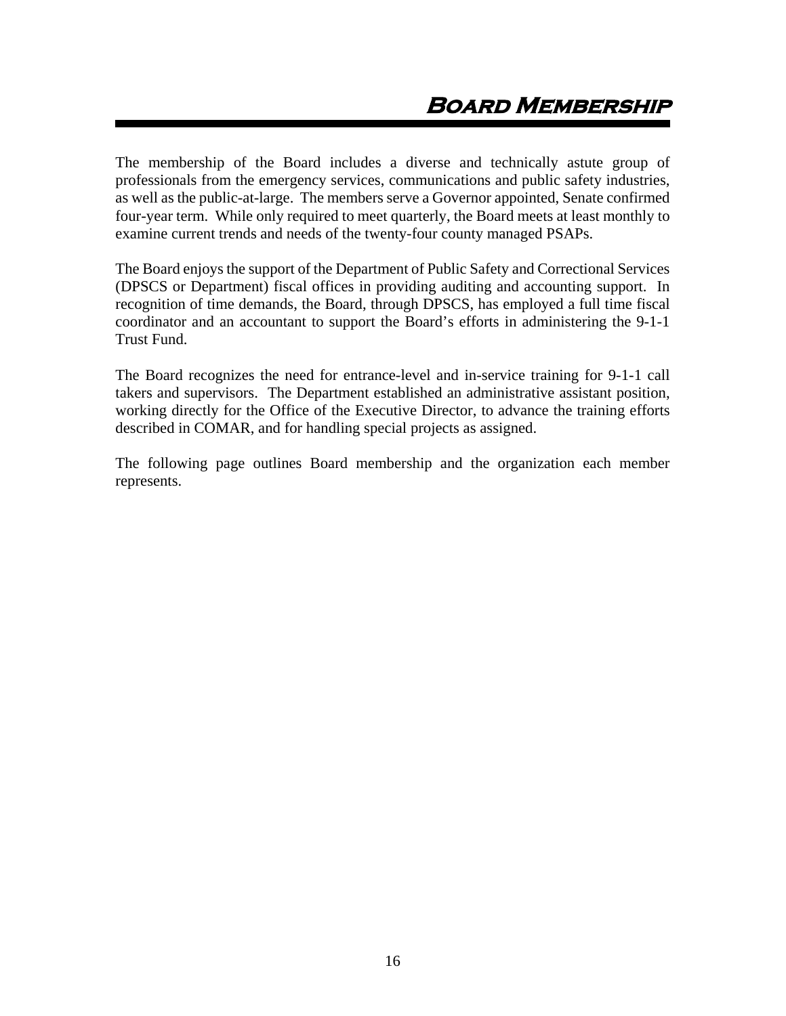<span id="page-16-0"></span>The membership of the Board includes a diverse and technically astute group of professionals from the emergency services, communications and public safety industries, as well as the public-at-large. The members serve a Governor appointed, Senate confirmed four-year term. While only required to meet quarterly, the Board meets at least monthly to examine current trends and needs of the twenty-four county managed PSAPs.

The Board enjoys the support of the Department of Public Safety and Correctional Services (DPSCS or Department) fiscal offices in providing auditing and accounting support. In recognition of time demands, the Board, through DPSCS, has employed a full time fiscal coordinator and an accountant to support the Board's efforts in administering the 9-1-1 Trust Fund.

The Board recognizes the need for entrance-level and in-service training for 9-1-1 call takers and supervisors. The Department established an administrative assistant position, working directly for the Office of the Executive Director, to advance the training efforts described in COMAR, and for handling special projects as assigned.

The following page outlines Board membership and the organization each member represents.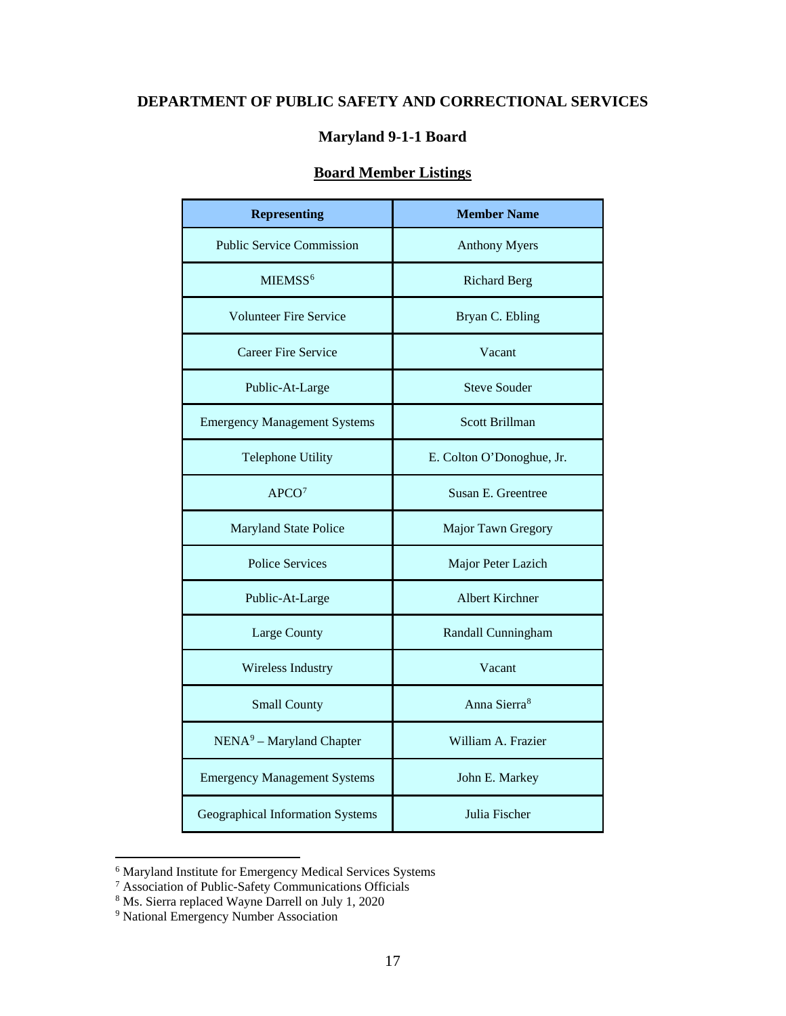## **DEPARTMENT OF PUBLIC SAFETY AND CORRECTIONAL SERVICES**

#### **Maryland 9-1-1 Board**

### **Board Member Listings**

| <b>Representing</b>                 | <b>Member Name</b>        |  |
|-------------------------------------|---------------------------|--|
| <b>Public Service Commission</b>    | <b>Anthony Myers</b>      |  |
| MIEMSS <sup>6</sup>                 | <b>Richard Berg</b>       |  |
| <b>Volunteer Fire Service</b>       | Bryan C. Ebling           |  |
| <b>Career Fire Service</b>          | Vacant                    |  |
| Public-At-Large                     | <b>Steve Souder</b>       |  |
| <b>Emergency Management Systems</b> | <b>Scott Brillman</b>     |  |
| <b>Telephone Utility</b>            | E. Colton O'Donoghue, Jr. |  |
| APCO <sup>7</sup>                   | Susan E. Greentree        |  |
| <b>Maryland State Police</b>        | Major Tawn Gregory        |  |
| <b>Police Services</b>              | Major Peter Lazich        |  |
| Public-At-Large                     | <b>Albert Kirchner</b>    |  |
| Large County                        | Randall Cunningham        |  |
| Wireless Industry                   | Vacant                    |  |
| <b>Small County</b>                 | Anna Sierra <sup>8</sup>  |  |
| $NENA9 - Maryland Chapter$          | William A. Frazier        |  |
| <b>Emergency Management Systems</b> | John E. Markey            |  |
| Geographical Information Systems    | Julia Fischer             |  |

<span id="page-17-0"></span> <sup>6</sup> Maryland Institute for Emergency Medical Services Systems

<span id="page-17-1"></span><sup>&</sup>lt;sup>7</sup> Association of Public-Safety Communications Officials

<span id="page-17-2"></span><sup>&</sup>lt;sup>8</sup> Ms. Sierra replaced Wayne Darrell on July 1, 2020

<span id="page-17-3"></span><sup>9</sup> National Emergency Number Association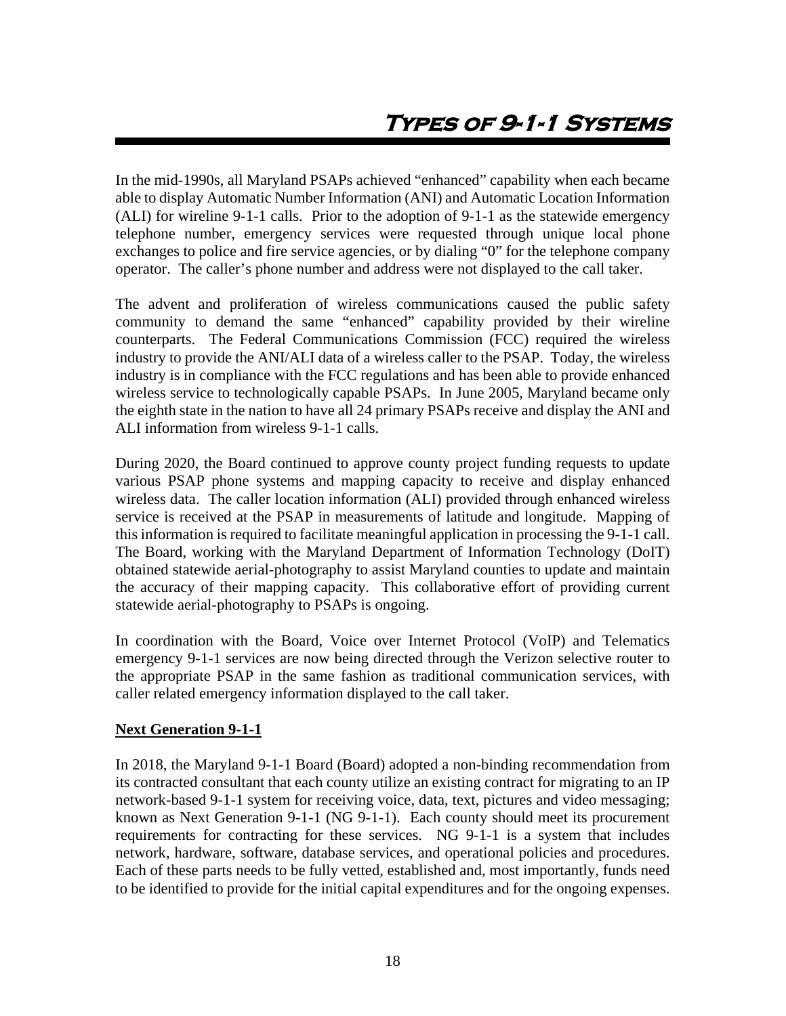<span id="page-18-0"></span>In the mid-1990s, all Maryland PSAPs achieved "enhanced" capability when each became able to display Automatic Number Information (ANI) and Automatic Location Information (ALI) for wireline 9-1-1 calls. Prior to the adoption of 9-1-1 as the statewide emergency telephone number, emergency services were requested through unique local phone exchanges to police and fire service agencies, or by dialing "0" for the telephone company operator. The caller's phone number and address were not displayed to the call taker.

The advent and proliferation of wireless communications caused the public safety community to demand the same "enhanced" capability provided by their wireline counterparts. The Federal Communications Commission (FCC) required the wireless industry to provide the ANI/ALI data of a wireless caller to the PSAP. Today, the wireless industry is in compliance with the FCC regulations and has been able to provide enhanced wireless service to technologically capable PSAPs. In June 2005, Maryland became only the eighth state in the nation to have all 24 primary PSAPs receive and display the ANI and ALI information from wireless 9-1-1 calls.

During 2020, the Board continued to approve county project funding requests to update various PSAP phone systems and mapping capacity to receive and display enhanced wireless data. The caller location information (ALI) provided through enhanced wireless service is received at the PSAP in measurements of latitude and longitude. Mapping of this information is required to facilitate meaningful application in processing the 9-1-1 call. The Board, working with the Maryland Department of Information Technology (DoIT) obtained statewide aerial-photography to assist Maryland counties to update and maintain the accuracy of their mapping capacity. This collaborative effort of providing current statewide aerial-photography to PSAPs is ongoing.

In coordination with the Board, Voice over Internet Protocol (VoIP) and Telematics emergency 9-1-1 services are now being directed through the Verizon selective router to the appropriate PSAP in the same fashion as traditional communication services, with caller related emergency information displayed to the call taker.

#### **Next Generation 9-1-1**

In 2018, the Maryland 9-1-1 Board (Board) adopted a non-binding recommendation from its contracted consultant that each county utilize an existing contract for migrating to an IP network-based 9-1-1 system for receiving voice, data, text, pictures and video messaging; known as Next Generation 9-1-1 (NG 9-1-1). Each county should meet its procurement requirements for contracting for these services. NG 9-1-1 is a system that includes network, hardware, software, database services, and operational policies and procedures. Each of these parts needs to be fully vetted, established and, most importantly, funds need to be identified to provide for the initial capital expenditures and for the ongoing expenses.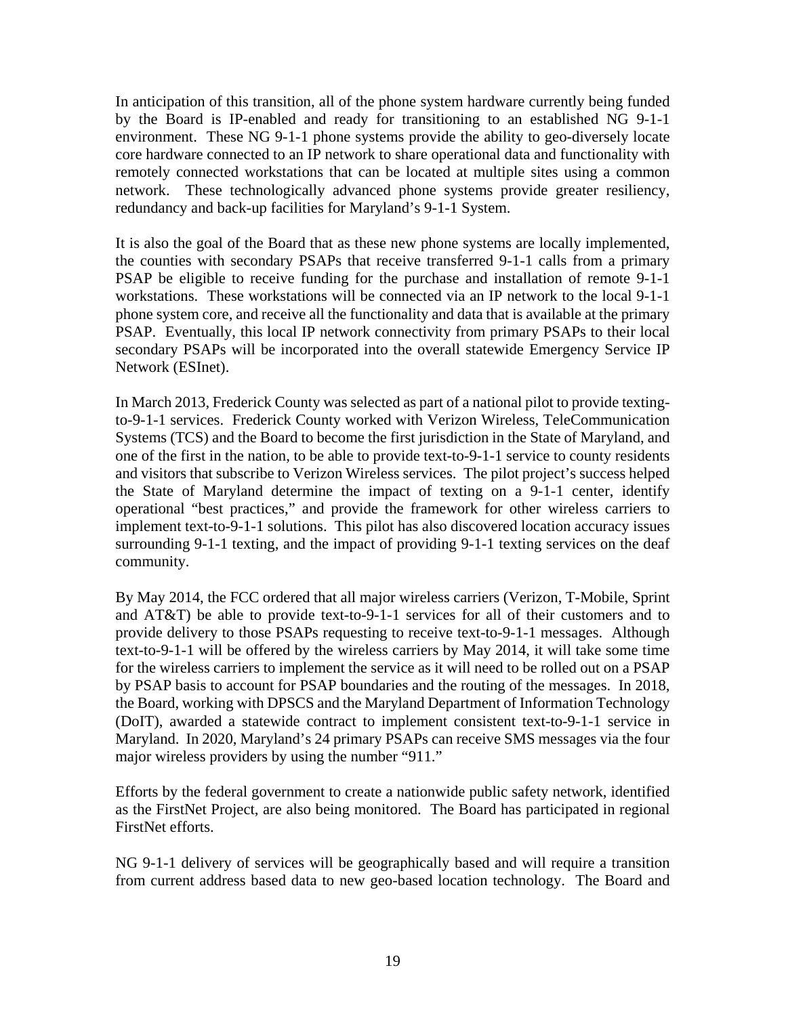In anticipation of this transition, all of the phone system hardware currently being funded by the Board is IP-enabled and ready for transitioning to an established NG 9-1-1 environment. These NG 9-1-1 phone systems provide the ability to geo-diversely locate core hardware connected to an IP network to share operational data and functionality with remotely connected workstations that can be located at multiple sites using a common network. These technologically advanced phone systems provide greater resiliency, redundancy and back-up facilities for Maryland's 9-1-1 System.

It is also the goal of the Board that as these new phone systems are locally implemented, the counties with secondary PSAPs that receive transferred 9-1-1 calls from a primary PSAP be eligible to receive funding for the purchase and installation of remote 9-1-1 workstations. These workstations will be connected via an IP network to the local 9-1-1 phone system core, and receive all the functionality and data that is available at the primary PSAP. Eventually, this local IP network connectivity from primary PSAPs to their local secondary PSAPs will be incorporated into the overall statewide Emergency Service IP Network (ESInet).

In March 2013, Frederick County was selected as part of a national pilot to provide textingto-9-1-1 services. Frederick County worked with Verizon Wireless, TeleCommunication Systems (TCS) and the Board to become the first jurisdiction in the State of Maryland, and one of the first in the nation, to be able to provide text-to-9-1-1 service to county residents and visitors that subscribe to Verizon Wireless services. The pilot project's success helped the State of Maryland determine the impact of texting on a 9-1-1 center, identify operational "best practices," and provide the framework for other wireless carriers to implement text-to-9-1-1 solutions. This pilot has also discovered location accuracy issues surrounding 9-1-1 texting, and the impact of providing 9-1-1 texting services on the deaf community.

By May 2014, the FCC ordered that all major wireless carriers (Verizon, T-Mobile, Sprint and AT&T) be able to provide text-to-9-1-1 services for all of their customers and to provide delivery to those PSAPs requesting to receive text-to-9-1-1 messages. Although text-to-9-1-1 will be offered by the wireless carriers by May 2014, it will take some time for the wireless carriers to implement the service as it will need to be rolled out on a PSAP by PSAP basis to account for PSAP boundaries and the routing of the messages. In 2018, the Board, working with DPSCS and the Maryland Department of Information Technology (DoIT), awarded a statewide contract to implement consistent text-to-9-1-1 service in Maryland. In 2020, Maryland's 24 primary PSAPs can receive SMS messages via the four major wireless providers by using the number "911."

Efforts by the federal government to create a nationwide public safety network, identified as the FirstNet Project, are also being monitored. The Board has participated in regional FirstNet efforts.

NG 9-1-1 delivery of services will be geographically based and will require a transition from current address based data to new geo-based location technology. The Board and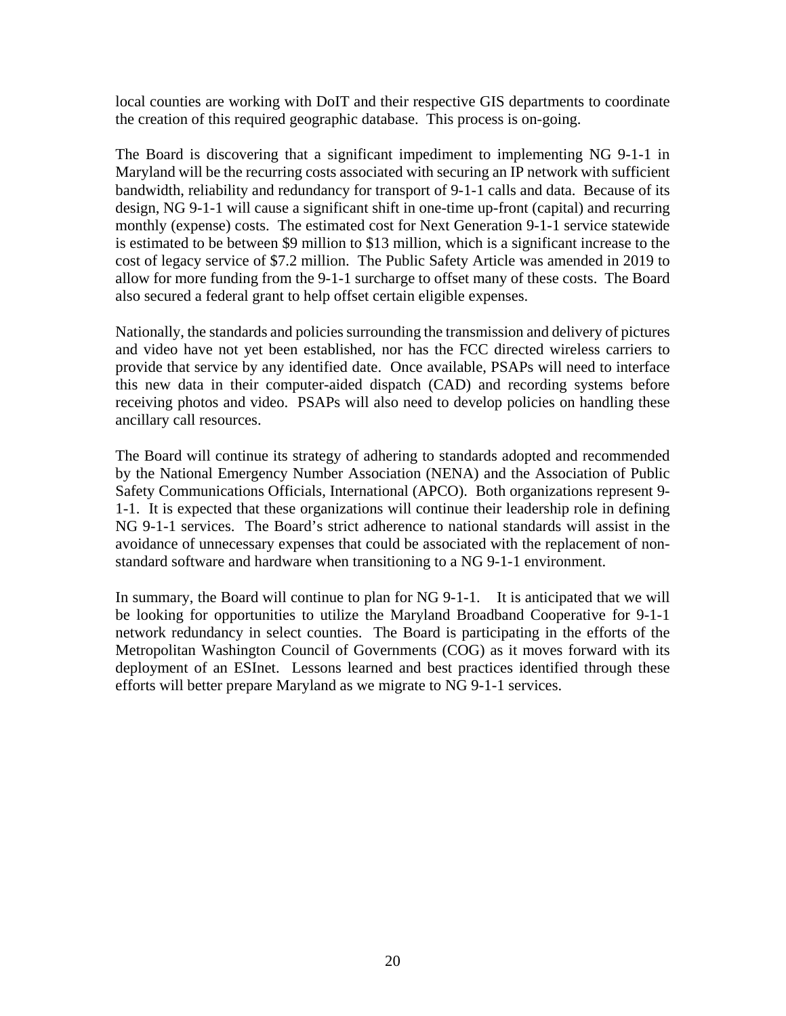local counties are working with DoIT and their respective GIS departments to coordinate the creation of this required geographic database. This process is on-going.

The Board is discovering that a significant impediment to implementing NG 9-1-1 in Maryland will be the recurring costs associated with securing an IP network with sufficient bandwidth, reliability and redundancy for transport of 9-1-1 calls and data. Because of its design, NG 9-1-1 will cause a significant shift in one-time up-front (capital) and recurring monthly (expense) costs. The estimated cost for Next Generation 9-1-1 service statewide is estimated to be between \$9 million to \$13 million, which is a significant increase to the cost of legacy service of \$7.2 million. The Public Safety Article was amended in 2019 to allow for more funding from the 9-1-1 surcharge to offset many of these costs. The Board also secured a federal grant to help offset certain eligible expenses.

Nationally, the standards and policies surrounding the transmission and delivery of pictures and video have not yet been established, nor has the FCC directed wireless carriers to provide that service by any identified date. Once available, PSAPs will need to interface this new data in their computer-aided dispatch (CAD) and recording systems before receiving photos and video. PSAPs will also need to develop policies on handling these ancillary call resources.

The Board will continue its strategy of adhering to standards adopted and recommended by the National Emergency Number Association (NENA) and the Association of Public Safety Communications Officials, International (APCO). Both organizations represent 9- 1-1. It is expected that these organizations will continue their leadership role in defining NG 9-1-1 services. The Board's strict adherence to national standards will assist in the avoidance of unnecessary expenses that could be associated with the replacement of nonstandard software and hardware when transitioning to a NG 9-1-1 environment.

In summary, the Board will continue to plan for NG 9-1-1. It is anticipated that we will be looking for opportunities to utilize the Maryland Broadband Cooperative for 9-1-1 network redundancy in select counties. The Board is participating in the efforts of the Metropolitan Washington Council of Governments (COG) as it moves forward with its deployment of an ESInet. Lessons learned and best practices identified through these efforts will better prepare Maryland as we migrate to NG 9-1-1 services.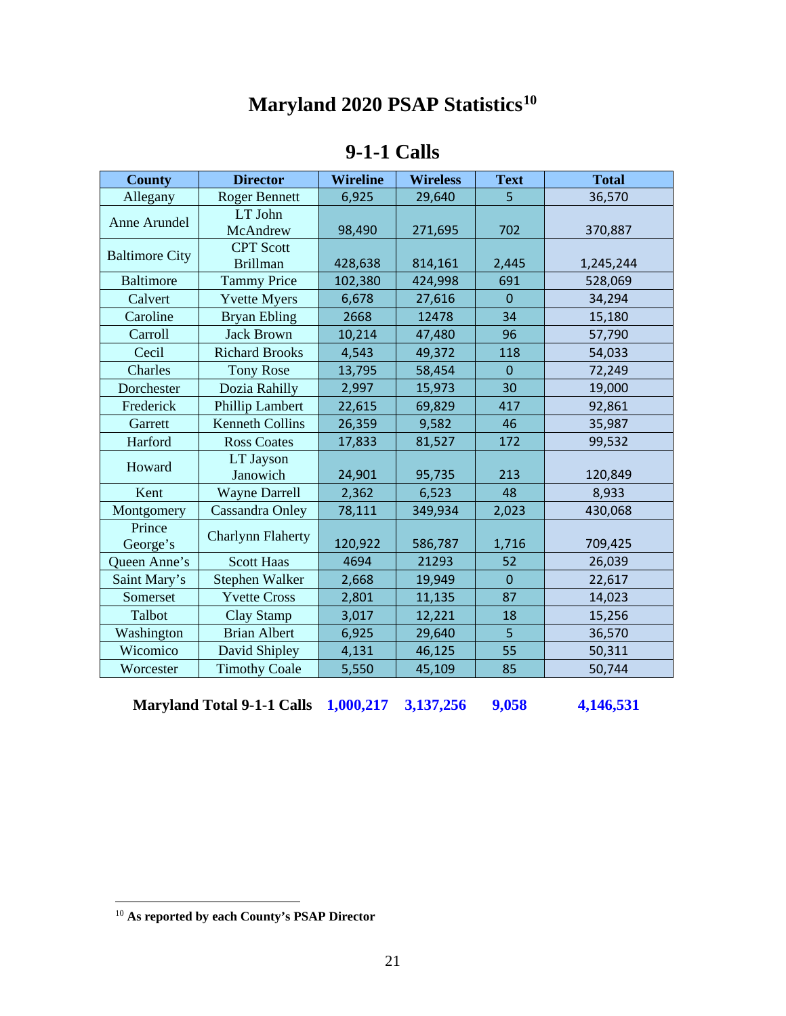# **Maryland 2020 PSAP Statistics[10](#page-21-0)**

| <b>9-1-1 Calls</b> |  |
|--------------------|--|
|--------------------|--|

| <b>County</b>         | <b>Director</b>                     | <b>Wireline</b> | <b>Wireless</b> | <b>Text</b>    | <b>Total</b> |
|-----------------------|-------------------------------------|-----------------|-----------------|----------------|--------------|
| Allegany              | <b>Roger Bennett</b>                | 6,925           | 29,640          | 5              | 36,570       |
| Anne Arundel          | LT John<br>McAndrew                 | 98,490          | 271,695         | 702            | 370,887      |
| <b>Baltimore City</b> | <b>CPT</b> Scott<br><b>Brillman</b> | 428,638         | 814,161         | 2,445          | 1,245,244    |
| <b>Baltimore</b>      | <b>Tammy Price</b>                  | 102,380         | 424,998         | 691            | 528,069      |
| Calvert               | <b>Yvette Myers</b>                 | 6,678           | 27,616          | $\overline{0}$ | 34,294       |
| Caroline              | <b>Bryan Ebling</b>                 | 2668            | 12478           | 34             | 15,180       |
| Carroll               | <b>Jack Brown</b>                   | 10,214          | 47,480          | 96             | 57,790       |
| Cecil                 | <b>Richard Brooks</b>               | 4,543           | 49,372          | 118            | 54,033       |
| Charles               | <b>Tony Rose</b>                    | 13,795          | 58,454          | $\mathbf 0$    | 72,249       |
| Dorchester            | Dozia Rahilly                       | 2,997           | 15,973          | 30             | 19,000       |
| Frederick             | <b>Phillip Lambert</b>              | 22,615          | 69,829          | 417            | 92,861       |
| Garrett               | <b>Kenneth Collins</b>              | 26,359          | 9,582           | 46             | 35,987       |
| Harford               | <b>Ross Coates</b>                  | 17,833          | 81,527          | 172            | 99,532       |
| Howard                | LT Jayson<br>Janowich               | 24,901          | 95,735          | 213            | 120,849      |
| Kent                  | <b>Wayne Darrell</b>                | 2,362           | 6,523           | 48             | 8,933        |
| Montgomery            | Cassandra Onley                     | 78,111          | 349,934         | 2,023          | 430,068      |
| Prince<br>George's    | <b>Charlynn Flaherty</b>            | 120,922         | 586,787         | 1,716          | 709,425      |
| Queen Anne's          | <b>Scott Haas</b>                   | 4694            | 21293           | 52             | 26,039       |
| Saint Mary's          | Stephen Walker                      | 2,668           | 19,949          | $\mathbf 0$    | 22,617       |
| Somerset              | <b>Yvette Cross</b>                 | 2,801           | 11,135          | 87             | 14,023       |
| Talbot                | Clay Stamp                          | 3,017           | 12,221          | 18             | 15,256       |
| Washington            | <b>Brian Albert</b>                 | 6,925           | 29,640          | 5              | 36,570       |
| Wicomico              | David Shipley                       | 4,131           | 46,125          | 55             | 50,311       |
| Worcester             | <b>Timothy Coale</b>                | 5,550           | 45,109          | 85             | 50,744       |

**Maryland Total 9-1-1 Calls 1,000,217 3,137,256 9,058 4,146,531**

<span id="page-21-0"></span> <sup>10</sup> **As reported by each County's PSAP Director**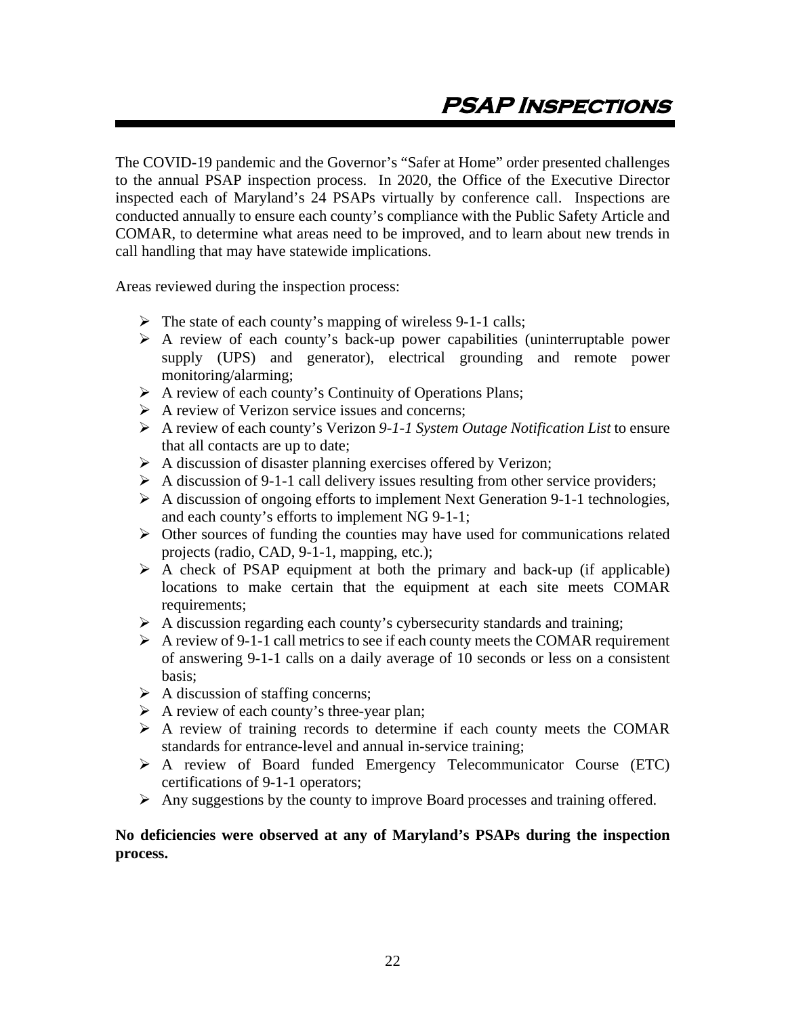<span id="page-22-0"></span>The COVID-19 pandemic and the Governor's "Safer at Home" order presented challenges to the annual PSAP inspection process. In 2020, the Office of the Executive Director inspected each of Maryland's 24 PSAPs virtually by conference call. Inspections are conducted annually to ensure each county's compliance with the Public Safety Article and COMAR, to determine what areas need to be improved, and to learn about new trends in call handling that may have statewide implications.

Areas reviewed during the inspection process:

- $\triangleright$  The state of each county's mapping of wireless 9-1-1 calls;
- $\triangleright$  A review of each county's back-up power capabilities (uninterruptable power supply (UPS) and generator), electrical grounding and remote power monitoring/alarming;
- $\triangleright$  A review of each county's Continuity of Operations Plans;
- $\triangleright$  A review of Verizon service issues and concerns:
- A review of each county's Verizon *9-1-1 System Outage Notification List* to ensure that all contacts are up to date;
- $\triangleright$  A discussion of disaster planning exercises offered by Verizon;
- $\triangleright$  A discussion of 9-1-1 call delivery issues resulting from other service providers;
- $\triangleright$  A discussion of ongoing efforts to implement Next Generation 9-1-1 technologies, and each county's efforts to implement NG 9-1-1;
- $\triangleright$  Other sources of funding the counties may have used for communications related projects (radio, CAD, 9-1-1, mapping, etc.);
- $\triangleright$  A check of PSAP equipment at both the primary and back-up (if applicable) locations to make certain that the equipment at each site meets COMAR requirements;
- $\triangleright$  A discussion regarding each county's cybersecurity standards and training;
- $\triangleright$  A review of 9-1-1 call metrics to see if each county meets the COMAR requirement of answering 9-1-1 calls on a daily average of 10 seconds or less on a consistent basis;
- $\triangleright$  A discussion of staffing concerns;
- $\triangleright$  A review of each county's three-year plan;
- $\triangleright$  A review of training records to determine if each county meets the COMAR standards for entrance-level and annual in-service training;
- A review of Board funded Emergency Telecommunicator Course (ETC) certifications of 9-1-1 operators;
- $\triangleright$  Any suggestions by the county to improve Board processes and training offered.

#### **No deficiencies were observed at any of Maryland's PSAPs during the inspection process.**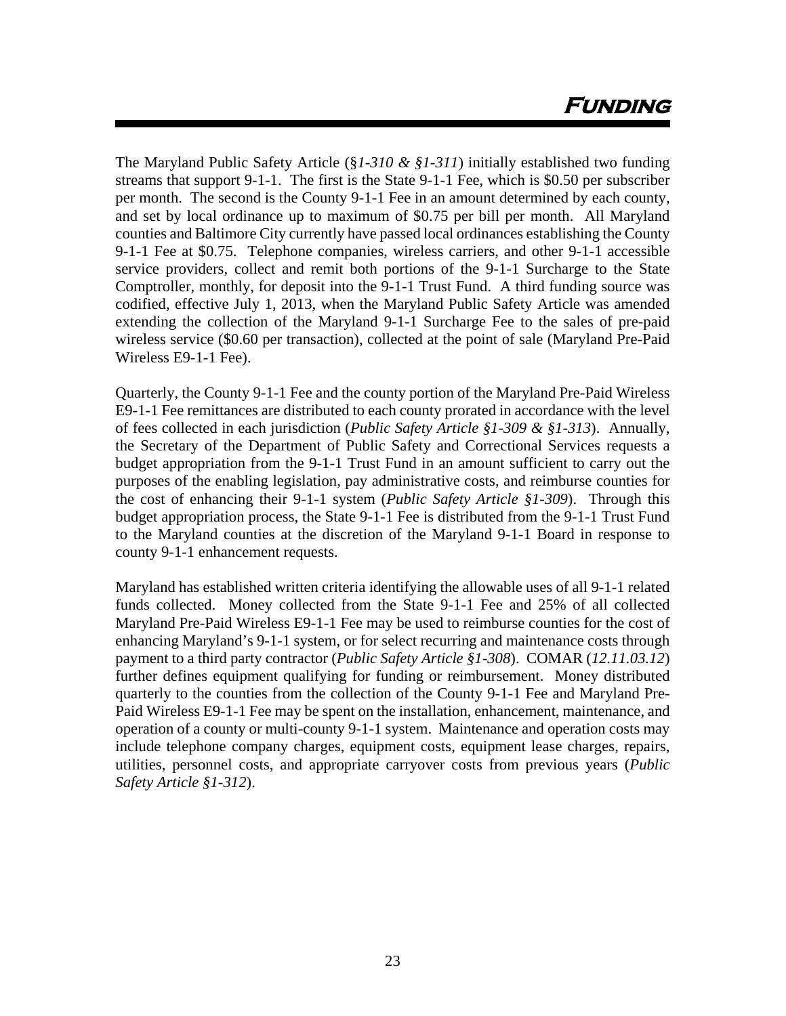The Maryland Public Safety Article (§*1-310 & §1-311*) initially established two funding streams that support 9-1-1. The first is the State 9-1-1 Fee, which is \$0.50 per subscriber per month. The second is the County 9-1-1 Fee in an amount determined by each county, and set by local ordinance up to maximum of \$0.75 per bill per month. All Maryland counties and Baltimore City currently have passed local ordinances establishing the County 9-1-1 Fee at \$0.75. Telephone companies, wireless carriers, and other 9-1-1 accessible service providers, collect and remit both portions of the 9-1-1 Surcharge to the State Comptroller, monthly, for deposit into the 9-1-1 Trust Fund. A third funding source was codified, effective July 1, 2013, when the Maryland Public Safety Article was amended extending the collection of the Maryland 9-1-1 Surcharge Fee to the sales of pre-paid wireless service (\$0.60 per transaction), collected at the point of sale (Maryland Pre-Paid Wireless E9-1-1 Fee).

Quarterly, the County 9-1-1 Fee and the county portion of the Maryland Pre-Paid Wireless E9-1-1 Fee remittances are distributed to each county prorated in accordance with the level of fees collected in each jurisdiction (*Public Safety Article §1-309 & §1-313*). Annually, the Secretary of the Department of Public Safety and Correctional Services requests a budget appropriation from the 9-1-1 Trust Fund in an amount sufficient to carry out the purposes of the enabling legislation, pay administrative costs, and reimburse counties for the cost of enhancing their 9-1-1 system (*Public Safety Article §1-309*). Through this budget appropriation process, the State 9-1-1 Fee is distributed from the 9-1-1 Trust Fund to the Maryland counties at the discretion of the Maryland 9-1-1 Board in response to county 9-1-1 enhancement requests.

Maryland has established written criteria identifying the allowable uses of all 9-1-1 related funds collected. Money collected from the State 9-1-1 Fee and 25% of all collected Maryland Pre-Paid Wireless E9-1-1 Fee may be used to reimburse counties for the cost of enhancing Maryland's 9-1-1 system, or for select recurring and maintenance costs through payment to a third party contractor (*Public Safety Article §1-308*). COMAR (*12.11.03.12*) further defines equipment qualifying for funding or reimbursement. Money distributed quarterly to the counties from the collection of the County 9-1-1 Fee and Maryland Pre-Paid Wireless E9-1-1 Fee may be spent on the installation, enhancement, maintenance, and operation of a county or multi-county 9-1-1 system. Maintenance and operation costs may include telephone company charges, equipment costs, equipment lease charges, repairs, utilities, personnel costs, and appropriate carryover costs from previous years (*Public Safety Article §1-312*).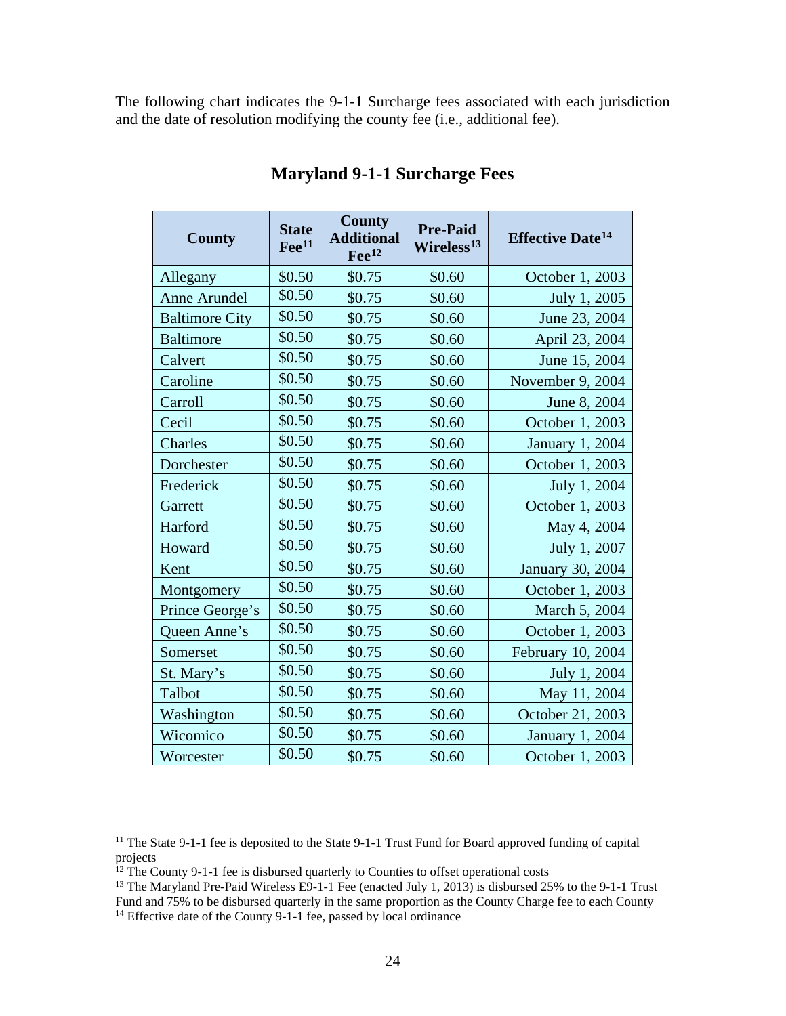The following chart indicates the 9-1-1 Surcharge fees associated with each jurisdiction and the date of resolution modifying the county fee (i.e., additional fee).

| <b>County</b>         | <b>State</b><br>$\text{Fe}^{11}$ | <b>County</b><br><b>Additional</b><br>$\text{Fe}^{12}$ | <b>Pre-Paid</b><br>Wireless <sup>13</sup> | <b>Effective Date<sup>14</sup></b> |
|-----------------------|----------------------------------|--------------------------------------------------------|-------------------------------------------|------------------------------------|
| Allegany              | \$0.50                           | \$0.75                                                 | \$0.60                                    | October 1, 2003                    |
| Anne Arundel          | \$0.50                           | \$0.75                                                 | \$0.60                                    | July 1, 2005                       |
| <b>Baltimore City</b> | \$0.50                           | \$0.75                                                 | \$0.60                                    | June 23, 2004                      |
| <b>Baltimore</b>      | \$0.50                           | \$0.75                                                 | \$0.60                                    | April 23, 2004                     |
| Calvert               | \$0.50                           | \$0.75                                                 | \$0.60                                    | June 15, 2004                      |
| Caroline              | \$0.50                           | \$0.75                                                 | \$0.60                                    | November 9, 2004                   |
| Carroll               | \$0.50                           | \$0.75                                                 | \$0.60                                    | June 8, 2004                       |
| Cecil                 | \$0.50                           | \$0.75                                                 | \$0.60                                    | October 1, 2003                    |
| Charles               | \$0.50                           | \$0.75                                                 | \$0.60                                    | <b>January 1, 2004</b>             |
| Dorchester            | \$0.50                           | \$0.75                                                 | \$0.60                                    | October 1, 2003                    |
| Frederick             | \$0.50                           | \$0.75                                                 | \$0.60                                    | July 1, 2004                       |
| Garrett               | \$0.50                           | \$0.75                                                 | \$0.60                                    | October 1, 2003                    |
| Harford               | \$0.50                           | \$0.75                                                 | \$0.60                                    | May 4, 2004                        |
| Howard                | \$0.50                           | \$0.75                                                 | \$0.60                                    | July 1, 2007                       |
| Kent                  | \$0.50                           | \$0.75                                                 | \$0.60                                    | January 30, 2004                   |
| Montgomery            | \$0.50                           | \$0.75                                                 | \$0.60                                    | October 1, 2003                    |
| Prince George's       | \$0.50                           | \$0.75                                                 | \$0.60                                    | March 5, 2004                      |
| Queen Anne's          | \$0.50                           | \$0.75                                                 | \$0.60                                    | October 1, 2003                    |
| Somerset              | \$0.50                           | \$0.75                                                 | \$0.60                                    | February 10, 2004                  |
| St. Mary's            | \$0.50                           | \$0.75                                                 | \$0.60                                    | July 1, 2004                       |
| Talbot                | \$0.50                           | \$0.75                                                 | \$0.60                                    | May 11, 2004                       |
| Washington            | \$0.50                           | \$0.75                                                 | \$0.60                                    | October 21, 2003                   |
| Wicomico              | \$0.50                           | \$0.75                                                 | \$0.60                                    | <b>January 1, 2004</b>             |
| Worcester             | \$0.50                           | \$0.75                                                 | \$0.60                                    | October 1, 2003                    |

## **Maryland 9-1-1 Surcharge Fees**

<span id="page-24-0"></span><sup>&</sup>lt;sup>11</sup> The State 9-1-1 fee is deposited to the State 9-1-1 Trust Fund for Board approved funding of capital projects<br><sup>12</sup> The County 9-1-1 fee is disbursed quarterly to Counties to offset operational costs

<span id="page-24-3"></span><span id="page-24-2"></span><span id="page-24-1"></span><sup>&</sup>lt;sup>13</sup> The Maryland Pre-Paid Wireless E9-1-1 Fee (enacted July 1, 2013) is disbursed 25% to the 9-1-1 Trust Fund and 75% to be disbursed quarterly in the same proportion as the County Charge fee to each County <sup>14</sup> Effective date of the County 9-1-1 fee, passed by local ordinance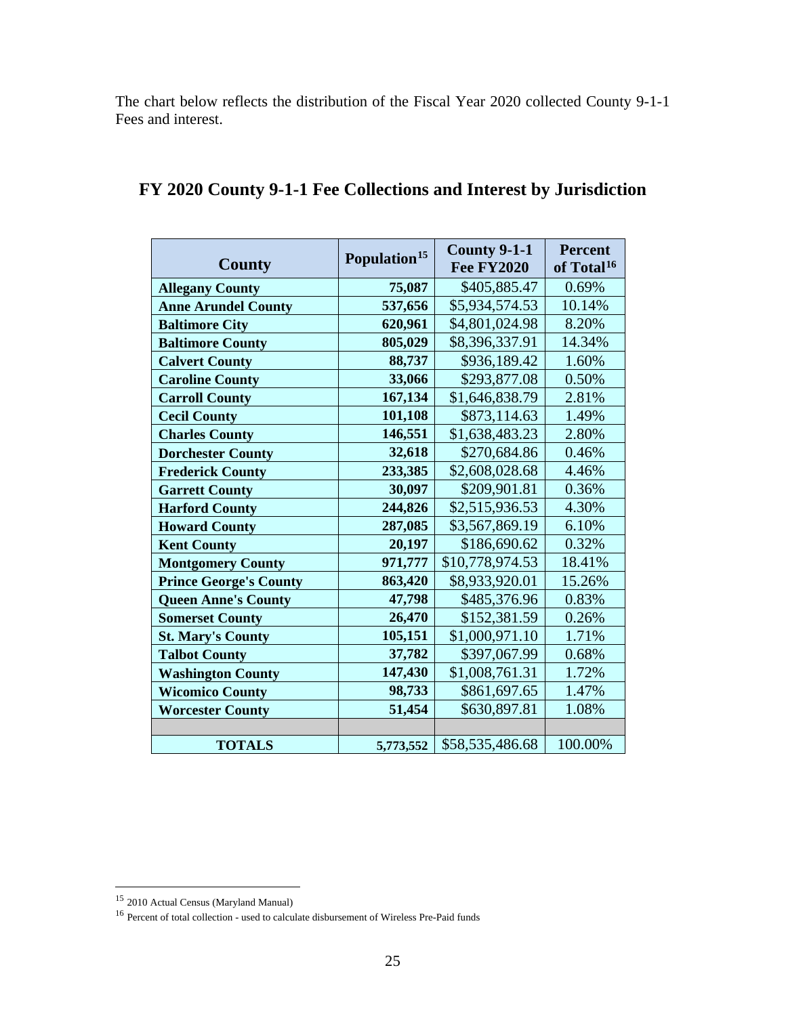The chart below reflects the distribution of the Fiscal Year 2020 collected County 9-1-1 Fees and interest.

| County                        | Population <sup>15</sup> | <b>County 9-1-1</b><br><b>Fee FY2020</b> | <b>Percent</b><br>of Total <sup>16</sup> |
|-------------------------------|--------------------------|------------------------------------------|------------------------------------------|
| <b>Allegany County</b>        | 75,087                   | \$405,885.47                             | 0.69%                                    |
| <b>Anne Arundel County</b>    | 537,656                  | \$5,934,574.53                           | 10.14%                                   |
| <b>Baltimore City</b>         | 620,961                  | \$4,801,024.98                           | 8.20%                                    |
| <b>Baltimore County</b>       | 805,029                  | \$8,396,337.91                           | 14.34%                                   |
| <b>Calvert County</b>         | 88,737                   | \$936,189.42                             | 1.60%                                    |
| <b>Caroline County</b>        | 33,066                   | \$293,877.08                             | 0.50%                                    |
| <b>Carroll County</b>         | 167,134                  | \$1,646,838.79                           | 2.81%                                    |
| <b>Cecil County</b>           | 101,108                  | \$873,114.63                             | 1.49%                                    |
| <b>Charles County</b>         | 146,551                  | \$1,638,483.23                           | 2.80%                                    |
| <b>Dorchester County</b>      | 32,618                   | \$270,684.86                             | 0.46%                                    |
| <b>Frederick County</b>       | 233,385                  | \$2,608,028.68                           | 4.46%                                    |
| <b>Garrett County</b>         | 30,097                   | \$209,901.81                             | 0.36%                                    |
| <b>Harford County</b>         | 244,826                  | \$2,515,936.53                           | 4.30%                                    |
| <b>Howard County</b>          | 287,085                  | \$3,567,869.19                           | 6.10%                                    |
| <b>Kent County</b>            | 20,197                   | \$186,690.62                             | 0.32%                                    |
| <b>Montgomery County</b>      | 971,777                  | \$10,778,974.53                          | 18.41%                                   |
| <b>Prince George's County</b> | 863,420                  | \$8,933,920.01                           | 15.26%                                   |
| <b>Queen Anne's County</b>    | 47,798                   | \$485,376.96                             | 0.83%                                    |
| <b>Somerset County</b>        | 26,470                   | \$152,381.59                             | 0.26%                                    |
| <b>St. Mary's County</b>      | 105,151                  | \$1,000,971.10                           | 1.71%                                    |
| <b>Talbot County</b>          | 37,782                   | \$397,067.99                             | 0.68%                                    |
| <b>Washington County</b>      | 147,430                  | \$1,008,761.31                           | 1.72%                                    |
| <b>Wicomico County</b>        | 98,733                   | \$861,697.65                             | 1.47%                                    |
| <b>Worcester County</b>       | 51,454                   | \$630,897.81                             | 1.08%                                    |
|                               |                          |                                          |                                          |
| <b>TOTALS</b>                 | 5,773,552                | \$58,535,486.68                          | 100.00%                                  |

## **FY 2020 County 9-1-1 Fee Collections and Interest by Jurisdiction**

<span id="page-25-0"></span> <sup>15</sup> 2010 Actual Census (Maryland Manual)

<span id="page-25-1"></span><sup>&</sup>lt;sup>16</sup> Percent of total collection - used to calculate disbursement of Wireless Pre-Paid funds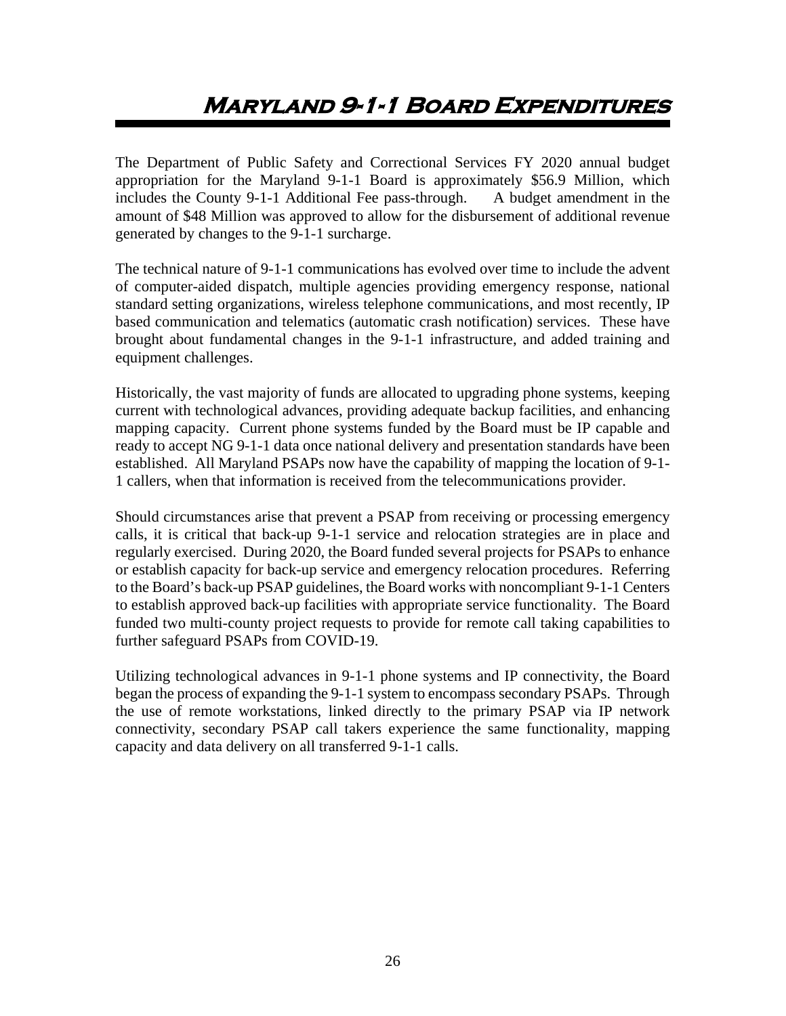# <span id="page-26-0"></span>**Maryland 9-1-1 Board Expenditures**

The Department of Public Safety and Correctional Services FY 2020 annual budget appropriation for the Maryland 9-1-1 Board is approximately \$56.9 Million, which includes the County 9-1-1 Additional Fee pass-through. A budget amendment in the amount of \$48 Million was approved to allow for the disbursement of additional revenue generated by changes to the 9-1-1 surcharge.

The technical nature of 9-1-1 communications has evolved over time to include the advent of computer-aided dispatch, multiple agencies providing emergency response, national standard setting organizations, wireless telephone communications, and most recently, IP based communication and telematics (automatic crash notification) services. These have brought about fundamental changes in the 9-1-1 infrastructure, and added training and equipment challenges.

Historically, the vast majority of funds are allocated to upgrading phone systems, keeping current with technological advances, providing adequate backup facilities, and enhancing mapping capacity. Current phone systems funded by the Board must be IP capable and ready to accept NG 9-1-1 data once national delivery and presentation standards have been established. All Maryland PSAPs now have the capability of mapping the location of 9-1- 1 callers, when that information is received from the telecommunications provider.

Should circumstances arise that prevent a PSAP from receiving or processing emergency calls, it is critical that back-up 9-1-1 service and relocation strategies are in place and regularly exercised. During 2020, the Board funded several projects for PSAPs to enhance or establish capacity for back-up service and emergency relocation procedures. Referring to the Board's back-up PSAP guidelines, the Board works with noncompliant 9-1-1 Centers to establish approved back-up facilities with appropriate service functionality. The Board funded two multi-county project requests to provide for remote call taking capabilities to further safeguard PSAPs from COVID-19.

Utilizing technological advances in 9-1-1 phone systems and IP connectivity, the Board began the process of expanding the 9-1-1 system to encompass secondary PSAPs. Through the use of remote workstations, linked directly to the primary PSAP via IP network connectivity, secondary PSAP call takers experience the same functionality, mapping capacity and data delivery on all transferred 9-1-1 calls.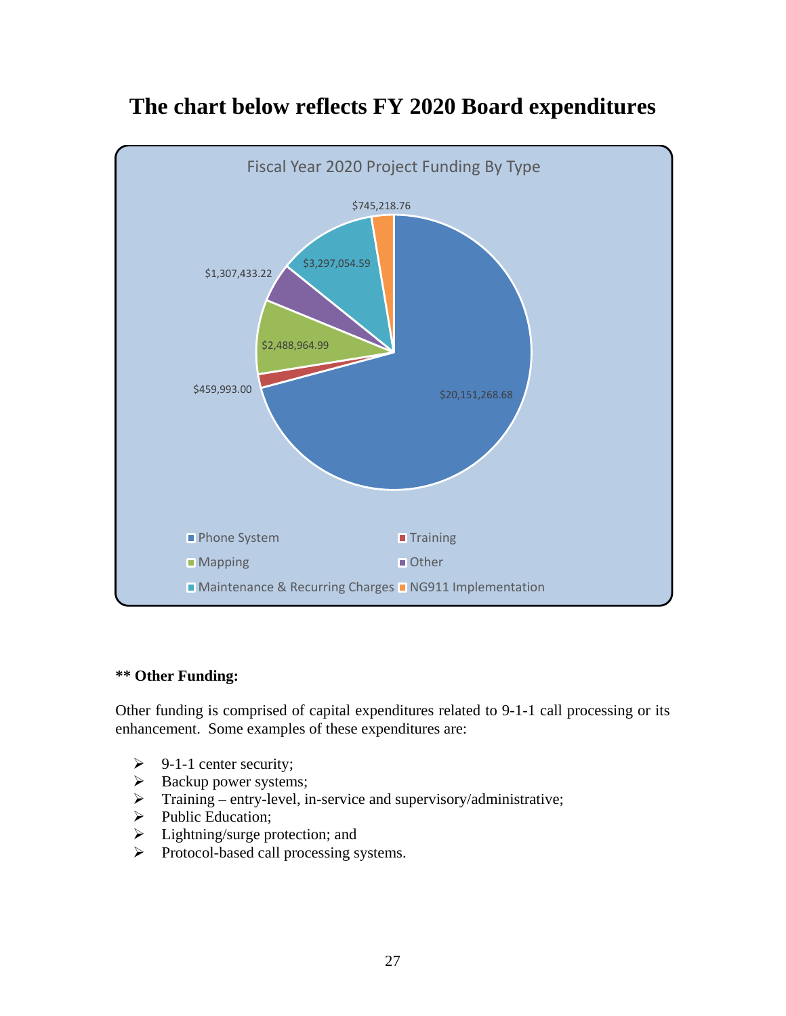

# **The chart below reflects FY 2020 Board expenditures**

#### **\*\* Other Funding:**

Other funding is comprised of capital expenditures related to 9-1-1 call processing or its enhancement. Some examples of these expenditures are:

- $\triangleright$  9-1-1 center security;
- $\triangleright$  Backup power systems;
- $\triangleright$  Training entry-level, in-service and supervisory/administrative;
- $\triangleright$  Public Education;
- $\triangleright$  Lightning/surge protection; and
- Protocol-based call processing systems.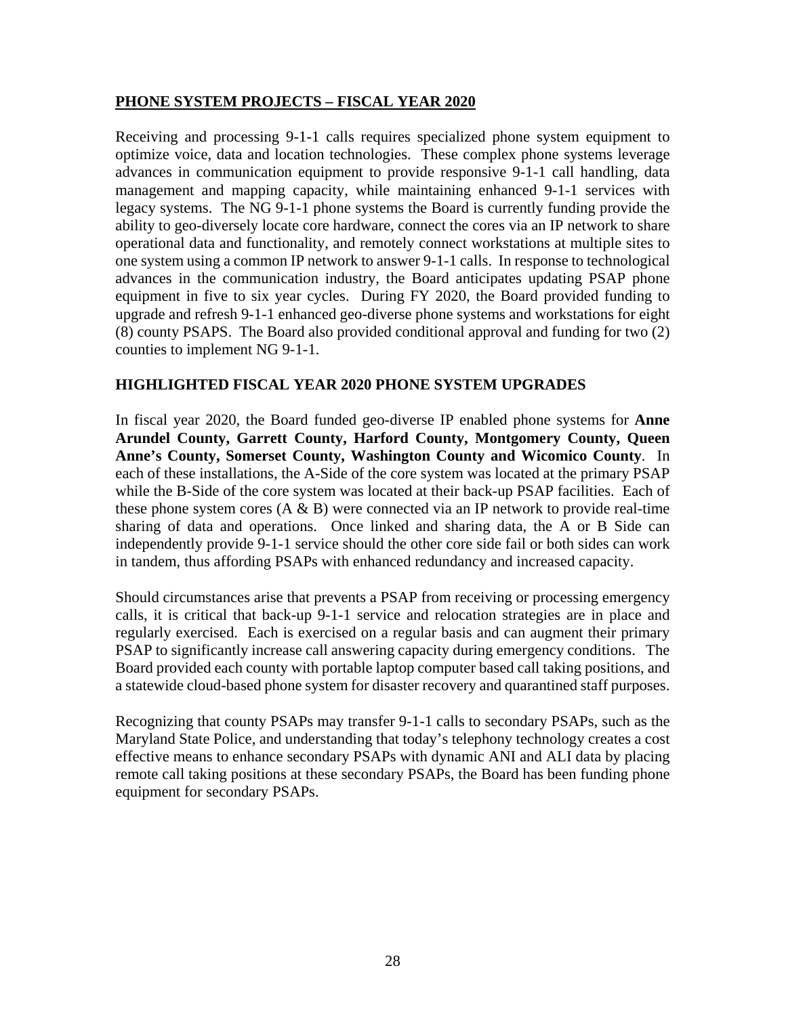#### **PHONE SYSTEM PROJECTS – FISCAL YEAR 2020**

Receiving and processing 9-1-1 calls requires specialized phone system equipment to optimize voice, data and location technologies. These complex phone systems leverage advances in communication equipment to provide responsive 9-1-1 call handling, data management and mapping capacity, while maintaining enhanced 9-1-1 services with legacy systems. The NG 9-1-1 phone systems the Board is currently funding provide the ability to geo-diversely locate core hardware, connect the cores via an IP network to share operational data and functionality, and remotely connect workstations at multiple sites to one system using a common IP network to answer 9-1-1 calls. In response to technological advances in the communication industry, the Board anticipates updating PSAP phone equipment in five to six year cycles. During FY 2020, the Board provided funding to upgrade and refresh 9-1-1 enhanced geo-diverse phone systems and workstations for eight (8) county PSAPS. The Board also provided conditional approval and funding for two (2) counties to implement NG 9-1-1.

#### **HIGHLIGHTED FISCAL YEAR 2020 PHONE SYSTEM UPGRADES**

In fiscal year 2020, the Board funded geo-diverse IP enabled phone systems for **Anne Arundel County, Garrett County, Harford County, Montgomery County, Queen Anne's County, Somerset County, Washington County and Wicomico County**. In each of these installations, the A-Side of the core system was located at the primary PSAP while the B-Side of the core system was located at their back-up PSAP facilities. Each of these phone system cores  $(A \& B)$  were connected via an IP network to provide real-time sharing of data and operations. Once linked and sharing data, the A or B Side can independently provide 9-1-1 service should the other core side fail or both sides can work in tandem, thus affording PSAPs with enhanced redundancy and increased capacity.

Should circumstances arise that prevents a PSAP from receiving or processing emergency calls, it is critical that back-up 9-1-1 service and relocation strategies are in place and regularly exercised. Each is exercised on a regular basis and can augment their primary PSAP to significantly increase call answering capacity during emergency conditions. The Board provided each county with portable laptop computer based call taking positions, and a statewide cloud-based phone system for disaster recovery and quarantined staff purposes.

Recognizing that county PSAPs may transfer 9-1-1 calls to secondary PSAPs, such as the Maryland State Police, and understanding that today's telephony technology creates a cost effective means to enhance secondary PSAPs with dynamic ANI and ALI data by placing remote call taking positions at these secondary PSAPs, the Board has been funding phone equipment for secondary PSAPs.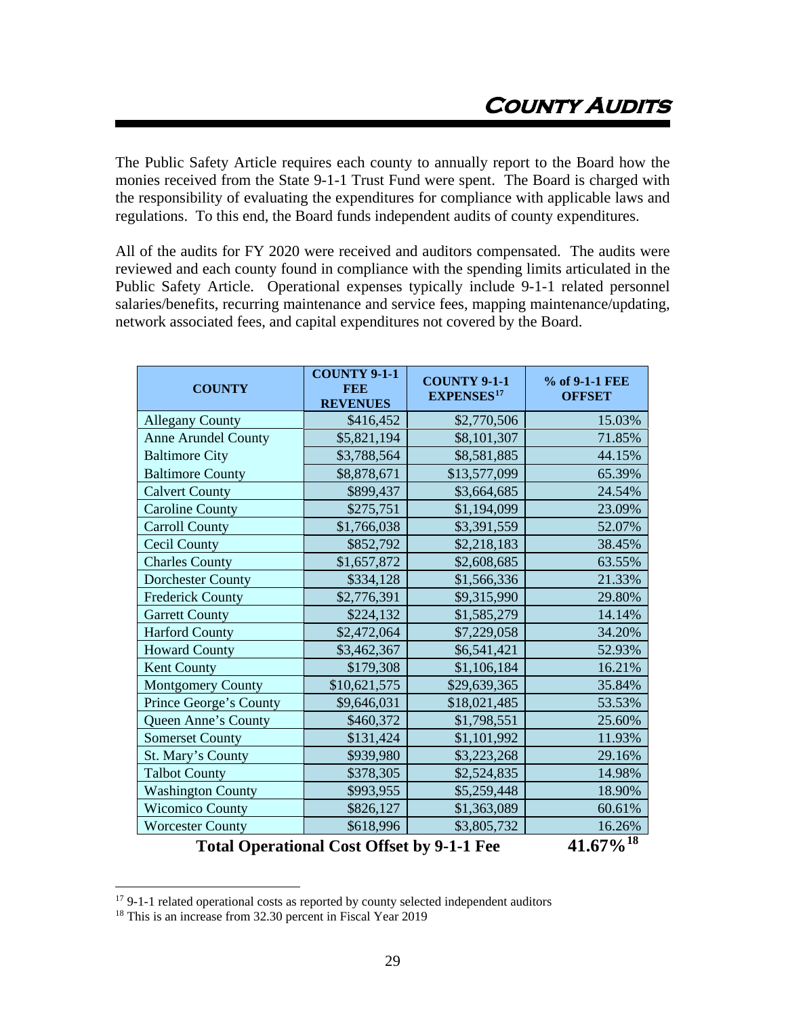<span id="page-29-0"></span>The Public Safety Article requires each county to annually report to the Board how the monies received from the State 9-1-1 Trust Fund were spent. The Board is charged with the responsibility of evaluating the expenditures for compliance with applicable laws and regulations. To this end, the Board funds independent audits of county expenditures.

All of the audits for FY 2020 were received and auditors compensated. The audits were reviewed and each county found in compliance with the spending limits articulated in the Public Safety Article. Operational expenses typically include 9-1-1 related personnel salaries/benefits, recurring maintenance and service fees, mapping maintenance/updating, network associated fees, and capital expenditures not covered by the Board.

| <b>COUNTY</b>                                                                                        | <b>COUNTY 9-1-1</b><br><b>FEE</b><br><b>REVENUES</b> | <b>COUNTY 9-1-1</b><br><b>EXPENSES<sup>17</sup></b> | % of 9-1-1 FEE<br><b>OFFSET</b> |  |  |
|------------------------------------------------------------------------------------------------------|------------------------------------------------------|-----------------------------------------------------|---------------------------------|--|--|
| <b>Allegany County</b>                                                                               | \$416,452                                            | \$2,770,506                                         | 15.03%                          |  |  |
| <b>Anne Arundel County</b>                                                                           | \$5,821,194                                          | \$8,101,307                                         | 71.85%                          |  |  |
| <b>Baltimore City</b>                                                                                | \$3,788,564                                          | \$8,581,885                                         | 44.15%                          |  |  |
| <b>Baltimore County</b>                                                                              | \$8,878,671                                          | \$13,577,099                                        | 65.39%                          |  |  |
| <b>Calvert County</b>                                                                                | \$899,437                                            | \$3,664,685                                         | 24.54%                          |  |  |
| <b>Caroline County</b>                                                                               | \$275,751                                            | \$1,194,099                                         | 23.09%                          |  |  |
| <b>Carroll County</b>                                                                                | \$1,766,038                                          | \$3,391,559                                         | 52.07%                          |  |  |
| <b>Cecil County</b>                                                                                  | \$852,792                                            | \$2,218,183                                         | 38.45%                          |  |  |
| <b>Charles County</b>                                                                                | \$1,657,872                                          | \$2,608,685                                         | 63.55%                          |  |  |
| <b>Dorchester County</b>                                                                             | \$334,128                                            | \$1,566,336                                         | 21.33%                          |  |  |
| <b>Frederick County</b>                                                                              | \$2,776,391                                          | \$9,315,990                                         | 29.80%                          |  |  |
| <b>Garrett County</b>                                                                                | \$224,132                                            | \$1,585,279                                         | 14.14%                          |  |  |
| <b>Harford County</b>                                                                                | \$2,472,064                                          | \$7,229,058                                         | 34.20%                          |  |  |
| <b>Howard County</b>                                                                                 | \$3,462,367                                          | \$6,541,421                                         | 52.93%                          |  |  |
| <b>Kent County</b>                                                                                   | \$179,308                                            | \$1,106,184                                         | 16.21%                          |  |  |
| <b>Montgomery County</b>                                                                             | \$10,621,575                                         | \$29,639,365                                        | 35.84%                          |  |  |
| Prince George's County                                                                               | \$9,646,031                                          | \$18,021,485                                        | 53.53%                          |  |  |
| Queen Anne's County                                                                                  | \$460,372                                            | \$1,798,551                                         | 25.60%                          |  |  |
| <b>Somerset County</b>                                                                               | \$131,424                                            | \$1,101,992                                         | 11.93%                          |  |  |
| St. Mary's County                                                                                    | \$939,980                                            | \$3,223,268                                         | 29.16%                          |  |  |
| <b>Talbot County</b>                                                                                 | \$378,305                                            | \$2,524,835                                         | 14.98%                          |  |  |
| <b>Washington County</b>                                                                             | \$993,955                                            | \$5,259,448                                         | 18.90%                          |  |  |
| <b>Wicomico County</b>                                                                               | \$826,127                                            | \$1,363,089                                         | 60.61%                          |  |  |
| <b>Worcester County</b>                                                                              | \$618,996                                            | \$3,805,732                                         | 16.26%                          |  |  |
| 41.670/18<br>$T_{\rm{H}}$ $\sim$ $1\Omega$<br>$\sim 10^{-1}$ $\sim 0.00$ $\sim 1$ $\sim 0.11$ $\sim$ |                                                      |                                                     |                                 |  |  |

**Total Operational Cost Offset by 9-1-1 Fee**  $\hspace{1.6cm}$  **41.67%** 

<span id="page-29-1"></span><sup>&</sup>lt;sup>17</sup> 9-1-1 related operational costs as reported by county selected independent auditors

<span id="page-29-2"></span><sup>&</sup>lt;sup>18</sup> This is an increase from 32.30 percent in Fiscal Year 2019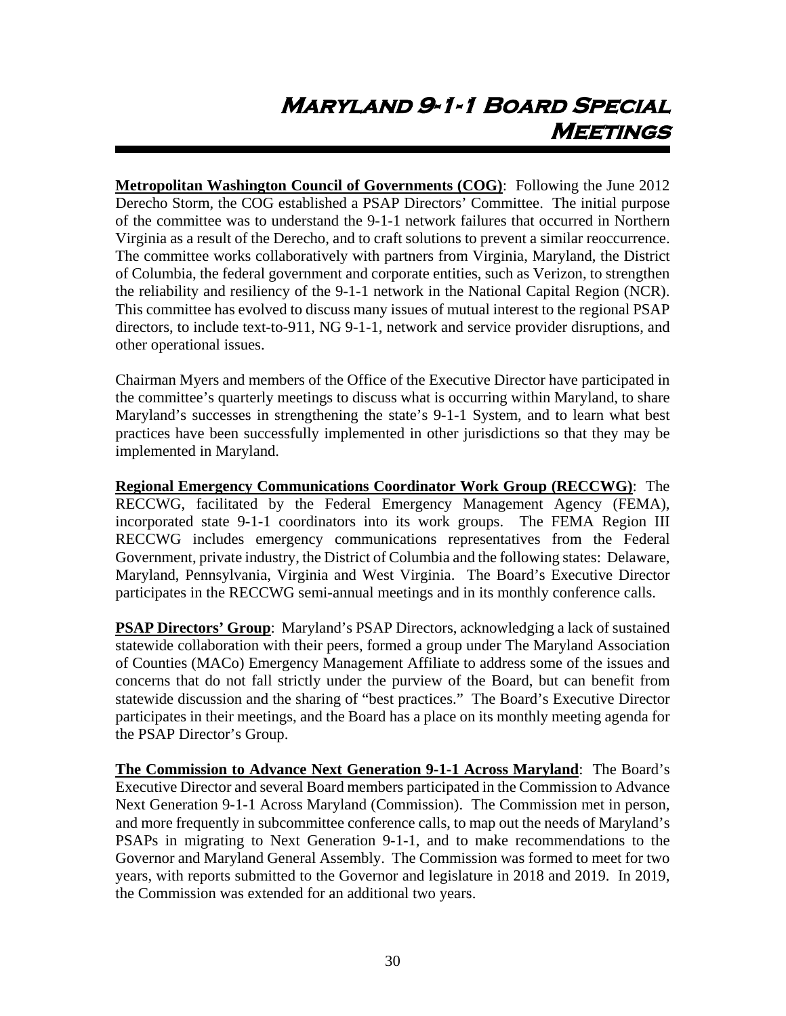# <span id="page-30-0"></span>**Maryland 9-1-1 Board Special Meetings**

**Metropolitan Washington Council of Governments (COG)**: Following the June 2012 Derecho Storm, the COG established a PSAP Directors' Committee. The initial purpose of the committee was to understand the 9-1-1 network failures that occurred in Northern Virginia as a result of the Derecho, and to craft solutions to prevent a similar reoccurrence. The committee works collaboratively with partners from Virginia, Maryland, the District of Columbia, the federal government and corporate entities, such as Verizon, to strengthen the reliability and resiliency of the 9-1-1 network in the National Capital Region (NCR). This committee has evolved to discuss many issues of mutual interest to the regional PSAP directors, to include text-to-911, NG 9-1-1, network and service provider disruptions, and other operational issues.

Chairman Myers and members of the Office of the Executive Director have participated in the committee's quarterly meetings to discuss what is occurring within Maryland, to share Maryland's successes in strengthening the state's 9-1-1 System, and to learn what best practices have been successfully implemented in other jurisdictions so that they may be implemented in Maryland.

**Regional Emergency Communications Coordinator Work Group (RECCWG)**: The RECCWG, facilitated by the Federal Emergency Management Agency (FEMA), incorporated state 9-1-1 coordinators into its work groups. The FEMA Region III RECCWG includes emergency communications representatives from the Federal Government, private industry, the District of Columbia and the following states: Delaware, Maryland, Pennsylvania, Virginia and West Virginia. The Board's Executive Director participates in the RECCWG semi-annual meetings and in its monthly conference calls.

**PSAP Directors' Group**: Maryland's PSAP Directors, acknowledging a lack of sustained statewide collaboration with their peers, formed a group under The Maryland Association of Counties (MACo) Emergency Management Affiliate to address some of the issues and concerns that do not fall strictly under the purview of the Board, but can benefit from statewide discussion and the sharing of "best practices." The Board's Executive Director participates in their meetings, and the Board has a place on its monthly meeting agenda for the PSAP Director's Group.

**The Commission to Advance Next Generation 9-1-1 Across Maryland**: The Board's Executive Director and several Board members participated in the Commission to Advance Next Generation 9-1-1 Across Maryland (Commission). The Commission met in person, and more frequently in subcommittee conference calls, to map out the needs of Maryland's PSAPs in migrating to Next Generation 9-1-1, and to make recommendations to the Governor and Maryland General Assembly. The Commission was formed to meet for two years, with reports submitted to the Governor and legislature in 2018 and 2019. In 2019, the Commission was extended for an additional two years.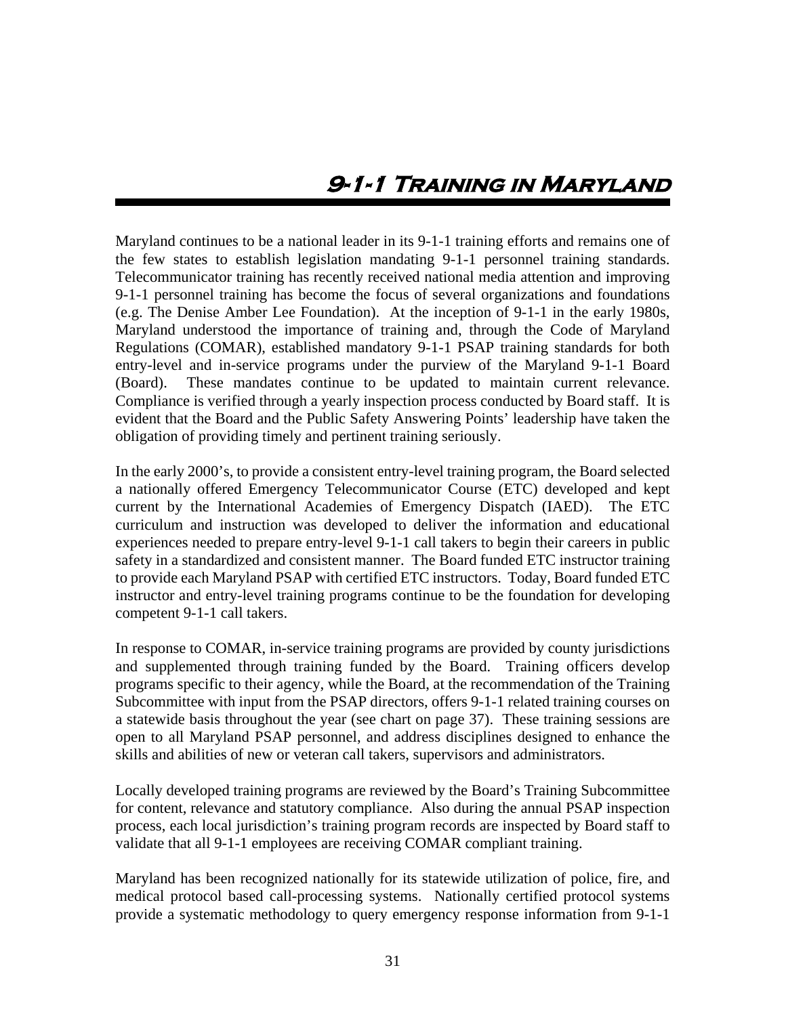## **9-1-1 Training in Maryland**

<span id="page-31-0"></span>Maryland continues to be a national leader in its 9-1-1 training efforts and remains one of the few states to establish legislation mandating 9-1-1 personnel training standards. Telecommunicator training has recently received national media attention and improving 9-1-1 personnel training has become the focus of several organizations and foundations (e.g. The Denise Amber Lee Foundation). At the inception of 9-1-1 in the early 1980s, Maryland understood the importance of training and, through the Code of Maryland Regulations (COMAR), established mandatory 9-1-1 PSAP training standards for both entry-level and in-service programs under the purview of the Maryland 9-1-1 Board (Board). These mandates continue to be updated to maintain current relevance. Compliance is verified through a yearly inspection process conducted by Board staff. It is evident that the Board and the Public Safety Answering Points' leadership have taken the obligation of providing timely and pertinent training seriously.

In the early 2000's, to provide a consistent entry-level training program, the Board selected a nationally offered Emergency Telecommunicator Course (ETC) developed and kept current by the International Academies of Emergency Dispatch (IAED). The ETC curriculum and instruction was developed to deliver the information and educational experiences needed to prepare entry-level 9-1-1 call takers to begin their careers in public safety in a standardized and consistent manner. The Board funded ETC instructor training to provide each Maryland PSAP with certified ETC instructors. Today, Board funded ETC instructor and entry-level training programs continue to be the foundation for developing competent 9-1-1 call takers.

In response to COMAR, in-service training programs are provided by county jurisdictions and supplemented through training funded by the Board. Training officers develop programs specific to their agency, while the Board, at the recommendation of the Training Subcommittee with input from the PSAP directors, offers 9-1-1 related training courses on a statewide basis throughout the year (see chart on page 37). These training sessions are open to all Maryland PSAP personnel, and address disciplines designed to enhance the skills and abilities of new or veteran call takers, supervisors and administrators.

Locally developed training programs are reviewed by the Board's Training Subcommittee for content, relevance and statutory compliance. Also during the annual PSAP inspection process, each local jurisdiction's training program records are inspected by Board staff to validate that all 9-1-1 employees are receiving COMAR compliant training.

Maryland has been recognized nationally for its statewide utilization of police, fire, and medical protocol based call-processing systems. Nationally certified protocol systems provide a systematic methodology to query emergency response information from 9-1-1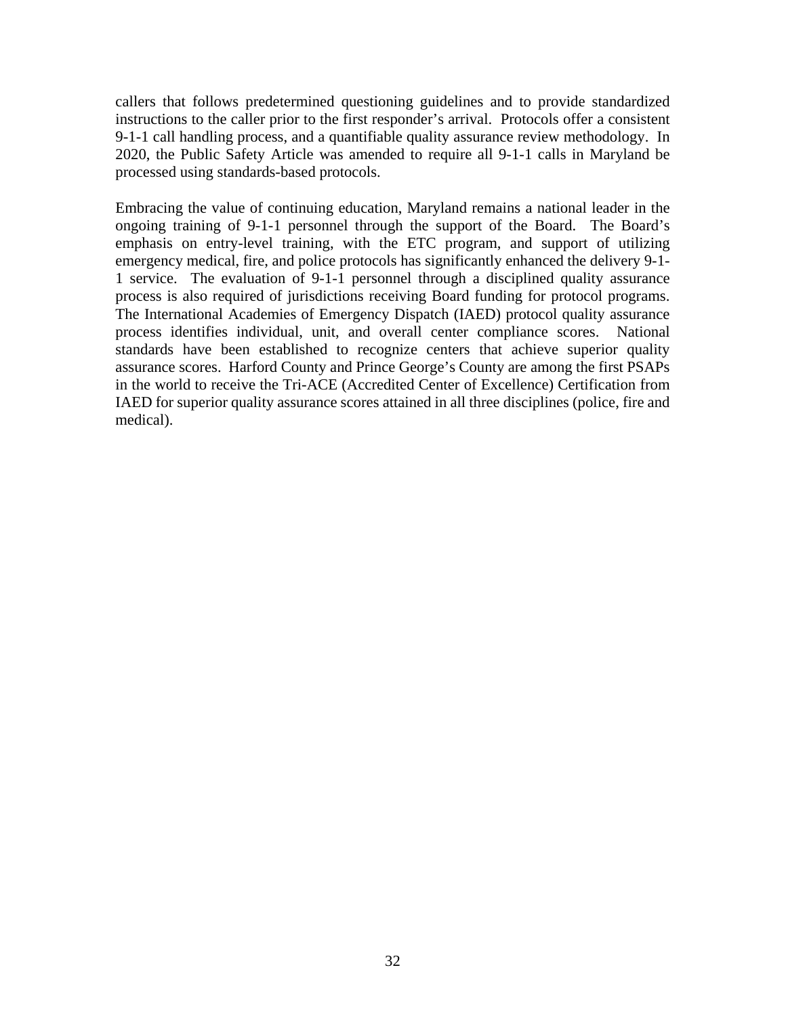callers that follows predetermined questioning guidelines and to provide standardized instructions to the caller prior to the first responder's arrival. Protocols offer a consistent 9-1-1 call handling process, and a quantifiable quality assurance review methodology. In 2020, the Public Safety Article was amended to require all 9-1-1 calls in Maryland be processed using standards-based protocols.

Embracing the value of continuing education, Maryland remains a national leader in the ongoing training of 9-1-1 personnel through the support of the Board. The Board's emphasis on entry-level training, with the ETC program, and support of utilizing emergency medical, fire, and police protocols has significantly enhanced the delivery 9-1- 1 service. The evaluation of 9-1-1 personnel through a disciplined quality assurance process is also required of jurisdictions receiving Board funding for protocol programs. The International Academies of Emergency Dispatch (IAED) protocol quality assurance process identifies individual, unit, and overall center compliance scores. National standards have been established to recognize centers that achieve superior quality assurance scores. Harford County and Prince George's County are among the first PSAPs in the world to receive the Tri-ACE (Accredited Center of Excellence) Certification from IAED for superior quality assurance scores attained in all three disciplines (police, fire and medical).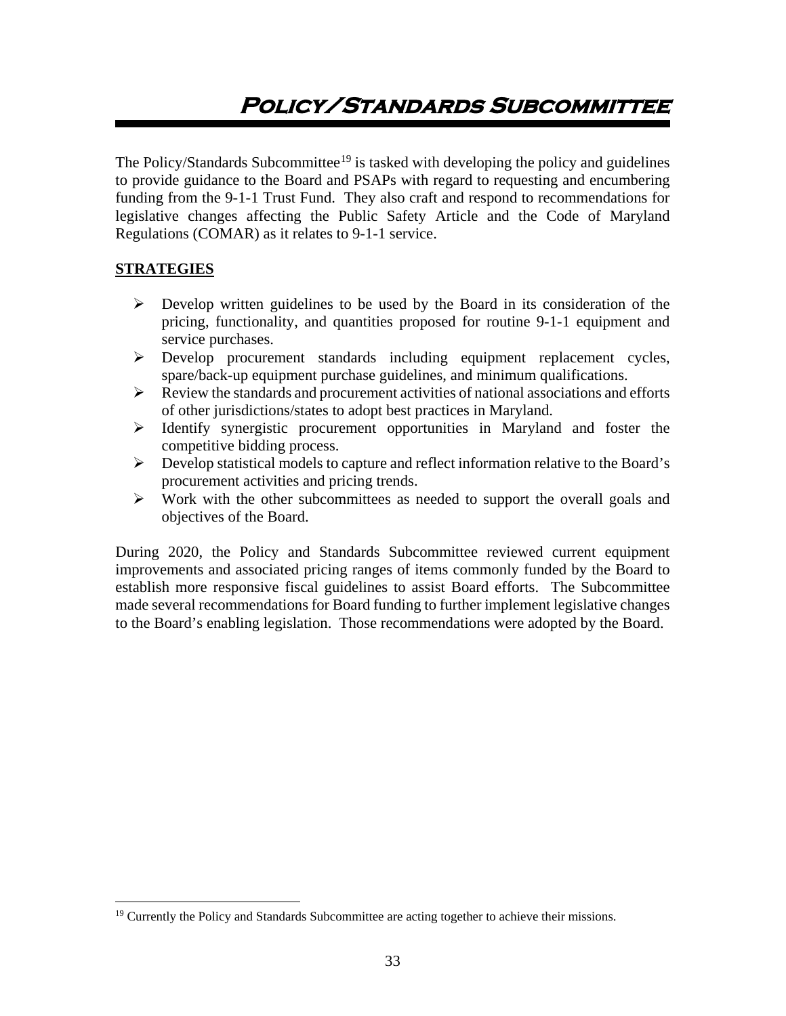# <span id="page-33-0"></span>**Policy/Standards Subcommittee**

The Policy/Standards Subcommittee<sup>[19](#page-33-1)</sup> is tasked with developing the policy and guidelines to provide guidance to the Board and PSAPs with regard to requesting and encumbering funding from the 9-1-1 Trust Fund. They also craft and respond to recommendations for legislative changes affecting the Public Safety Article and the Code of Maryland Regulations (COMAR) as it relates to 9-1-1 service.

#### **STRATEGIES**

- $\triangleright$  Develop written guidelines to be used by the Board in its consideration of the pricing, functionality, and quantities proposed for routine 9-1-1 equipment and service purchases.
- Develop procurement standards including equipment replacement cycles, spare/back-up equipment purchase guidelines, and minimum qualifications.
- $\triangleright$  Review the standards and procurement activities of national associations and efforts of other jurisdictions/states to adopt best practices in Maryland.
- $\triangleright$  Identify synergistic procurement opportunities in Maryland and foster the competitive bidding process.
- $\triangleright$  Develop statistical models to capture and reflect information relative to the Board's procurement activities and pricing trends.
- $\triangleright$  Work with the other subcommittees as needed to support the overall goals and objectives of the Board.

During 2020, the Policy and Standards Subcommittee reviewed current equipment improvements and associated pricing ranges of items commonly funded by the Board to establish more responsive fiscal guidelines to assist Board efforts. The Subcommittee made several recommendations for Board funding to further implement legislative changes to the Board's enabling legislation. Those recommendations were adopted by the Board.

<span id="page-33-1"></span><sup>&</sup>lt;sup>19</sup> Currently the Policy and Standards Subcommittee are acting together to achieve their missions.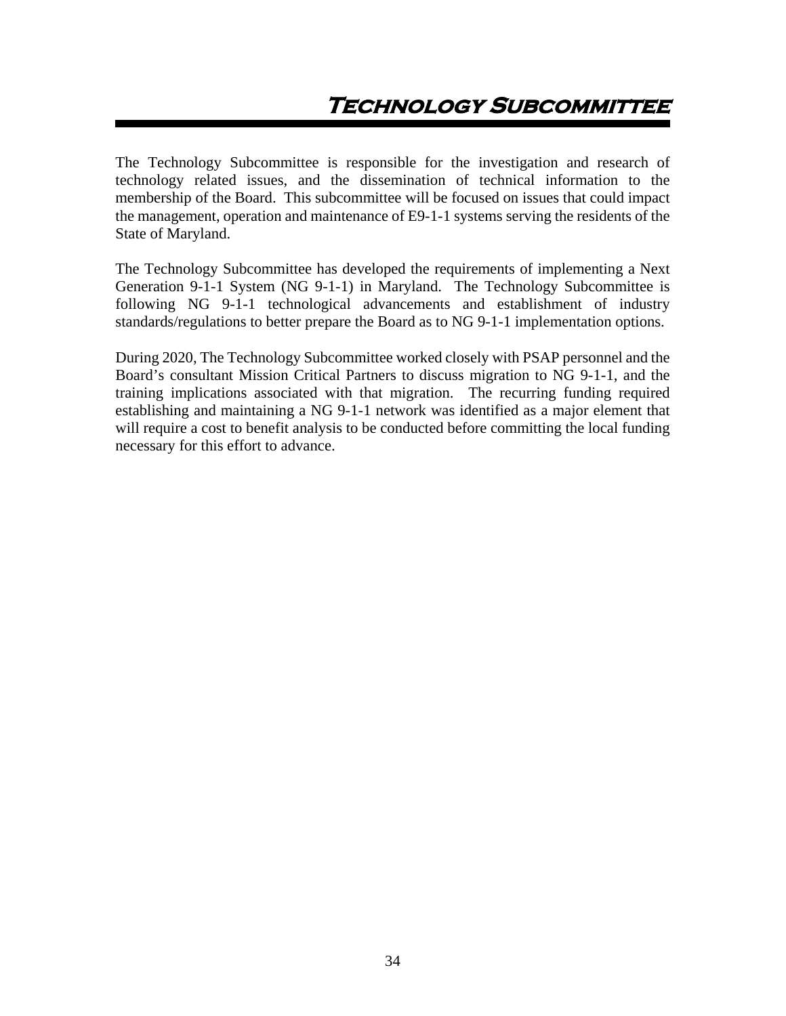<span id="page-34-0"></span>The Technology Subcommittee is responsible for the investigation and research of technology related issues, and the dissemination of technical information to the membership of the Board. This subcommittee will be focused on issues that could impact the management, operation and maintenance of E9-1-1 systems serving the residents of the State of Maryland.

The Technology Subcommittee has developed the requirements of implementing a Next Generation 9-1-1 System (NG 9-1-1) in Maryland. The Technology Subcommittee is following NG 9-1-1 technological advancements and establishment of industry standards/regulations to better prepare the Board as to NG 9-1-1 implementation options.

During 2020, The Technology Subcommittee worked closely with PSAP personnel and the Board's consultant Mission Critical Partners to discuss migration to NG 9-1-1, and the training implications associated with that migration. The recurring funding required establishing and maintaining a NG 9-1-1 network was identified as a major element that will require a cost to benefit analysis to be conducted before committing the local funding necessary for this effort to advance.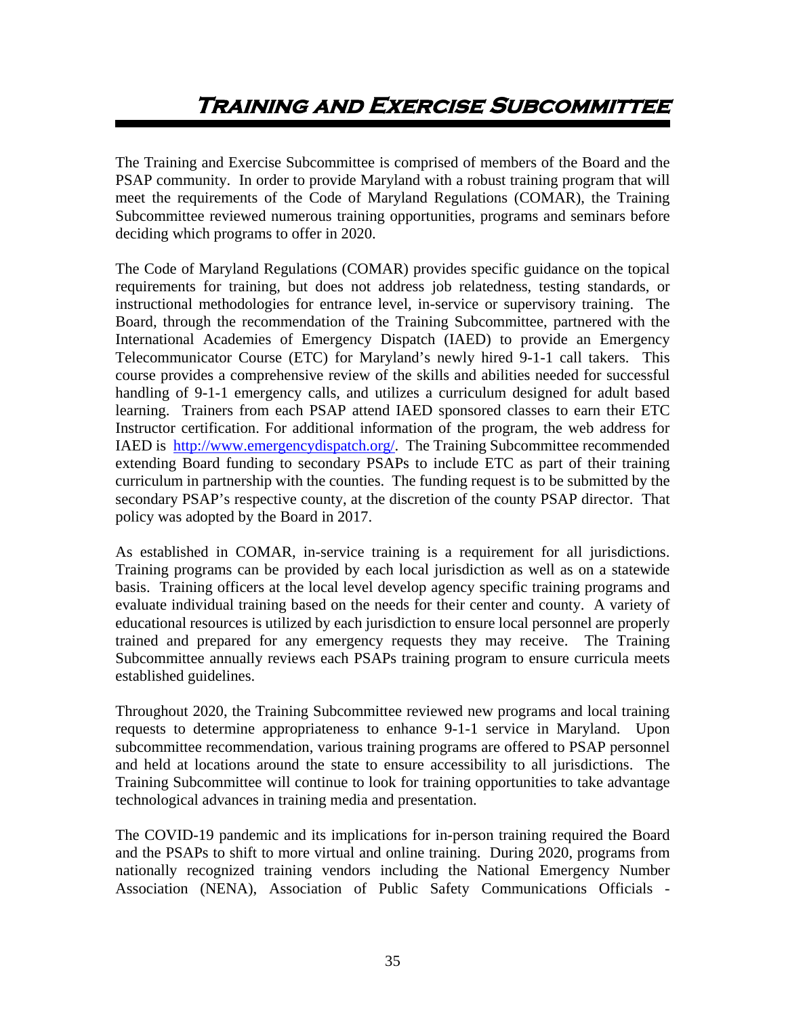<span id="page-35-0"></span>The Training and Exercise Subcommittee is comprised of members of the Board and the PSAP community. In order to provide Maryland with a robust training program that will meet the requirements of the Code of Maryland Regulations (COMAR), the Training Subcommittee reviewed numerous training opportunities, programs and seminars before deciding which programs to offer in 2020.

The Code of Maryland Regulations (COMAR) provides specific guidance on the topical requirements for training, but does not address job relatedness, testing standards, or instructional methodologies for entrance level, in-service or supervisory training. The Board, through the recommendation of the Training Subcommittee, partnered with the International Academies of Emergency Dispatch (IAED) to provide an Emergency Telecommunicator Course (ETC) for Maryland's newly hired 9-1-1 call takers. This course provides a comprehensive review of the skills and abilities needed for successful handling of 9-1-1 emergency calls, and utilizes a curriculum designed for adult based learning. Trainers from each PSAP attend IAED sponsored classes to earn their ETC Instructor certification. For additional information of the program, the web address for IAED is [http://www.emergencydispatch.org/.](http://www.naemd.org/) The Training Subcommittee recommended extending Board funding to secondary PSAPs to include ETC as part of their training curriculum in partnership with the counties. The funding request is to be submitted by the secondary PSAP's respective county, at the discretion of the county PSAP director. That policy was adopted by the Board in 2017.

As established in COMAR, in-service training is a requirement for all jurisdictions. Training programs can be provided by each local jurisdiction as well as on a statewide basis. Training officers at the local level develop agency specific training programs and evaluate individual training based on the needs for their center and county. A variety of educational resources is utilized by each jurisdiction to ensure local personnel are properly trained and prepared for any emergency requests they may receive. The Training Subcommittee annually reviews each PSAPs training program to ensure curricula meets established guidelines.

Throughout 2020, the Training Subcommittee reviewed new programs and local training requests to determine appropriateness to enhance 9-1-1 service in Maryland. Upon subcommittee recommendation, various training programs are offered to PSAP personnel and held at locations around the state to ensure accessibility to all jurisdictions. The Training Subcommittee will continue to look for training opportunities to take advantage technological advances in training media and presentation.

The COVID-19 pandemic and its implications for in-person training required the Board and the PSAPs to shift to more virtual and online training. During 2020, programs from nationally recognized training vendors including the National Emergency Number Association (NENA), Association of Public Safety Communications Officials -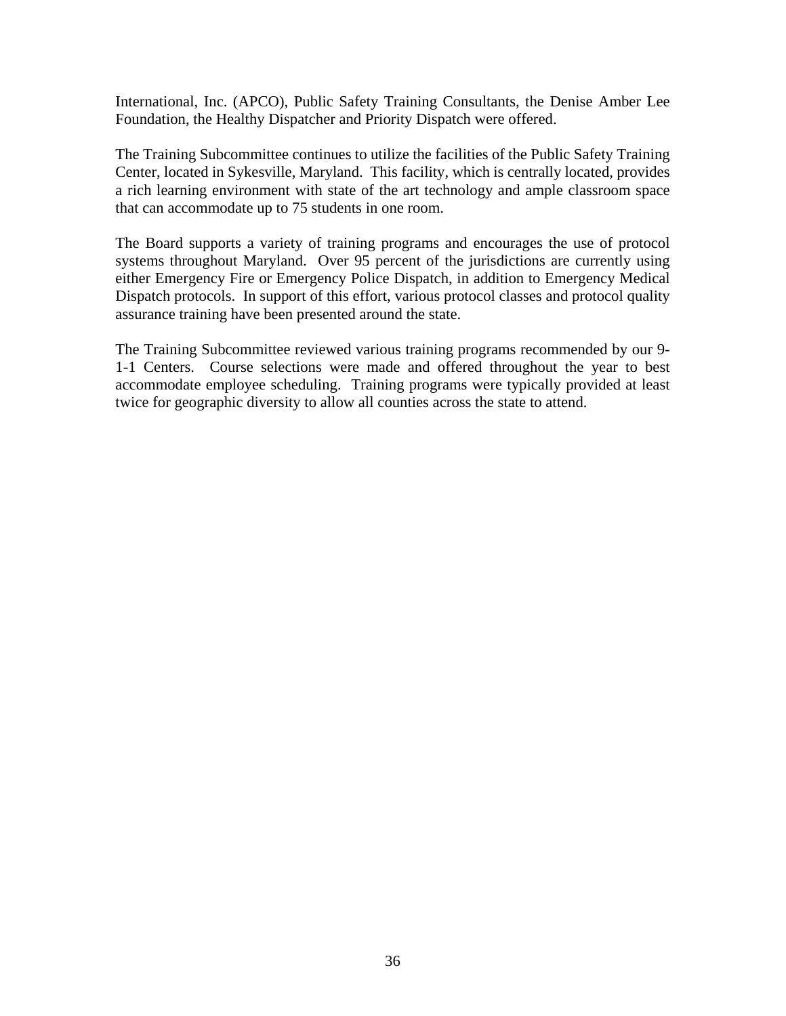International, Inc. (APCO), Public Safety Training Consultants, the Denise Amber Lee Foundation, the Healthy Dispatcher and Priority Dispatch were offered.

The Training Subcommittee continues to utilize the facilities of the Public Safety Training Center, located in Sykesville, Maryland. This facility, which is centrally located, provides a rich learning environment with state of the art technology and ample classroom space that can accommodate up to 75 students in one room.

The Board supports a variety of training programs and encourages the use of protocol systems throughout Maryland. Over 95 percent of the jurisdictions are currently using either Emergency Fire or Emergency Police Dispatch, in addition to Emergency Medical Dispatch protocols. In support of this effort, various protocol classes and protocol quality assurance training have been presented around the state.

The Training Subcommittee reviewed various training programs recommended by our 9- 1-1 Centers. Course selections were made and offered throughout the year to best accommodate employee scheduling. Training programs were typically provided at least twice for geographic diversity to allow all counties across the state to attend.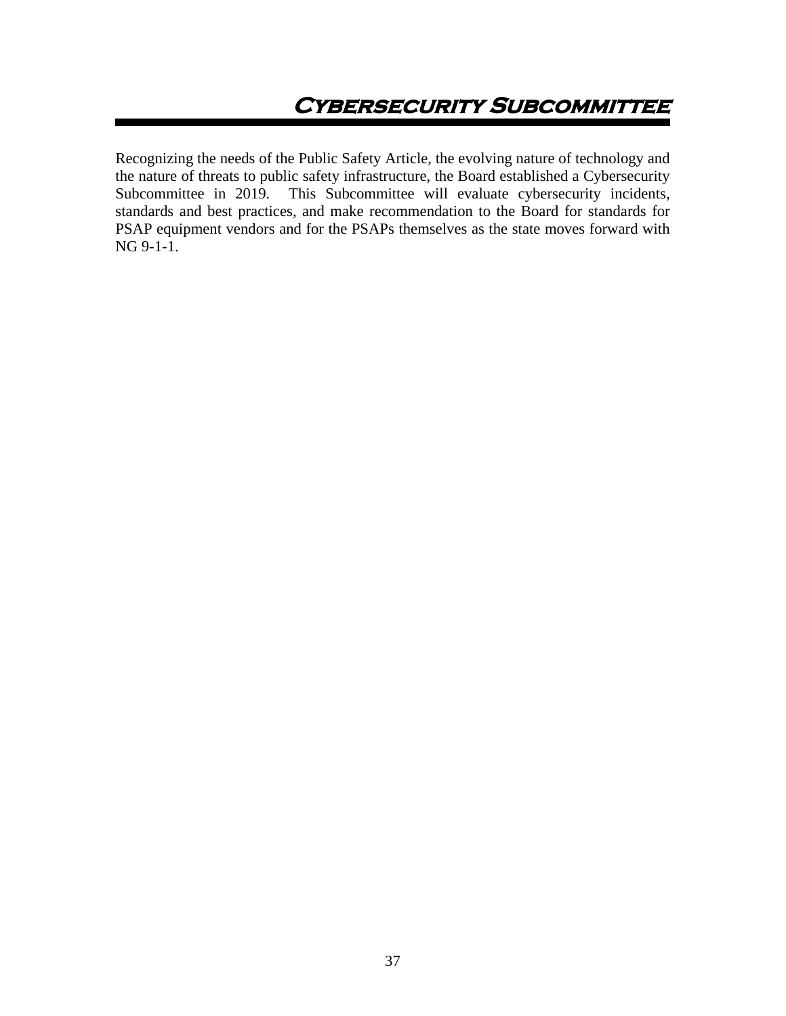Recognizing the needs of the Public Safety Article, the evolving nature of technology and the nature of threats to public safety infrastructure, the Board established a Cybersecurity<br>Subcommittee in 2019. This Subcommittee will evaluate cybersecurity incidents, This Subcommittee will evaluate cybersecurity incidents, standards and best practices, and make recommendation to the Board for standards for PSAP equipment vendors and for the PSAPs themselves as the state moves forward with NG 9-1-1.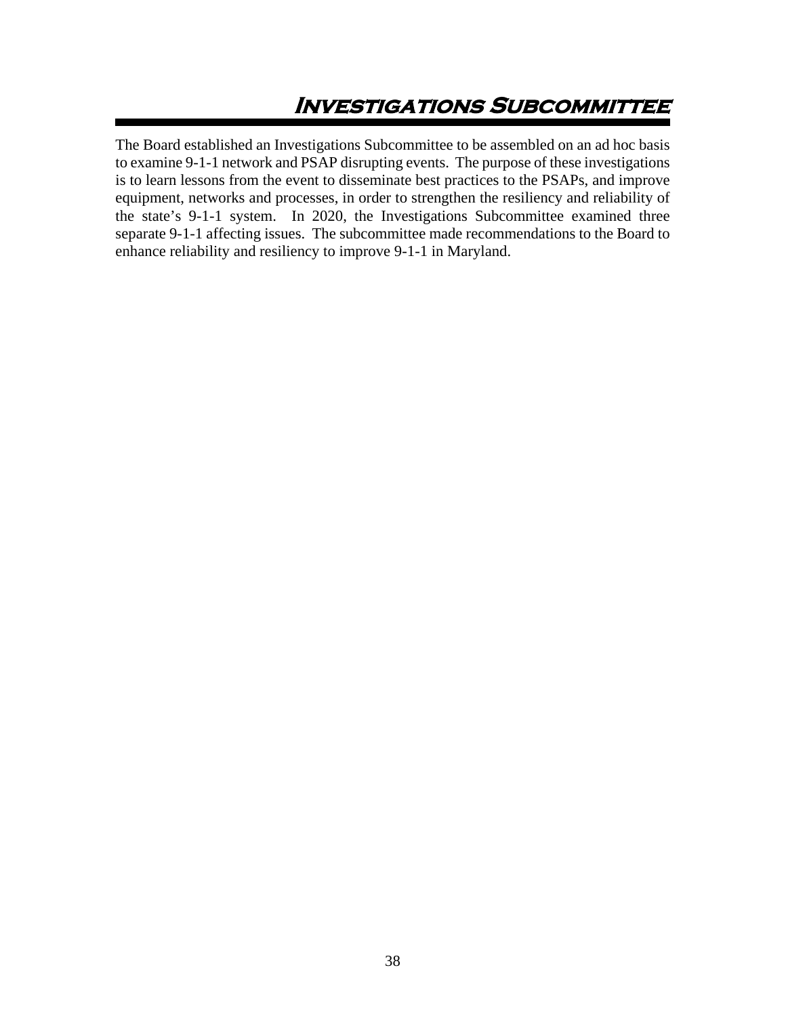# **Investigations Subcommittee**

The Board established an Investigations Subcommittee to be assembled on an ad hoc basis to examine 9-1-1 network and PSAP disrupting events. The purpose of these investigations is to learn lessons from the event to disseminate best practices to the PSAPs, and improve equipment, networks and processes, in order to strengthen the resiliency and reliability of the state's 9-1-1 system. In 2020, the Investigations Subcommittee examined three separate 9-1-1 affecting issues. The subcommittee made recommendations to the Board to enhance reliability and resiliency to improve 9-1-1 in Maryland.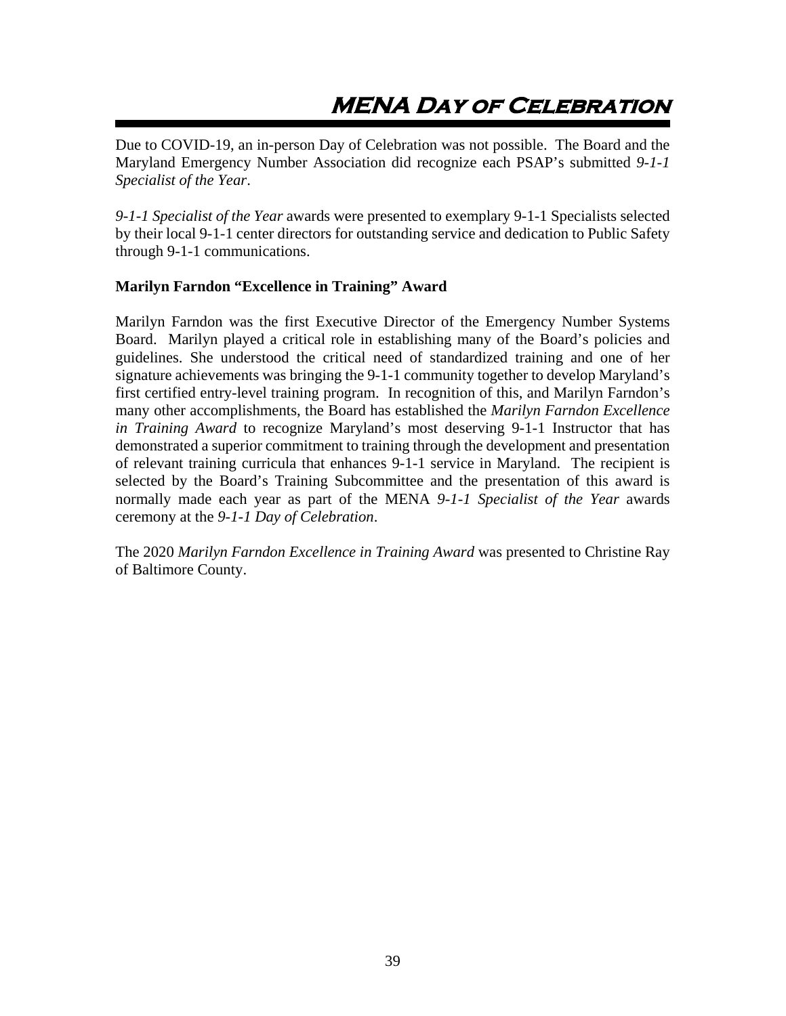# **MENA Day of Celebration**

Due to COVID-19, an in-person Day of Celebration was not possible. The Board and the Maryland Emergency Number Association did recognize each PSAP's submitted *9-1-1 Specialist of the Year*.

*9-1-1 Specialist of the Year* awards were presented to exemplary 9-1-1 Specialists selected by their local 9-1-1 center directors for outstanding service and dedication to Public Safety through 9-1-1 communications.

### **Marilyn Farndon "Excellence in Training" Award**

Marilyn Farndon was the first Executive Director of the Emergency Number Systems Board. Marilyn played a critical role in establishing many of the Board's policies and guidelines. She understood the critical need of standardized training and one of her signature achievements was bringing the 9-1-1 community together to develop Maryland's first certified entry-level training program. In recognition of this, and Marilyn Farndon's many other accomplishments, the Board has established the *Marilyn Farndon Excellence in Training Award* to recognize Maryland's most deserving 9-1-1 Instructor that has demonstrated a superior commitment to training through the development and presentation of relevant training curricula that enhances 9-1-1 service in Maryland. The recipient is selected by the Board's Training Subcommittee and the presentation of this award is normally made each year as part of the MENA *9-1-1 Specialist of the Year* awards ceremony at the *9-1-1 Day of Celebration*.

The 2020 *Marilyn Farndon Excellence in Training Award* was presented to Christine Ray of Baltimore County.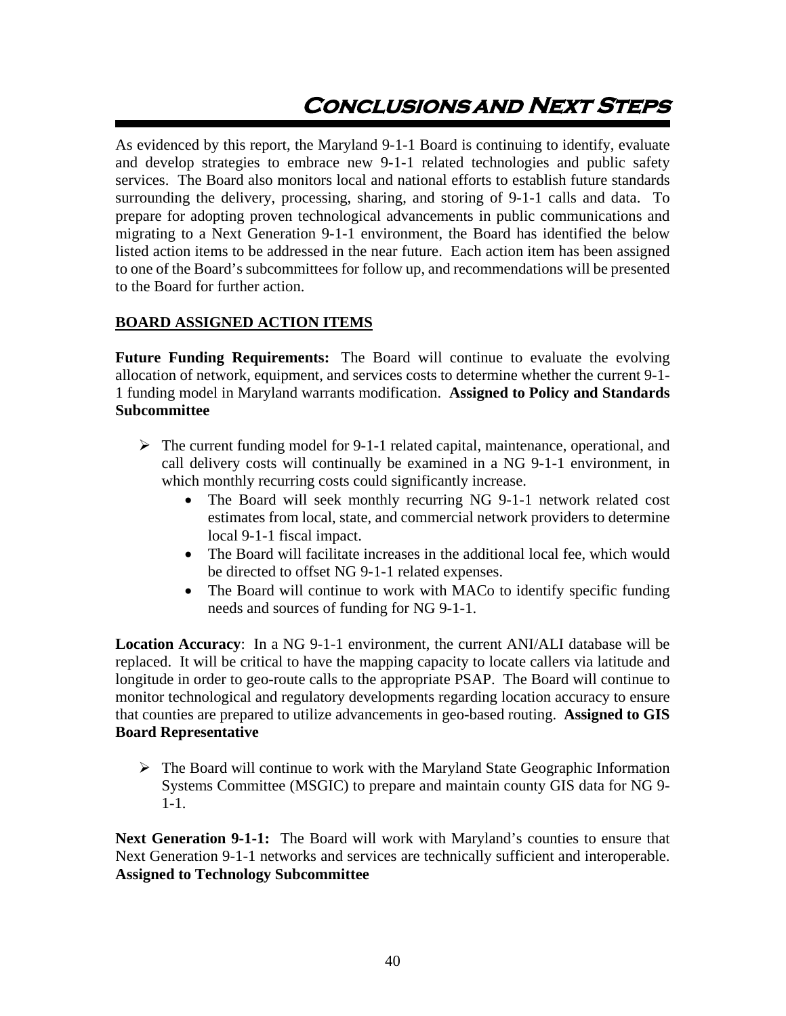# **Conclusionsand Next Steps**

As evidenced by this report, the Maryland 9-1-1 Board is continuing to identify, evaluate and develop strategies to embrace new 9-1-1 related technologies and public safety services. The Board also monitors local and national efforts to establish future standards surrounding the delivery, processing, sharing, and storing of 9-1-1 calls and data. To prepare for adopting proven technological advancements in public communications and migrating to a Next Generation 9-1-1 environment, the Board has identified the below listed action items to be addressed in the near future. Each action item has been assigned to one of the Board's subcommittees for follow up, and recommendations will be presented to the Board for further action.

### **BOARD ASSIGNED ACTION ITEMS**

**Future Funding Requirements:** The Board will continue to evaluate the evolving allocation of network, equipment, and services costs to determine whether the current 9-1- 1 funding model in Maryland warrants modification. **Assigned to Policy and Standards Subcommittee**

- $\triangleright$  The current funding model for 9-1-1 related capital, maintenance, operational, and call delivery costs will continually be examined in a NG 9-1-1 environment, in which monthly recurring costs could significantly increase.
	- The Board will seek monthly recurring NG 9-1-1 network related cost estimates from local, state, and commercial network providers to determine local 9-1-1 fiscal impact.
	- The Board will facilitate increases in the additional local fee, which would be directed to offset NG 9-1-1 related expenses.
	- The Board will continue to work with MACo to identify specific funding needs and sources of funding for NG 9-1-1.

**Location Accuracy**: In a NG 9-1-1 environment, the current ANI/ALI database will be replaced. It will be critical to have the mapping capacity to locate callers via latitude and longitude in order to geo-route calls to the appropriate PSAP. The Board will continue to monitor technological and regulatory developments regarding location accuracy to ensure that counties are prepared to utilize advancements in geo-based routing. **Assigned to GIS Board Representative**

 $\triangleright$  The Board will continue to work with the Maryland State Geographic Information Systems Committee (MSGIC) to prepare and maintain county GIS data for NG 9- 1-1.

**Next Generation 9-1-1:** The Board will work with Maryland's counties to ensure that Next Generation 9-1-1 networks and services are technically sufficient and interoperable. **Assigned to Technology Subcommittee**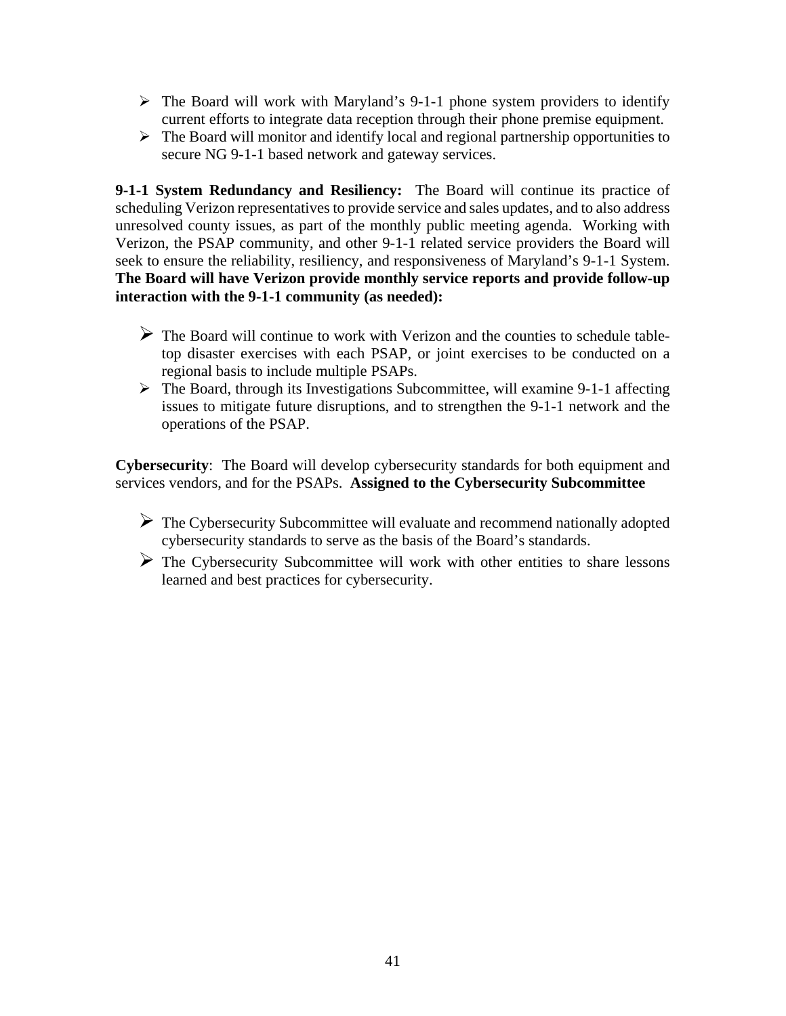- $\triangleright$  The Board will work with Maryland's 9-1-1 phone system providers to identify current efforts to integrate data reception through their phone premise equipment.
- $\triangleright$  The Board will monitor and identify local and regional partnership opportunities to secure NG 9-1-1 based network and gateway services.

**9-1-1 System Redundancy and Resiliency:** The Board will continue its practice of scheduling Verizon representatives to provide service and sales updates, and to also address unresolved county issues, as part of the monthly public meeting agenda. Working with Verizon, the PSAP community, and other 9-1-1 related service providers the Board will seek to ensure the reliability, resiliency, and responsiveness of Maryland's 9-1-1 System. **The Board will have Verizon provide monthly service reports and provide follow-up interaction with the 9-1-1 community (as needed):**

- $\triangleright$  The Board will continue to work with Verizon and the counties to schedule tabletop disaster exercises with each PSAP, or joint exercises to be conducted on a regional basis to include multiple PSAPs.
- $\triangleright$  The Board, through its Investigations Subcommittee, will examine 9-1-1 affecting issues to mitigate future disruptions, and to strengthen the 9-1-1 network and the operations of the PSAP.

**Cybersecurity**: The Board will develop cybersecurity standards for both equipment and services vendors, and for the PSAPs. **Assigned to the Cybersecurity Subcommittee**

- $\triangleright$  The Cybersecurity Subcommittee will evaluate and recommend nationally adopted cybersecurity standards to serve as the basis of the Board's standards.
- $\triangleright$  The Cybersecurity Subcommittee will work with other entities to share lessons learned and best practices for cybersecurity.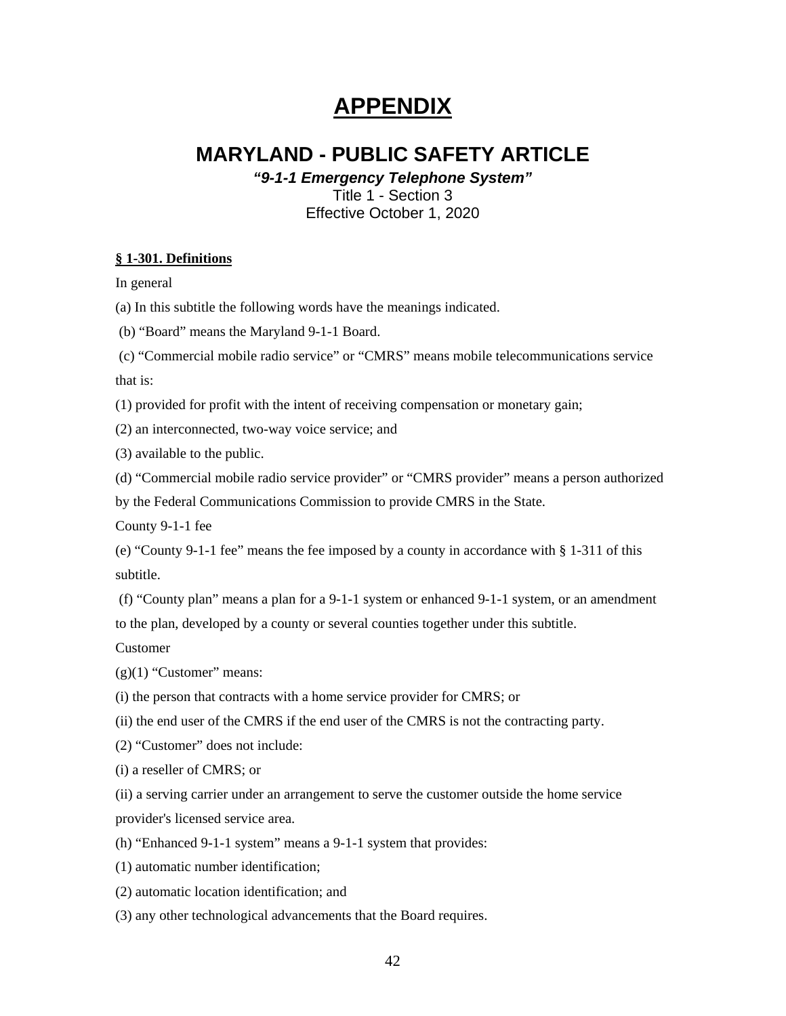# **APPENDIX**

# **MARYLAND - PUBLIC SAFETY ARTICLE**

*"9-1-1 Emergency Telephone System"*

Title 1 - Section 3 Effective October 1, 2020

#### **§ 1-301. Definitions**

In general

- (a) In this subtitle the following words have the meanings indicated.
- (b) "Board" means the Maryland 9-1-1 Board.
- (c) "Commercial mobile radio service" or "CMRS" means mobile telecommunications service that is:
- (1) provided for profit with the intent of receiving compensation or monetary gain;
- (2) an interconnected, two-way voice service; and
- (3) available to the public.
- (d) "Commercial mobile radio service provider" or "CMRS provider" means a person authorized

by the Federal Communications Commission to provide CMRS in the State.

County 9-1-1 fee

(e) "County 9-1-1 fee" means the fee imposed by a county in accordance with § 1-311 of this subtitle.

(f) "County plan" means a plan for a 9-1-1 system or enhanced 9-1-1 system, or an amendment to the plan, developed by a county or several counties together under this subtitle.

Customer

 $(g)(1)$  "Customer" means:

(i) the person that contracts with a home service provider for CMRS; or

(ii) the end user of the CMRS if the end user of the CMRS is not the contracting party.

(2) "Customer" does not include:

(i) a reseller of CMRS; or

(ii) a serving carrier under an arrangement to serve the customer outside the home service provider's licensed service area.

(h) "Enhanced 9-1-1 system" means a 9-1-1 system that provides:

(1) automatic number identification;

(2) automatic location identification; and

(3) any other technological advancements that the Board requires.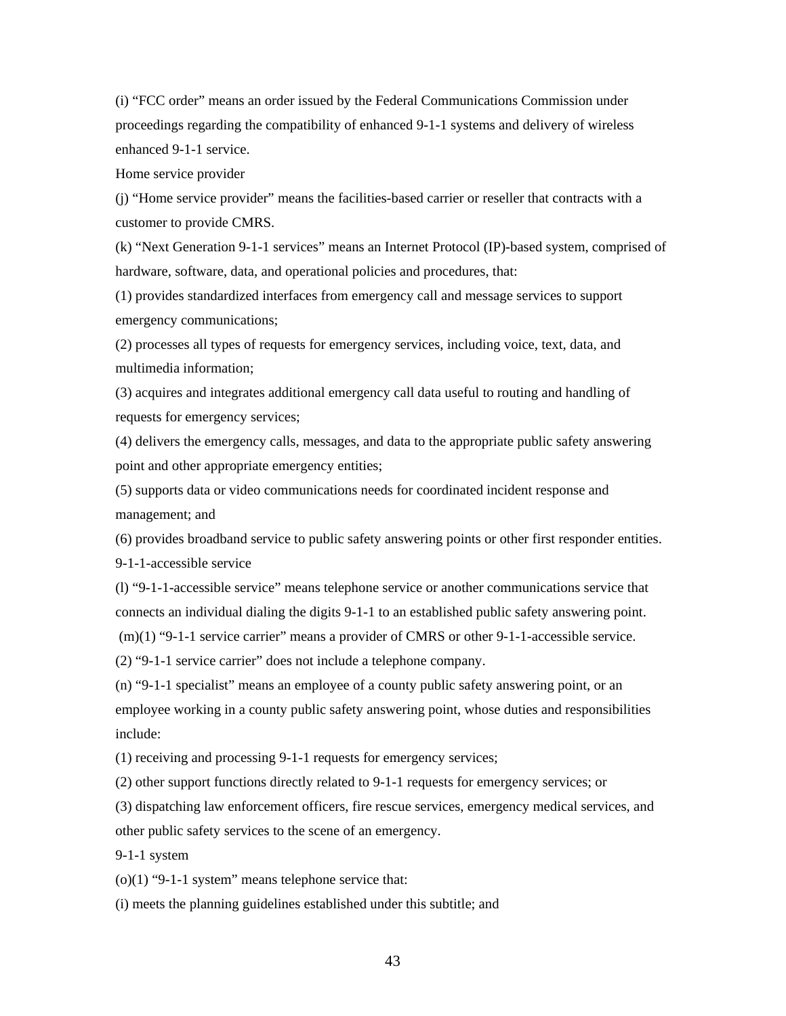(i) "FCC order" means an order issued by the Federal Communications Commission under proceedings regarding the compatibility of enhanced 9-1-1 systems and delivery of wireless enhanced 9-1-1 service.

Home service provider

(j) "Home service provider" means the facilities-based carrier or reseller that contracts with a customer to provide CMRS.

(k) "Next Generation 9-1-1 services" means an Internet Protocol (IP)-based system, comprised of hardware, software, data, and operational policies and procedures, that:

(1) provides standardized interfaces from emergency call and message services to support emergency communications;

(2) processes all types of requests for emergency services, including voice, text, data, and multimedia information;

(3) acquires and integrates additional emergency call data useful to routing and handling of requests for emergency services;

(4) delivers the emergency calls, messages, and data to the appropriate public safety answering point and other appropriate emergency entities;

(5) supports data or video communications needs for coordinated incident response and management; and

(6) provides broadband service to public safety answering points or other first responder entities. 9-1-1-accessible service

(l) "9-1-1-accessible service" means telephone service or another communications service that connects an individual dialing the digits 9-1-1 to an established public safety answering point.

(m)(1) "9-1-1 service carrier" means a provider of CMRS or other 9-1-1-accessible service.

(2) "9-1-1 service carrier" does not include a telephone company.

(n) "9-1-1 specialist" means an employee of a county public safety answering point, or an employee working in a county public safety answering point, whose duties and responsibilities include:

(1) receiving and processing 9-1-1 requests for emergency services;

(2) other support functions directly related to 9-1-1 requests for emergency services; or

(3) dispatching law enforcement officers, fire rescue services, emergency medical services, and other public safety services to the scene of an emergency.

9-1-1 system

 $(0)(1)$  "9-1-1 system" means telephone service that:

(i) meets the planning guidelines established under this subtitle; and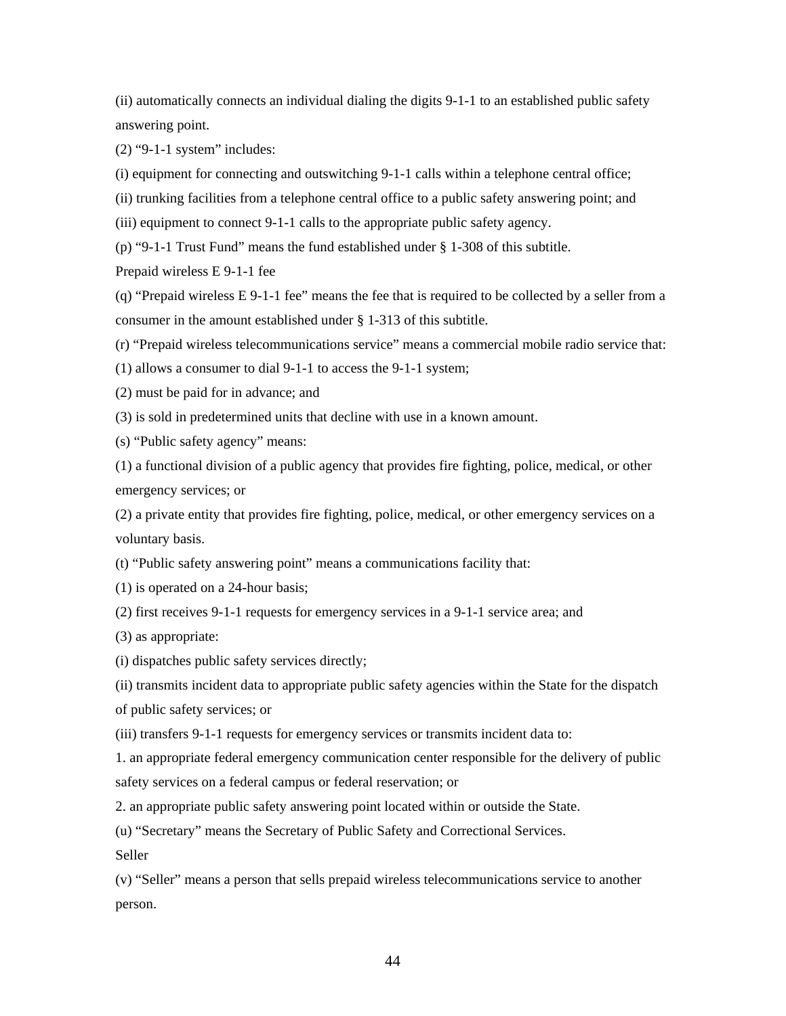(ii) automatically connects an individual dialing the digits 9-1-1 to an established public safety answering point.

(2) "9-1-1 system" includes:

(i) equipment for connecting and outswitching 9-1-1 calls within a telephone central office;

(ii) trunking facilities from a telephone central office to a public safety answering point; and

(iii) equipment to connect 9-1-1 calls to the appropriate public safety agency.

(p) "9-1-1 Trust Fund" means the fund established under § 1-308 of this subtitle.

Prepaid wireless E 9-1-1 fee

(q) "Prepaid wireless E 9-1-1 fee" means the fee that is required to be collected by a seller from a consumer in the amount established under § 1-313 of this subtitle.

(r) "Prepaid wireless telecommunications service" means a commercial mobile radio service that:

(1) allows a consumer to dial 9-1-1 to access the 9-1-1 system;

(2) must be paid for in advance; and

(3) is sold in predetermined units that decline with use in a known amount.

(s) "Public safety agency" means:

(1) a functional division of a public agency that provides fire fighting, police, medical, or other emergency services; or

(2) a private entity that provides fire fighting, police, medical, or other emergency services on a voluntary basis.

(t) "Public safety answering point" means a communications facility that:

(1) is operated on a 24-hour basis;

(2) first receives 9-1-1 requests for emergency services in a 9-1-1 service area; and

(3) as appropriate:

(i) dispatches public safety services directly;

(ii) transmits incident data to appropriate public safety agencies within the State for the dispatch of public safety services; or

(iii) transfers 9-1-1 requests for emergency services or transmits incident data to:

1. an appropriate federal emergency communication center responsible for the delivery of public safety services on a federal campus or federal reservation; or

2. an appropriate public safety answering point located within or outside the State.

(u) "Secretary" means the Secretary of Public Safety and Correctional Services.

Seller

(v) "Seller" means a person that sells prepaid wireless telecommunications service to another person.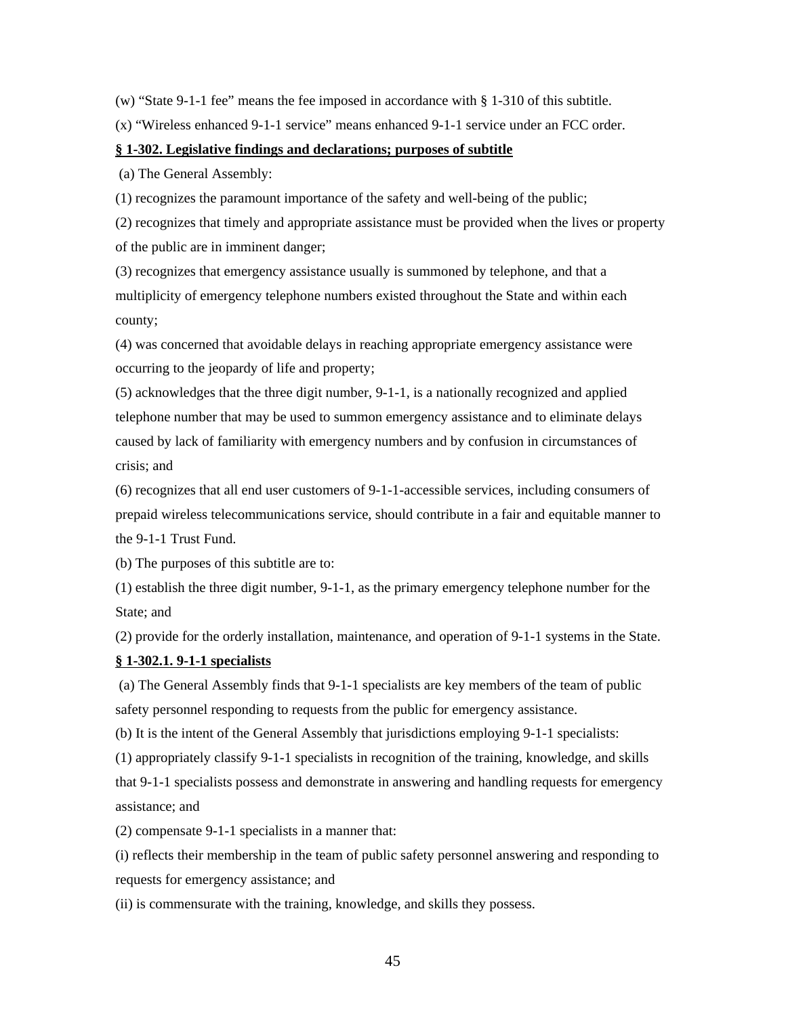(w) "State 9-1-1 fee" means the fee imposed in accordance with  $\S$  1-310 of this subtitle.

(x) "Wireless enhanced 9-1-1 service" means enhanced 9-1-1 service under an FCC order.

#### **§ 1-302. Legislative findings and declarations; purposes of subtitle**

(a) The General Assembly:

(1) recognizes the paramount importance of the safety and well-being of the public;

(2) recognizes that timely and appropriate assistance must be provided when the lives or property of the public are in imminent danger;

(3) recognizes that emergency assistance usually is summoned by telephone, and that a multiplicity of emergency telephone numbers existed throughout the State and within each county;

(4) was concerned that avoidable delays in reaching appropriate emergency assistance were occurring to the jeopardy of life and property;

(5) acknowledges that the three digit number, 9-1-1, is a nationally recognized and applied telephone number that may be used to summon emergency assistance and to eliminate delays caused by lack of familiarity with emergency numbers and by confusion in circumstances of crisis; and

(6) recognizes that all end user customers of 9-1-1-accessible services, including consumers of prepaid wireless telecommunications service, should contribute in a fair and equitable manner to the 9-1-1 Trust Fund.

(b) The purposes of this subtitle are to:

(1) establish the three digit number, 9-1-1, as the primary emergency telephone number for the State; and

(2) provide for the orderly installation, maintenance, and operation of 9-1-1 systems in the State.

#### **§ 1-302.1. 9-1-1 specialists**

(a) The General Assembly finds that 9-1-1 specialists are key members of the team of public safety personnel responding to requests from the public for emergency assistance.

(b) It is the intent of the General Assembly that jurisdictions employing 9-1-1 specialists:

(1) appropriately classify 9-1-1 specialists in recognition of the training, knowledge, and skills

that 9-1-1 specialists possess and demonstrate in answering and handling requests for emergency assistance; and

(2) compensate 9-1-1 specialists in a manner that:

(i) reflects their membership in the team of public safety personnel answering and responding to requests for emergency assistance; and

(ii) is commensurate with the training, knowledge, and skills they possess.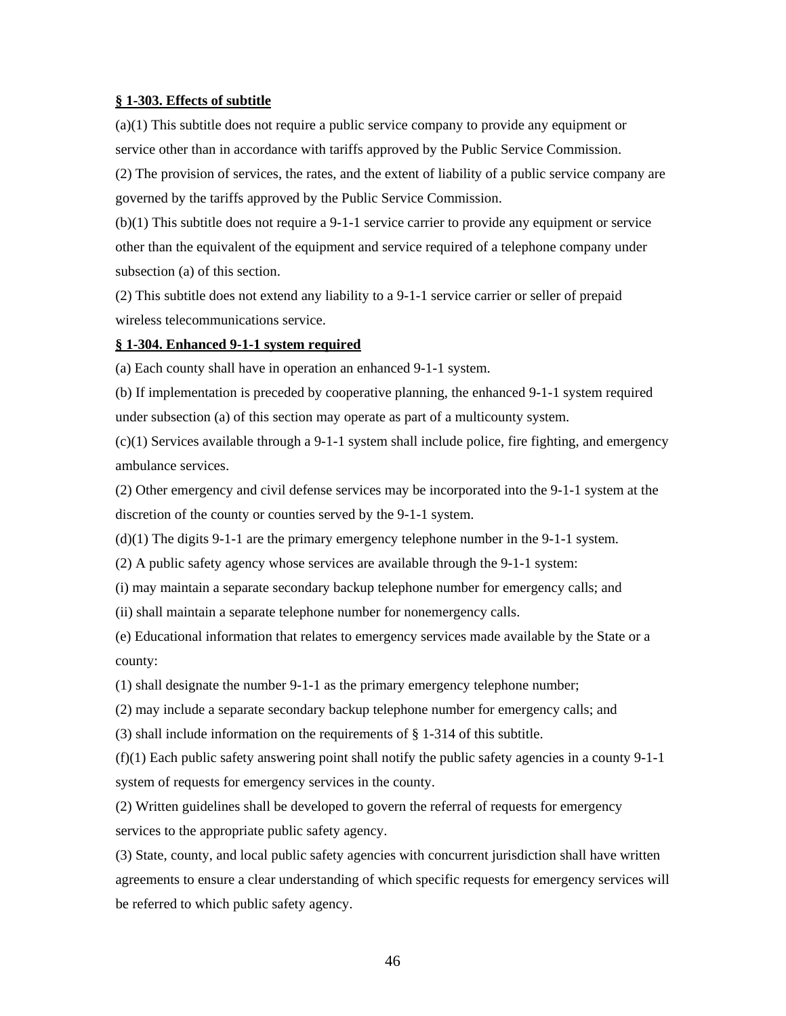#### **§ 1-303. Effects of subtitle**

(a)(1) This subtitle does not require a public service company to provide any equipment or service other than in accordance with tariffs approved by the Public Service Commission.

(2) The provision of services, the rates, and the extent of liability of a public service company are governed by the tariffs approved by the Public Service Commission.

(b)(1) This subtitle does not require a 9-1-1 service carrier to provide any equipment or service other than the equivalent of the equipment and service required of a telephone company under subsection (a) of this section.

(2) This subtitle does not extend any liability to a 9-1-1 service carrier or seller of prepaid wireless telecommunications service.

#### **§ 1-304. Enhanced 9-1-1 system required**

(a) Each county shall have in operation an enhanced 9-1-1 system.

(b) If implementation is preceded by cooperative planning, the enhanced 9-1-1 system required under subsection (a) of this section may operate as part of a multicounty system.

 $(c)(1)$  Services available through a 9-1-1 system shall include police, fire fighting, and emergency ambulance services.

(2) Other emergency and civil defense services may be incorporated into the 9-1-1 system at the discretion of the county or counties served by the 9-1-1 system.

(d)(1) The digits 9-1-1 are the primary emergency telephone number in the 9-1-1 system.

(2) A public safety agency whose services are available through the 9-1-1 system:

(i) may maintain a separate secondary backup telephone number for emergency calls; and

(ii) shall maintain a separate telephone number for nonemergency calls.

(e) Educational information that relates to emergency services made available by the State or a county:

(1) shall designate the number 9-1-1 as the primary emergency telephone number;

(2) may include a separate secondary backup telephone number for emergency calls; and

(3) shall include information on the requirements of § 1-314 of this subtitle.

 $(f)(1)$  Each public safety answering point shall notify the public safety agencies in a county 9-1-1 system of requests for emergency services in the county.

(2) Written guidelines shall be developed to govern the referral of requests for emergency services to the appropriate public safety agency.

(3) State, county, and local public safety agencies with concurrent jurisdiction shall have written agreements to ensure a clear understanding of which specific requests for emergency services will be referred to which public safety agency.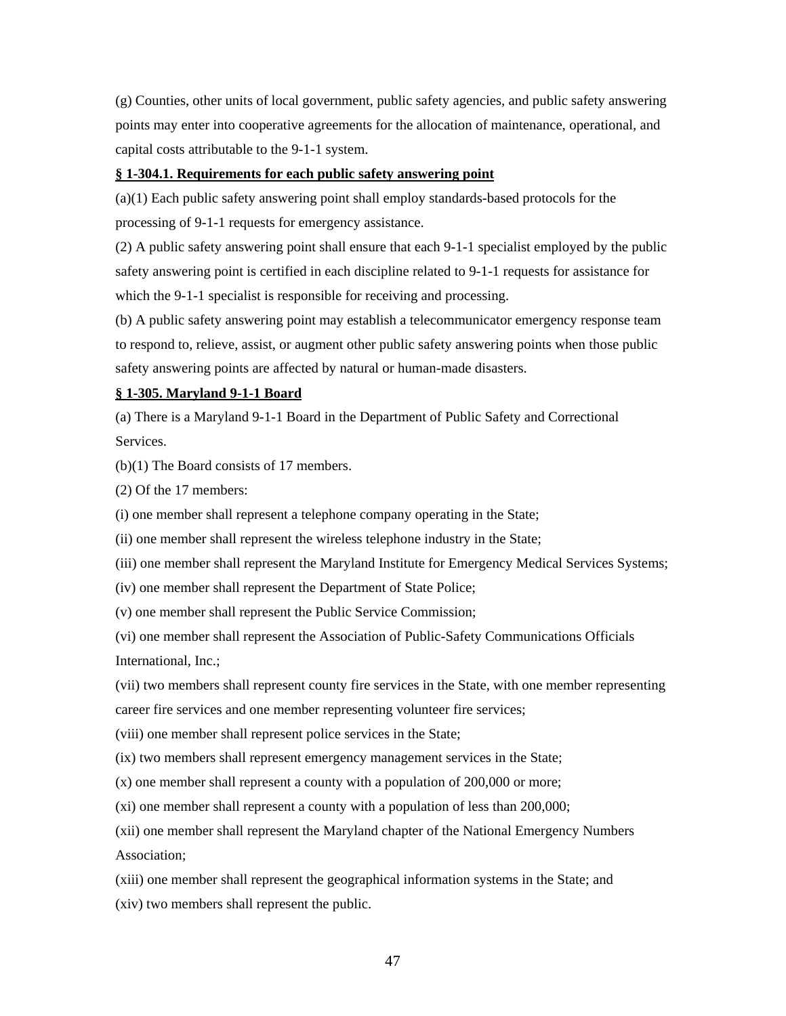(g) Counties, other units of local government, public safety agencies, and public safety answering points may enter into cooperative agreements for the allocation of maintenance, operational, and capital costs attributable to the 9-1-1 system.

#### **§ 1-304.1. Requirements for each public safety answering point**

(a)(1) Each public safety answering point shall employ standards-based protocols for the processing of 9-1-1 requests for emergency assistance.

(2) A public safety answering point shall ensure that each 9-1-1 specialist employed by the public safety answering point is certified in each discipline related to 9-1-1 requests for assistance for which the 9-1-1 specialist is responsible for receiving and processing.

(b) A public safety answering point may establish a telecommunicator emergency response team to respond to, relieve, assist, or augment other public safety answering points when those public safety answering points are affected by natural or human-made disasters.

#### **§ 1-305. Maryland 9-1-1 Board**

(a) There is a Maryland 9-1-1 Board in the Department of Public Safety and Correctional Services.

(b)(1) The Board consists of 17 members.

(2) Of the 17 members:

(i) one member shall represent a telephone company operating in the State;

(ii) one member shall represent the wireless telephone industry in the State;

(iii) one member shall represent the Maryland Institute for Emergency Medical Services Systems;

(iv) one member shall represent the Department of State Police;

(v) one member shall represent the Public Service Commission;

(vi) one member shall represent the Association of Public-Safety Communications Officials International, Inc.;

(vii) two members shall represent county fire services in the State, with one member representing

career fire services and one member representing volunteer fire services;

(viii) one member shall represent police services in the State;

(ix) two members shall represent emergency management services in the State;

(x) one member shall represent a county with a population of 200,000 or more;

(xi) one member shall represent a county with a population of less than 200,000;

(xii) one member shall represent the Maryland chapter of the National Emergency Numbers Association;

(xiii) one member shall represent the geographical information systems in the State; and

(xiv) two members shall represent the public.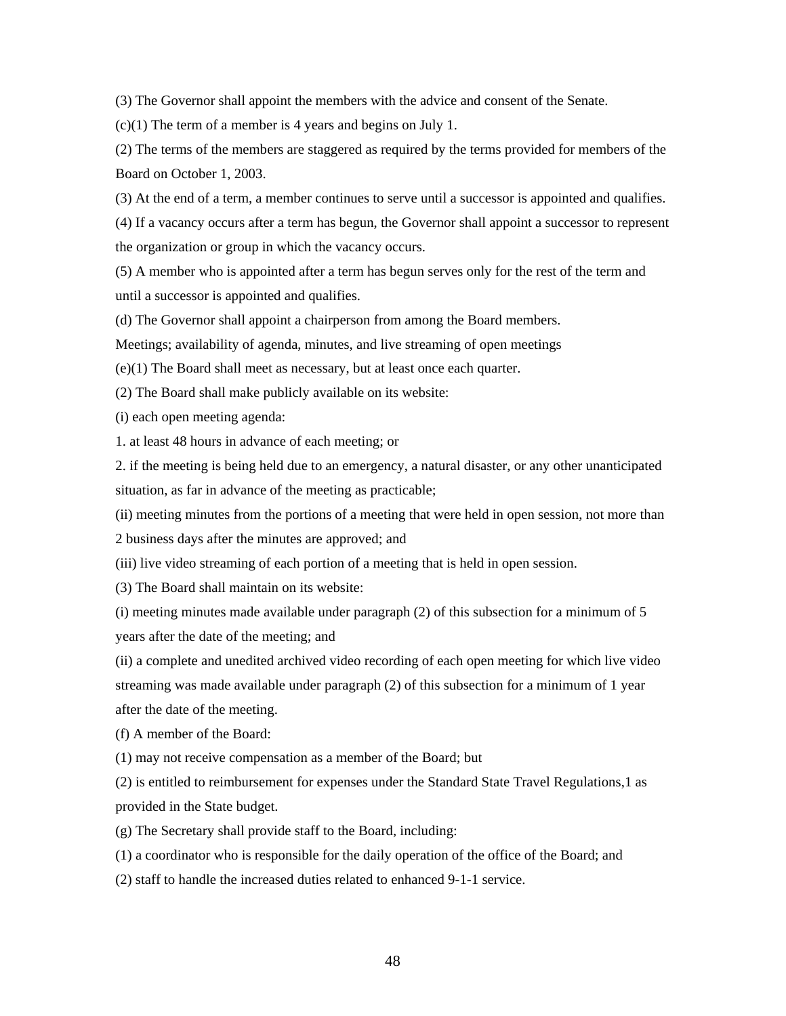(3) The Governor shall appoint the members with the advice and consent of the Senate.

(c)(1) The term of a member is 4 years and begins on July 1.

(2) The terms of the members are staggered as required by the terms provided for members of the Board on October 1, 2003.

(3) At the end of a term, a member continues to serve until a successor is appointed and qualifies.

(4) If a vacancy occurs after a term has begun, the Governor shall appoint a successor to represent the organization or group in which the vacancy occurs.

(5) A member who is appointed after a term has begun serves only for the rest of the term and until a successor is appointed and qualifies.

(d) The Governor shall appoint a chairperson from among the Board members.

Meetings; availability of agenda, minutes, and live streaming of open meetings

(e)(1) The Board shall meet as necessary, but at least once each quarter.

(2) The Board shall make publicly available on its website:

(i) each open meeting agenda:

1. at least 48 hours in advance of each meeting; or

2. if the meeting is being held due to an emergency, a natural disaster, or any other unanticipated situation, as far in advance of the meeting as practicable;

(ii) meeting minutes from the portions of a meeting that were held in open session, not more than

2 business days after the minutes are approved; and

(iii) live video streaming of each portion of a meeting that is held in open session.

(3) The Board shall maintain on its website:

(i) meeting minutes made available under paragraph (2) of this subsection for a minimum of 5 years after the date of the meeting; and

(ii) a complete and unedited archived video recording of each open meeting for which live video streaming was made available under paragraph (2) of this subsection for a minimum of 1 year after the date of the meeting.

(f) A member of the Board:

(1) may not receive compensation as a member of the Board; but

(2) is entitled to reimbursement for expenses under the Standard State Travel Regulations,1 as provided in the State budget.

(g) The Secretary shall provide staff to the Board, including:

(1) a coordinator who is responsible for the daily operation of the office of the Board; and

(2) staff to handle the increased duties related to enhanced 9-1-1 service.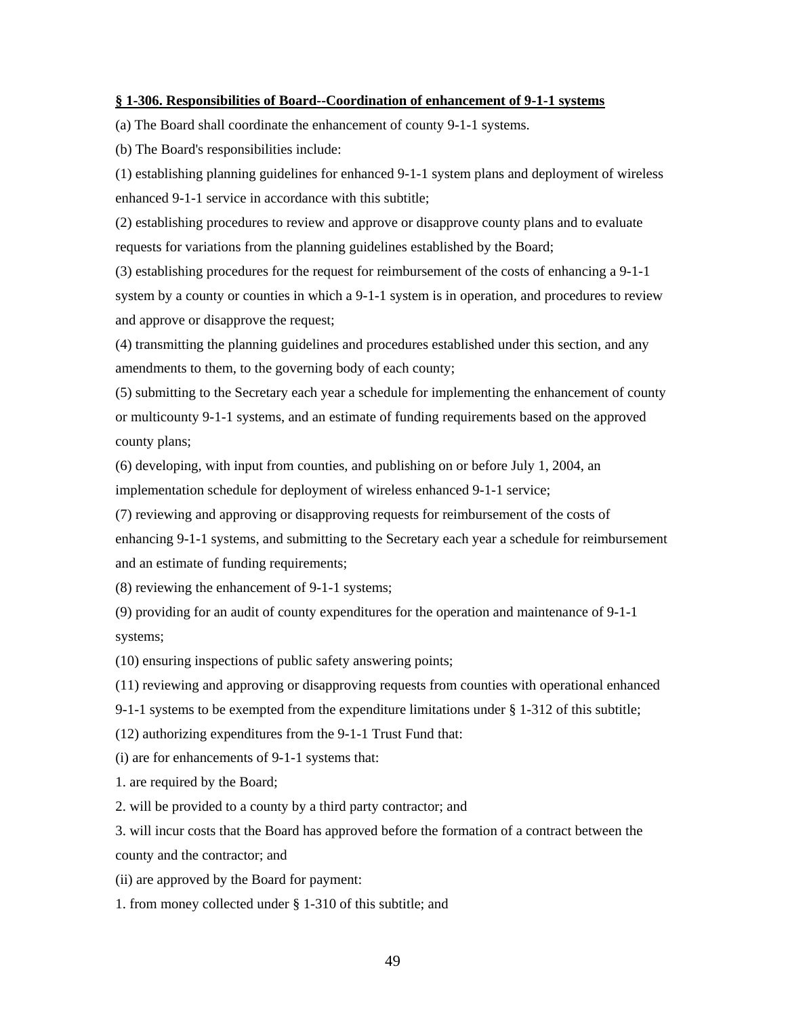#### **§ 1-306. Responsibilities of Board--Coordination of enhancement of 9-1-1 systems**

(a) The Board shall coordinate the enhancement of county 9-1-1 systems.

(b) The Board's responsibilities include:

(1) establishing planning guidelines for enhanced 9-1-1 system plans and deployment of wireless enhanced 9-1-1 service in accordance with this subtitle;

(2) establishing procedures to review and approve or disapprove county plans and to evaluate requests for variations from the planning guidelines established by the Board;

(3) establishing procedures for the request for reimbursement of the costs of enhancing a 9-1-1 system by a county or counties in which a 9-1-1 system is in operation, and procedures to review and approve or disapprove the request;

(4) transmitting the planning guidelines and procedures established under this section, and any amendments to them, to the governing body of each county;

(5) submitting to the Secretary each year a schedule for implementing the enhancement of county or multicounty 9-1-1 systems, and an estimate of funding requirements based on the approved county plans;

(6) developing, with input from counties, and publishing on or before July 1, 2004, an implementation schedule for deployment of wireless enhanced 9-1-1 service;

(7) reviewing and approving or disapproving requests for reimbursement of the costs of enhancing 9-1-1 systems, and submitting to the Secretary each year a schedule for reimbursement and an estimate of funding requirements;

(8) reviewing the enhancement of 9-1-1 systems;

(9) providing for an audit of county expenditures for the operation and maintenance of 9-1-1 systems;

(10) ensuring inspections of public safety answering points;

(11) reviewing and approving or disapproving requests from counties with operational enhanced

9-1-1 systems to be exempted from the expenditure limitations under § 1-312 of this subtitle;

(12) authorizing expenditures from the 9-1-1 Trust Fund that:

(i) are for enhancements of 9-1-1 systems that:

1. are required by the Board;

2. will be provided to a county by a third party contractor; and

3. will incur costs that the Board has approved before the formation of a contract between the county and the contractor; and

(ii) are approved by the Board for payment:

1. from money collected under § 1-310 of this subtitle; and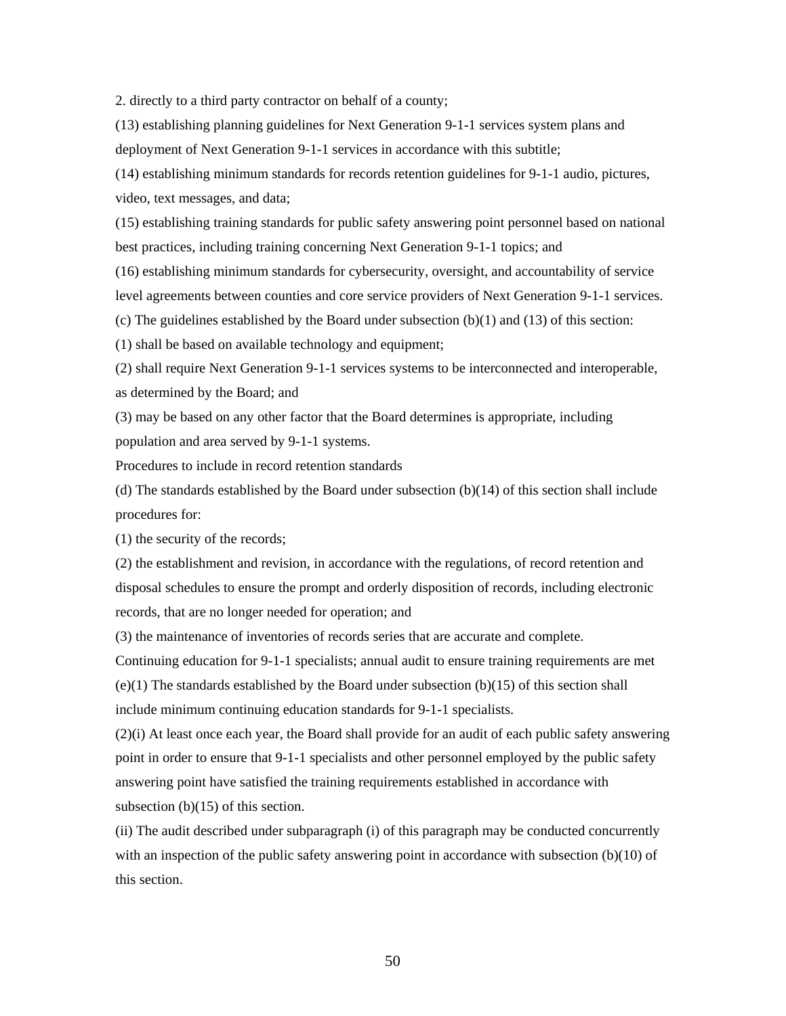2. directly to a third party contractor on behalf of a county;

(13) establishing planning guidelines for Next Generation 9-1-1 services system plans and deployment of Next Generation 9-1-1 services in accordance with this subtitle;

(14) establishing minimum standards for records retention guidelines for 9-1-1 audio, pictures, video, text messages, and data;

(15) establishing training standards for public safety answering point personnel based on national best practices, including training concerning Next Generation 9-1-1 topics; and

(16) establishing minimum standards for cybersecurity, oversight, and accountability of service level agreements between counties and core service providers of Next Generation 9-1-1 services.

(c) The guidelines established by the Board under subsection  $(b)(1)$  and  $(13)$  of this section:

(1) shall be based on available technology and equipment;

(2) shall require Next Generation 9-1-1 services systems to be interconnected and interoperable, as determined by the Board; and

(3) may be based on any other factor that the Board determines is appropriate, including population and area served by 9-1-1 systems.

Procedures to include in record retention standards

(d) The standards established by the Board under subsection (b)(14) of this section shall include procedures for:

(1) the security of the records;

(2) the establishment and revision, in accordance with the regulations, of record retention and disposal schedules to ensure the prompt and orderly disposition of records, including electronic records, that are no longer needed for operation; and

(3) the maintenance of inventories of records series that are accurate and complete.

Continuing education for 9-1-1 specialists; annual audit to ensure training requirements are met (e)(1) The standards established by the Board under subsection (b)(15) of this section shall include minimum continuing education standards for 9-1-1 specialists.

(2)(i) At least once each year, the Board shall provide for an audit of each public safety answering point in order to ensure that 9-1-1 specialists and other personnel employed by the public safety answering point have satisfied the training requirements established in accordance with subsection (b)(15) of this section.

(ii) The audit described under subparagraph (i) of this paragraph may be conducted concurrently with an inspection of the public safety answering point in accordance with subsection  $(b)(10)$  of this section.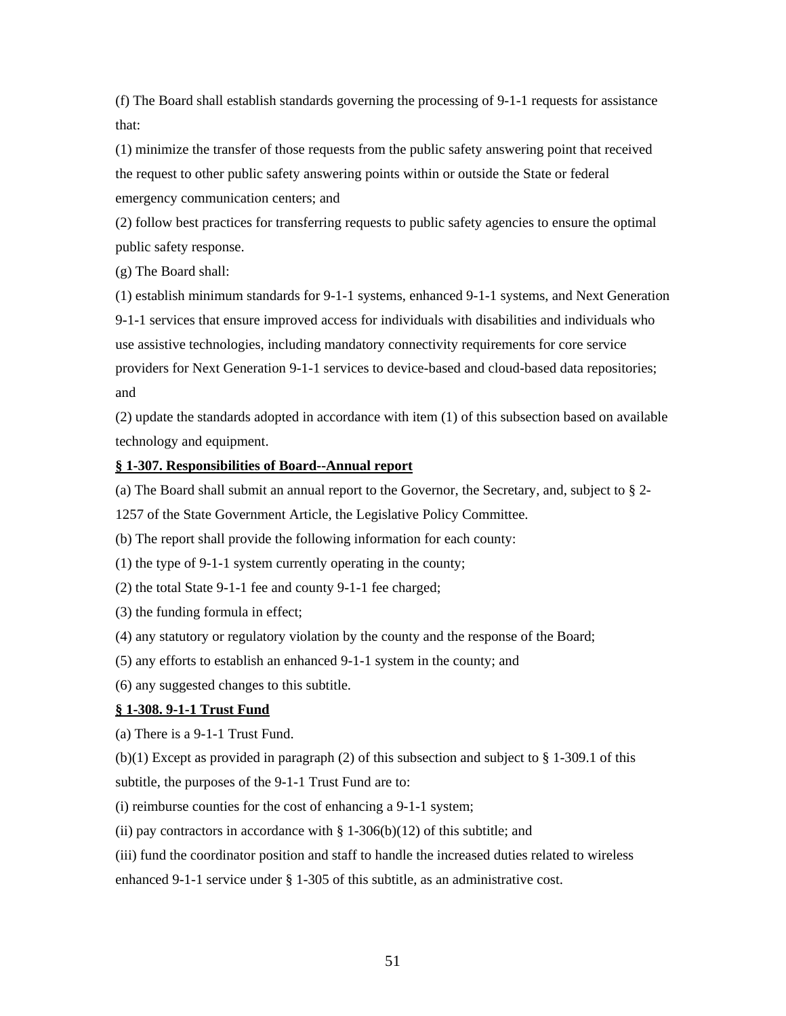(f) The Board shall establish standards governing the processing of 9-1-1 requests for assistance that:

(1) minimize the transfer of those requests from the public safety answering point that received the request to other public safety answering points within or outside the State or federal emergency communication centers; and

(2) follow best practices for transferring requests to public safety agencies to ensure the optimal public safety response.

(g) The Board shall:

(1) establish minimum standards for 9-1-1 systems, enhanced 9-1-1 systems, and Next Generation 9-1-1 services that ensure improved access for individuals with disabilities and individuals who use assistive technologies, including mandatory connectivity requirements for core service providers for Next Generation 9-1-1 services to device-based and cloud-based data repositories; and

(2) update the standards adopted in accordance with item (1) of this subsection based on available technology and equipment.

#### **§ 1-307. Responsibilities of Board--Annual report**

(a) The Board shall submit an annual report to the Governor, the Secretary, and, subject to § 2-

1257 of the State Government Article, the Legislative Policy Committee.

(b) The report shall provide the following information for each county:

(1) the type of 9-1-1 system currently operating in the county;

(2) the total State 9-1-1 fee and county 9-1-1 fee charged;

(3) the funding formula in effect;

(4) any statutory or regulatory violation by the county and the response of the Board;

(5) any efforts to establish an enhanced 9-1-1 system in the county; and

(6) any suggested changes to this subtitle.

#### **§ 1-308. 9-1-1 Trust Fund**

(a) There is a 9-1-1 Trust Fund.

 $(b)(1)$  Except as provided in paragraph (2) of this subsection and subject to § 1-309.1 of this subtitle, the purposes of the 9-1-1 Trust Fund are to:

(i) reimburse counties for the cost of enhancing a 9-1-1 system;

(ii) pay contractors in accordance with  $\S 1-306(b)(12)$  of this subtitle; and

(iii) fund the coordinator position and staff to handle the increased duties related to wireless

enhanced 9-1-1 service under § 1-305 of this subtitle, as an administrative cost.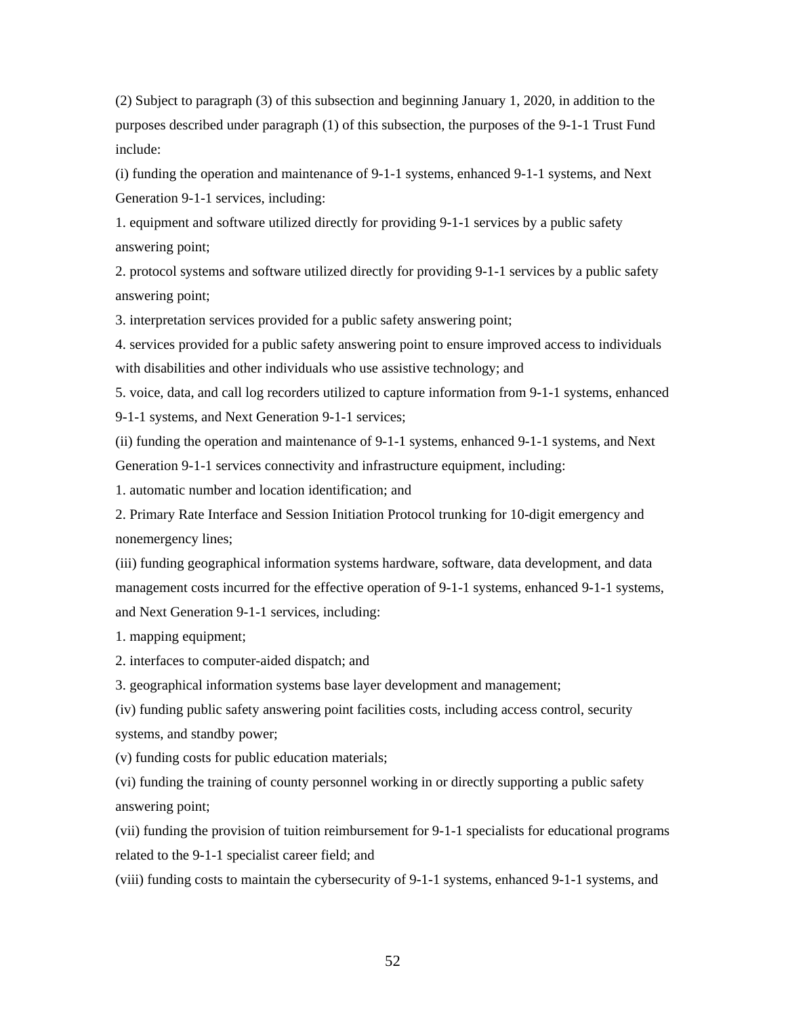(2) Subject to paragraph (3) of this subsection and beginning January 1, 2020, in addition to the purposes described under paragraph (1) of this subsection, the purposes of the 9-1-1 Trust Fund include:

(i) funding the operation and maintenance of 9-1-1 systems, enhanced 9-1-1 systems, and Next Generation 9-1-1 services, including:

1. equipment and software utilized directly for providing 9-1-1 services by a public safety answering point;

2. protocol systems and software utilized directly for providing 9-1-1 services by a public safety answering point;

3. interpretation services provided for a public safety answering point;

4. services provided for a public safety answering point to ensure improved access to individuals with disabilities and other individuals who use assistive technology; and

5. voice, data, and call log recorders utilized to capture information from 9-1-1 systems, enhanced 9-1-1 systems, and Next Generation 9-1-1 services;

(ii) funding the operation and maintenance of 9-1-1 systems, enhanced 9-1-1 systems, and Next Generation 9-1-1 services connectivity and infrastructure equipment, including:

1. automatic number and location identification; and

2. Primary Rate Interface and Session Initiation Protocol trunking for 10-digit emergency and nonemergency lines;

(iii) funding geographical information systems hardware, software, data development, and data management costs incurred for the effective operation of 9-1-1 systems, enhanced 9-1-1 systems, and Next Generation 9-1-1 services, including:

1. mapping equipment;

2. interfaces to computer-aided dispatch; and

3. geographical information systems base layer development and management;

(iv) funding public safety answering point facilities costs, including access control, security systems, and standby power;

(v) funding costs for public education materials;

(vi) funding the training of county personnel working in or directly supporting a public safety answering point;

(vii) funding the provision of tuition reimbursement for 9-1-1 specialists for educational programs related to the 9-1-1 specialist career field; and

(viii) funding costs to maintain the cybersecurity of 9-1-1 systems, enhanced 9-1-1 systems, and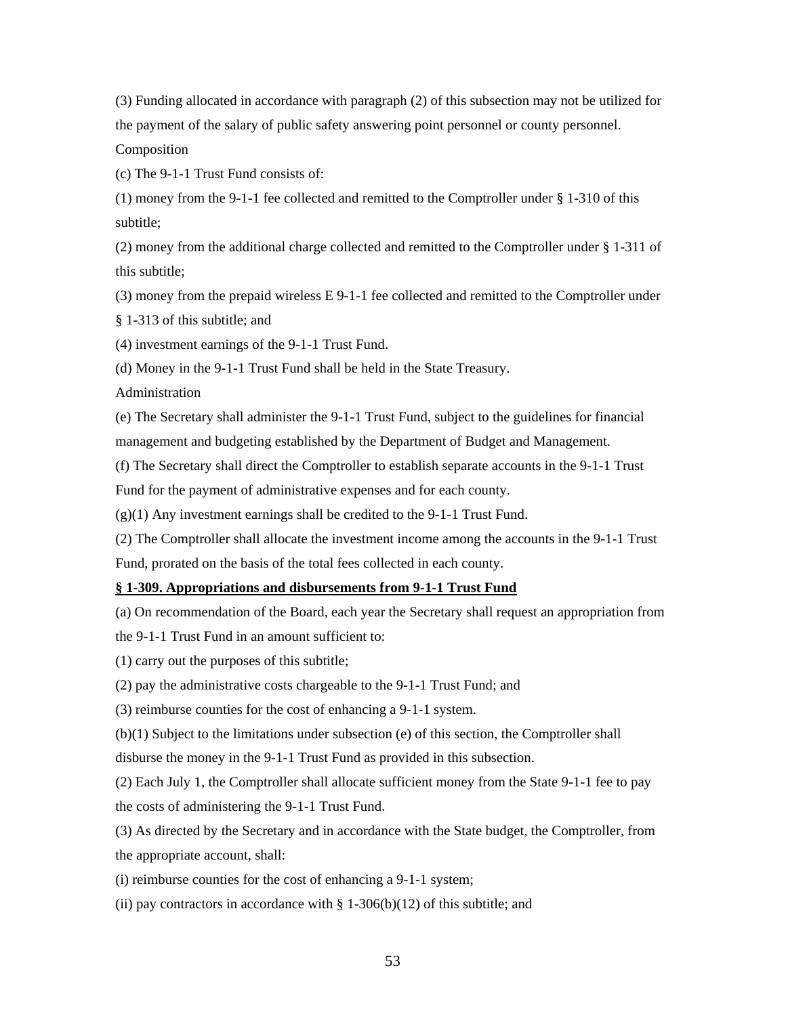(3) Funding allocated in accordance with paragraph (2) of this subsection may not be utilized for the payment of the salary of public safety answering point personnel or county personnel. Composition

(c) The 9-1-1 Trust Fund consists of:

(1) money from the 9-1-1 fee collected and remitted to the Comptroller under  $\S$  1-310 of this subtitle;

(2) money from the additional charge collected and remitted to the Comptroller under § 1-311 of this subtitle;

(3) money from the prepaid wireless E 9-1-1 fee collected and remitted to the Comptroller under § 1-313 of this subtitle; and

(4) investment earnings of the 9-1-1 Trust Fund.

(d) Money in the 9-1-1 Trust Fund shall be held in the State Treasury.

Administration

(e) The Secretary shall administer the 9-1-1 Trust Fund, subject to the guidelines for financial management and budgeting established by the Department of Budget and Management.

(f) The Secretary shall direct the Comptroller to establish separate accounts in the 9-1-1 Trust Fund for the payment of administrative expenses and for each county.

 $(g)(1)$  Any investment earnings shall be credited to the 9-1-1 Trust Fund.

(2) The Comptroller shall allocate the investment income among the accounts in the 9-1-1 Trust Fund, prorated on the basis of the total fees collected in each county.

#### **§ 1-309. Appropriations and disbursements from 9-1-1 Trust Fund**

(a) On recommendation of the Board, each year the Secretary shall request an appropriation from the 9-1-1 Trust Fund in an amount sufficient to:

(1) carry out the purposes of this subtitle;

(2) pay the administrative costs chargeable to the 9-1-1 Trust Fund; and

(3) reimburse counties for the cost of enhancing a 9-1-1 system.

(b)(1) Subject to the limitations under subsection (e) of this section, the Comptroller shall

disburse the money in the 9-1-1 Trust Fund as provided in this subsection.

(2) Each July 1, the Comptroller shall allocate sufficient money from the State 9-1-1 fee to pay the costs of administering the 9-1-1 Trust Fund.

(3) As directed by the Secretary and in accordance with the State budget, the Comptroller, from the appropriate account, shall:

(i) reimburse counties for the cost of enhancing a 9-1-1 system;

(ii) pay contractors in accordance with  $\S 1-306(b)(12)$  of this subtitle; and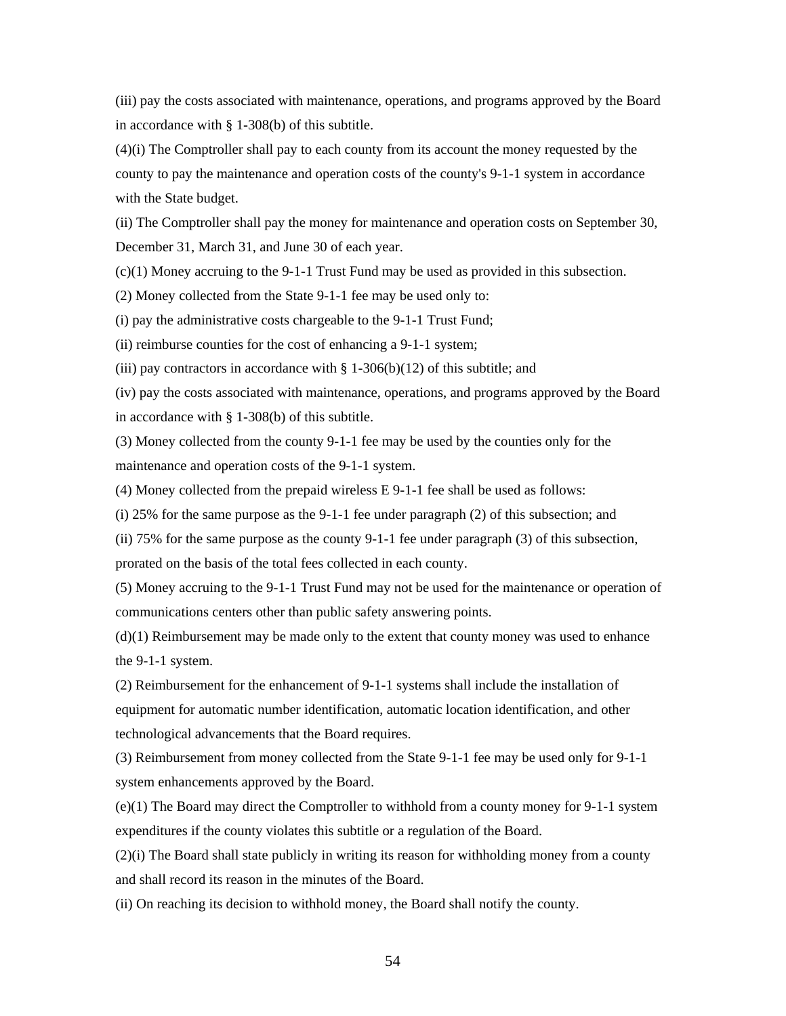(iii) pay the costs associated with maintenance, operations, and programs approved by the Board in accordance with § 1-308(b) of this subtitle.

(4)(i) The Comptroller shall pay to each county from its account the money requested by the county to pay the maintenance and operation costs of the county's 9-1-1 system in accordance with the State budget.

(ii) The Comptroller shall pay the money for maintenance and operation costs on September 30, December 31, March 31, and June 30 of each year.

(c)(1) Money accruing to the 9-1-1 Trust Fund may be used as provided in this subsection.

(2) Money collected from the State 9-1-1 fee may be used only to:

(i) pay the administrative costs chargeable to the 9-1-1 Trust Fund;

(ii) reimburse counties for the cost of enhancing a 9-1-1 system;

(iii) pay contractors in accordance with  $\S$  1-306(b)(12) of this subtitle; and

(iv) pay the costs associated with maintenance, operations, and programs approved by the Board in accordance with § 1-308(b) of this subtitle.

(3) Money collected from the county 9-1-1 fee may be used by the counties only for the maintenance and operation costs of the 9-1-1 system.

(4) Money collected from the prepaid wireless E 9-1-1 fee shall be used as follows:

(i) 25% for the same purpose as the 9-1-1 fee under paragraph (2) of this subsection; and

(ii) 75% for the same purpose as the county 9-1-1 fee under paragraph (3) of this subsection, prorated on the basis of the total fees collected in each county.

(5) Money accruing to the 9-1-1 Trust Fund may not be used for the maintenance or operation of communications centers other than public safety answering points.

(d)(1) Reimbursement may be made only to the extent that county money was used to enhance the 9-1-1 system.

(2) Reimbursement for the enhancement of 9-1-1 systems shall include the installation of equipment for automatic number identification, automatic location identification, and other technological advancements that the Board requires.

(3) Reimbursement from money collected from the State 9-1-1 fee may be used only for 9-1-1 system enhancements approved by the Board.

(e)(1) The Board may direct the Comptroller to withhold from a county money for 9-1-1 system expenditures if the county violates this subtitle or a regulation of the Board.

 $(2)(i)$  The Board shall state publicly in writing its reason for withholding money from a county and shall record its reason in the minutes of the Board.

(ii) On reaching its decision to withhold money, the Board shall notify the county.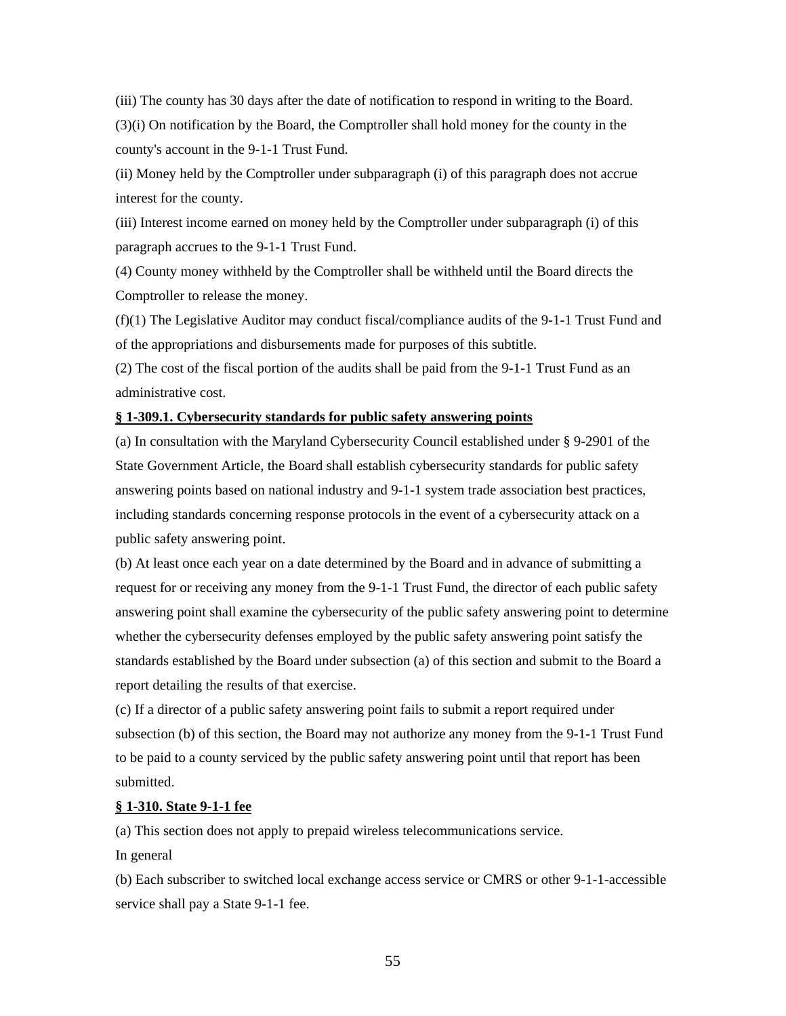(iii) The county has 30 days after the date of notification to respond in writing to the Board. (3)(i) On notification by the Board, the Comptroller shall hold money for the county in the county's account in the 9-1-1 Trust Fund.

(ii) Money held by the Comptroller under subparagraph (i) of this paragraph does not accrue interest for the county.

(iii) Interest income earned on money held by the Comptroller under subparagraph (i) of this paragraph accrues to the 9-1-1 Trust Fund.

(4) County money withheld by the Comptroller shall be withheld until the Board directs the Comptroller to release the money.

(f)(1) The Legislative Auditor may conduct fiscal/compliance audits of the 9-1-1 Trust Fund and of the appropriations and disbursements made for purposes of this subtitle.

(2) The cost of the fiscal portion of the audits shall be paid from the 9-1-1 Trust Fund as an administrative cost.

#### **§ 1-309.1. Cybersecurity standards for public safety answering points**

(a) In consultation with the Maryland Cybersecurity Council established under § 9-2901 of the State Government Article, the Board shall establish cybersecurity standards for public safety answering points based on national industry and 9-1-1 system trade association best practices, including standards concerning response protocols in the event of a cybersecurity attack on a public safety answering point.

(b) At least once each year on a date determined by the Board and in advance of submitting a request for or receiving any money from the 9-1-1 Trust Fund, the director of each public safety answering point shall examine the cybersecurity of the public safety answering point to determine whether the cybersecurity defenses employed by the public safety answering point satisfy the standards established by the Board under subsection (a) of this section and submit to the Board a report detailing the results of that exercise.

(c) If a director of a public safety answering point fails to submit a report required under subsection (b) of this section, the Board may not authorize any money from the 9-1-1 Trust Fund to be paid to a county serviced by the public safety answering point until that report has been submitted.

#### **§ 1-310. State 9-1-1 fee**

(a) This section does not apply to prepaid wireless telecommunications service.

In general

(b) Each subscriber to switched local exchange access service or CMRS or other 9-1-1-accessible service shall pay a State 9-1-1 fee.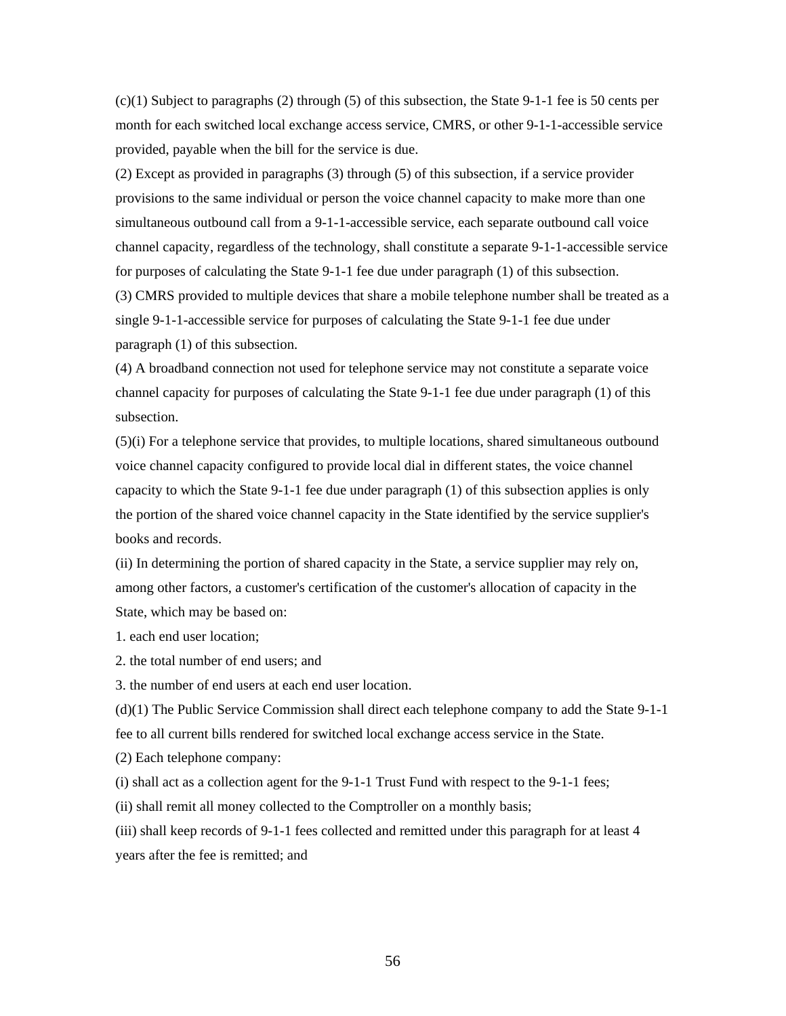$(c)(1)$  Subject to paragraphs (2) through (5) of this subsection, the State 9-1-1 fee is 50 cents per month for each switched local exchange access service, CMRS, or other 9-1-1-accessible service provided, payable when the bill for the service is due.

(2) Except as provided in paragraphs (3) through (5) of this subsection, if a service provider provisions to the same individual or person the voice channel capacity to make more than one simultaneous outbound call from a 9-1-1-accessible service, each separate outbound call voice channel capacity, regardless of the technology, shall constitute a separate 9-1-1-accessible service for purposes of calculating the State 9-1-1 fee due under paragraph (1) of this subsection. (3) CMRS provided to multiple devices that share a mobile telephone number shall be treated as a single 9-1-1-accessible service for purposes of calculating the State 9-1-1 fee due under paragraph (1) of this subsection.

(4) A broadband connection not used for telephone service may not constitute a separate voice channel capacity for purposes of calculating the State 9-1-1 fee due under paragraph (1) of this subsection.

(5)(i) For a telephone service that provides, to multiple locations, shared simultaneous outbound voice channel capacity configured to provide local dial in different states, the voice channel capacity to which the State 9-1-1 fee due under paragraph (1) of this subsection applies is only the portion of the shared voice channel capacity in the State identified by the service supplier's books and records.

(ii) In determining the portion of shared capacity in the State, a service supplier may rely on, among other factors, a customer's certification of the customer's allocation of capacity in the State, which may be based on:

1. each end user location;

2. the total number of end users; and

3. the number of end users at each end user location.

(d)(1) The Public Service Commission shall direct each telephone company to add the State 9-1-1 fee to all current bills rendered for switched local exchange access service in the State.

(2) Each telephone company:

(i) shall act as a collection agent for the 9-1-1 Trust Fund with respect to the 9-1-1 fees;

(ii) shall remit all money collected to the Comptroller on a monthly basis;

(iii) shall keep records of 9-1-1 fees collected and remitted under this paragraph for at least 4 years after the fee is remitted; and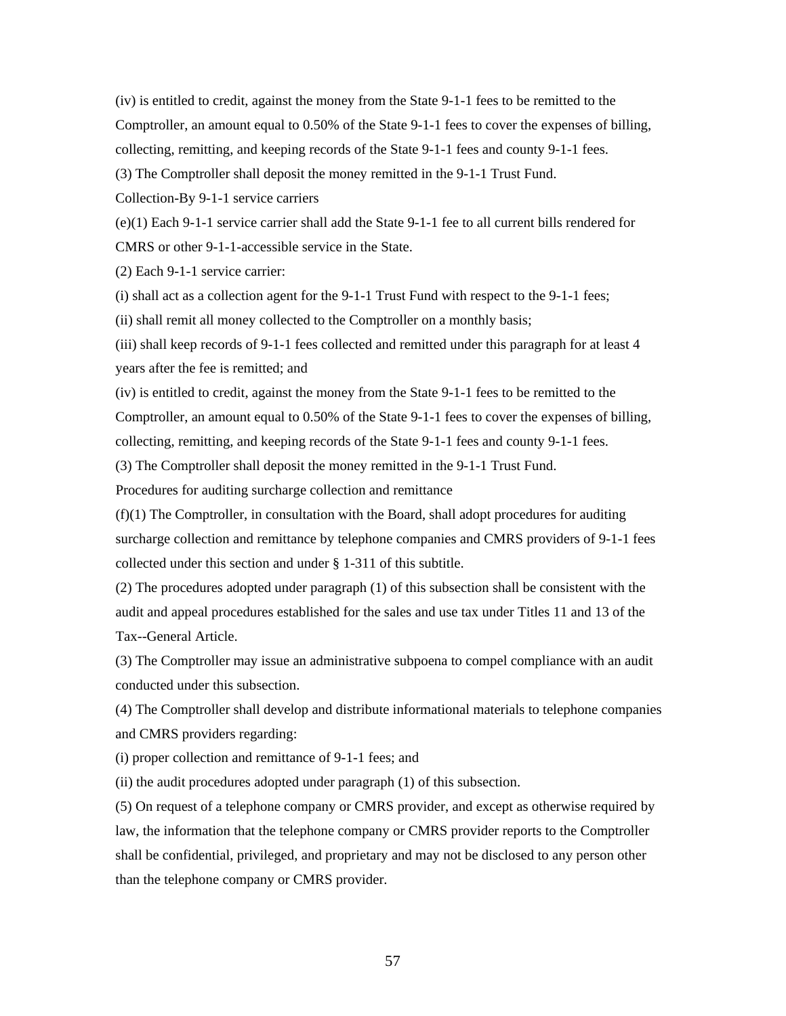(iv) is entitled to credit, against the money from the State 9-1-1 fees to be remitted to the Comptroller, an amount equal to 0.50% of the State 9-1-1 fees to cover the expenses of billing, collecting, remitting, and keeping records of the State 9-1-1 fees and county 9-1-1 fees.

(3) The Comptroller shall deposit the money remitted in the 9-1-1 Trust Fund.

Collection-By 9-1-1 service carriers

(e)(1) Each 9-1-1 service carrier shall add the State 9-1-1 fee to all current bills rendered for CMRS or other 9-1-1-accessible service in the State.

(2) Each 9-1-1 service carrier:

(i) shall act as a collection agent for the 9-1-1 Trust Fund with respect to the 9-1-1 fees;

(ii) shall remit all money collected to the Comptroller on a monthly basis;

(iii) shall keep records of 9-1-1 fees collected and remitted under this paragraph for at least 4 years after the fee is remitted; and

(iv) is entitled to credit, against the money from the State 9-1-1 fees to be remitted to the Comptroller, an amount equal to 0.50% of the State 9-1-1 fees to cover the expenses of billing, collecting, remitting, and keeping records of the State 9-1-1 fees and county 9-1-1 fees.

(3) The Comptroller shall deposit the money remitted in the 9-1-1 Trust Fund.

Procedures for auditing surcharge collection and remittance

(f)(1) The Comptroller, in consultation with the Board, shall adopt procedures for auditing surcharge collection and remittance by telephone companies and CMRS providers of 9-1-1 fees collected under this section and under § 1-311 of this subtitle.

(2) The procedures adopted under paragraph (1) of this subsection shall be consistent with the audit and appeal procedures established for the sales and use tax under Titles 11 and 13 of the Tax--General Article.

(3) The Comptroller may issue an administrative subpoena to compel compliance with an audit conducted under this subsection.

(4) The Comptroller shall develop and distribute informational materials to telephone companies and CMRS providers regarding:

(i) proper collection and remittance of 9-1-1 fees; and

(ii) the audit procedures adopted under paragraph (1) of this subsection.

(5) On request of a telephone company or CMRS provider, and except as otherwise required by law, the information that the telephone company or CMRS provider reports to the Comptroller shall be confidential, privileged, and proprietary and may not be disclosed to any person other than the telephone company or CMRS provider.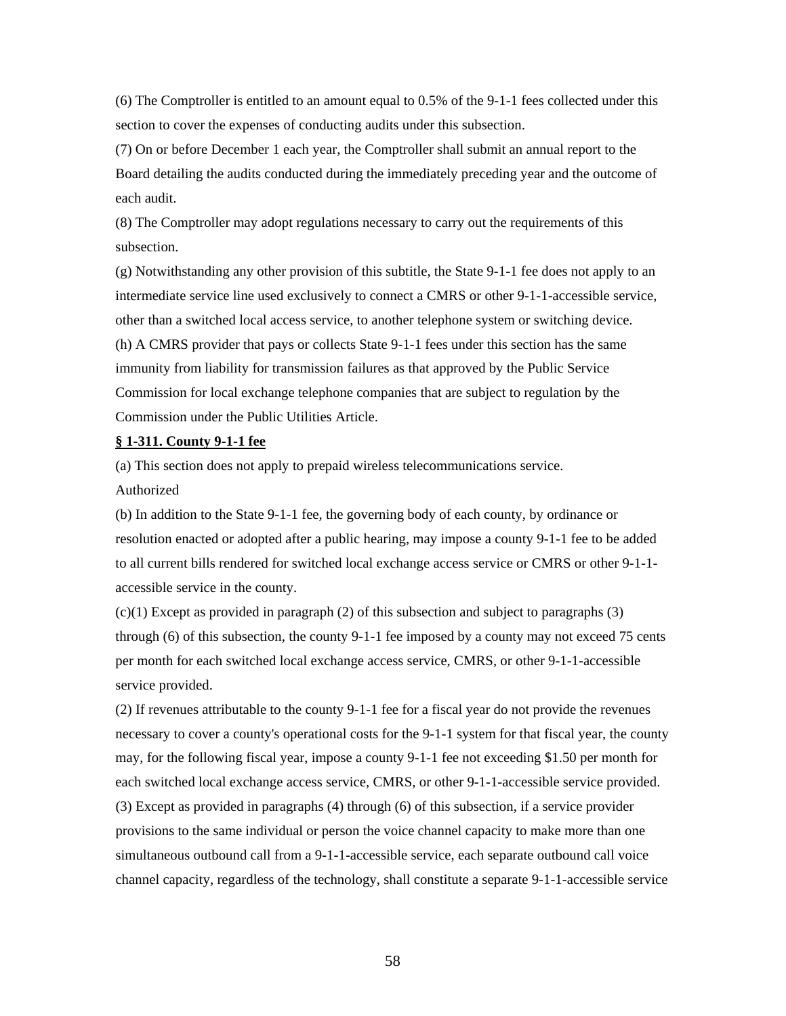(6) The Comptroller is entitled to an amount equal to 0.5% of the 9-1-1 fees collected under this section to cover the expenses of conducting audits under this subsection.

(7) On or before December 1 each year, the Comptroller shall submit an annual report to the Board detailing the audits conducted during the immediately preceding year and the outcome of each audit.

(8) The Comptroller may adopt regulations necessary to carry out the requirements of this subsection.

(g) Notwithstanding any other provision of this subtitle, the State 9-1-1 fee does not apply to an intermediate service line used exclusively to connect a CMRS or other 9-1-1-accessible service, other than a switched local access service, to another telephone system or switching device.

(h) A CMRS provider that pays or collects State 9-1-1 fees under this section has the same immunity from liability for transmission failures as that approved by the Public Service Commission for local exchange telephone companies that are subject to regulation by the Commission under the Public Utilities Article.

#### **§ 1-311. County 9-1-1 fee**

(a) This section does not apply to prepaid wireless telecommunications service. Authorized

(b) In addition to the State 9-1-1 fee, the governing body of each county, by ordinance or resolution enacted or adopted after a public hearing, may impose a county 9-1-1 fee to be added to all current bills rendered for switched local exchange access service or CMRS or other 9-1-1 accessible service in the county.

 $(c)(1)$  Except as provided in paragraph  $(2)$  of this subsection and subject to paragraphs  $(3)$ through (6) of this subsection, the county 9-1-1 fee imposed by a county may not exceed 75 cents per month for each switched local exchange access service, CMRS, or other 9-1-1-accessible service provided.

(2) If revenues attributable to the county 9-1-1 fee for a fiscal year do not provide the revenues necessary to cover a county's operational costs for the 9-1-1 system for that fiscal year, the county may, for the following fiscal year, impose a county 9-1-1 fee not exceeding \$1.50 per month for each switched local exchange access service, CMRS, or other 9-1-1-accessible service provided. (3) Except as provided in paragraphs (4) through (6) of this subsection, if a service provider provisions to the same individual or person the voice channel capacity to make more than one simultaneous outbound call from a 9-1-1-accessible service, each separate outbound call voice channel capacity, regardless of the technology, shall constitute a separate 9-1-1-accessible service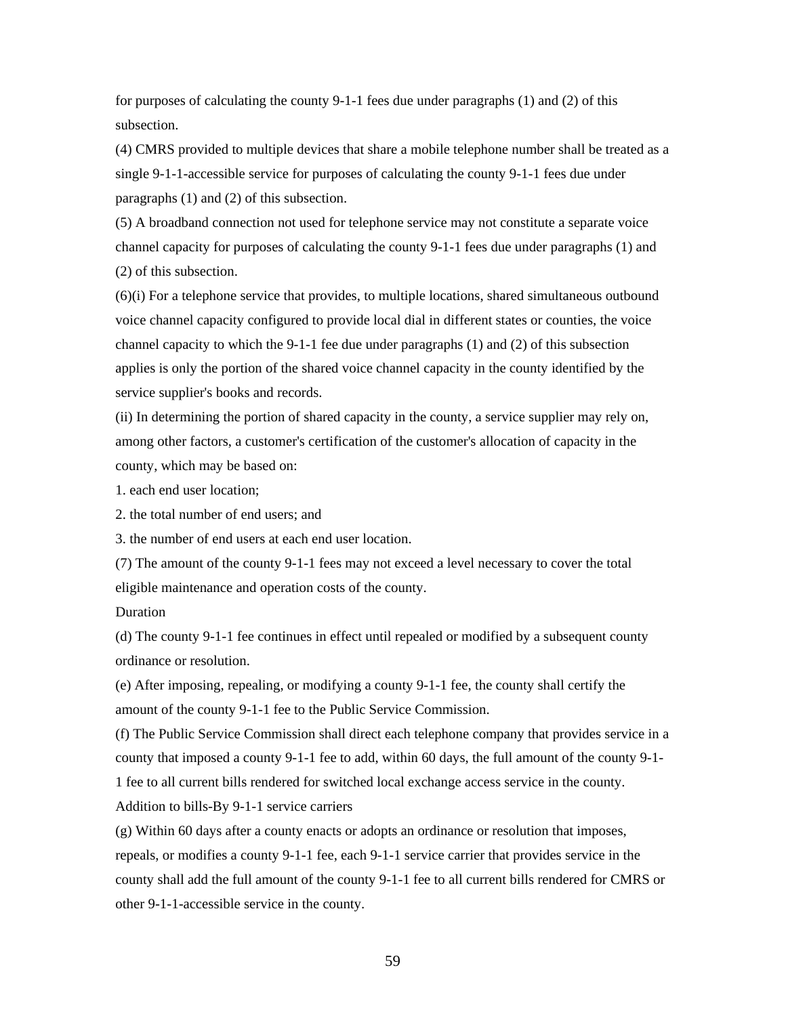for purposes of calculating the county 9-1-1 fees due under paragraphs (1) and (2) of this subsection.

(4) CMRS provided to multiple devices that share a mobile telephone number shall be treated as a single 9-1-1-accessible service for purposes of calculating the county 9-1-1 fees due under paragraphs (1) and (2) of this subsection.

(5) A broadband connection not used for telephone service may not constitute a separate voice channel capacity for purposes of calculating the county 9-1-1 fees due under paragraphs (1) and (2) of this subsection.

(6)(i) For a telephone service that provides, to multiple locations, shared simultaneous outbound voice channel capacity configured to provide local dial in different states or counties, the voice channel capacity to which the 9-1-1 fee due under paragraphs (1) and (2) of this subsection applies is only the portion of the shared voice channel capacity in the county identified by the service supplier's books and records.

(ii) In determining the portion of shared capacity in the county, a service supplier may rely on, among other factors, a customer's certification of the customer's allocation of capacity in the county, which may be based on:

1. each end user location;

2. the total number of end users; and

3. the number of end users at each end user location.

(7) The amount of the county 9-1-1 fees may not exceed a level necessary to cover the total eligible maintenance and operation costs of the county.

Duration

(d) The county 9-1-1 fee continues in effect until repealed or modified by a subsequent county ordinance or resolution.

(e) After imposing, repealing, or modifying a county 9-1-1 fee, the county shall certify the amount of the county 9-1-1 fee to the Public Service Commission.

(f) The Public Service Commission shall direct each telephone company that provides service in a county that imposed a county 9-1-1 fee to add, within 60 days, the full amount of the county 9-1- 1 fee to all current bills rendered for switched local exchange access service in the county. Addition to bills-By 9-1-1 service carriers

(g) Within 60 days after a county enacts or adopts an ordinance or resolution that imposes, repeals, or modifies a county 9-1-1 fee, each 9-1-1 service carrier that provides service in the county shall add the full amount of the county 9-1-1 fee to all current bills rendered for CMRS or other 9-1-1-accessible service in the county.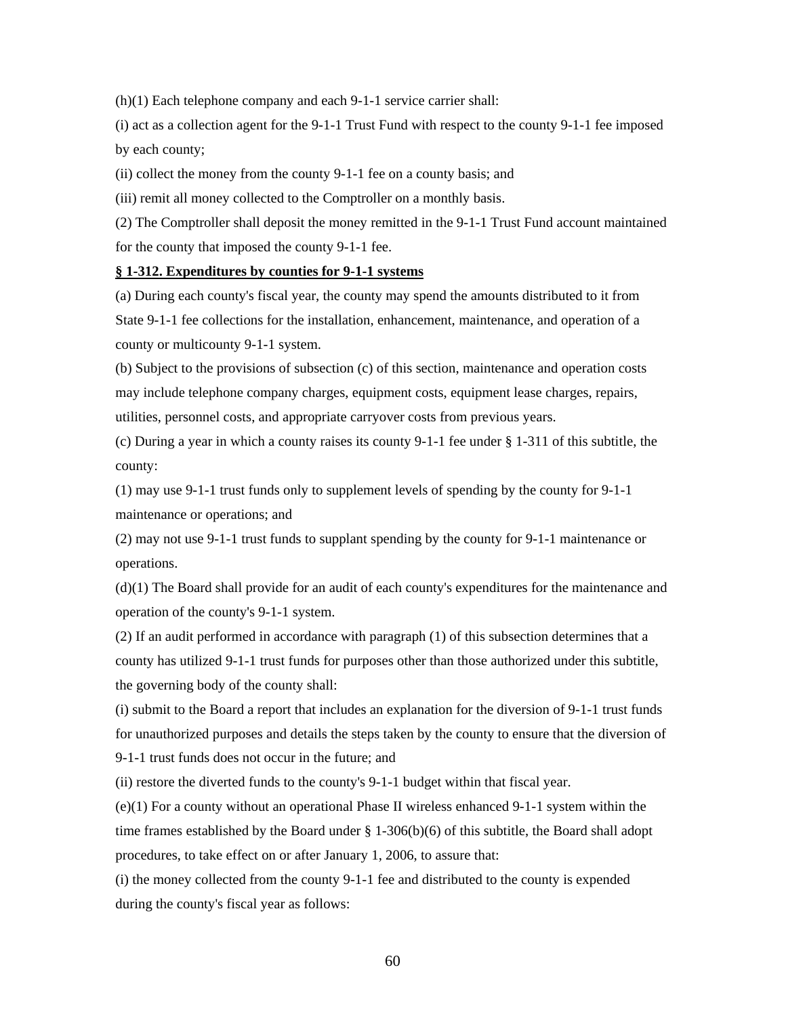(h)(1) Each telephone company and each 9-1-1 service carrier shall:

(i) act as a collection agent for the 9-1-1 Trust Fund with respect to the county 9-1-1 fee imposed by each county;

(ii) collect the money from the county 9-1-1 fee on a county basis; and

(iii) remit all money collected to the Comptroller on a monthly basis.

(2) The Comptroller shall deposit the money remitted in the 9-1-1 Trust Fund account maintained for the county that imposed the county 9-1-1 fee.

#### **§ 1-312. Expenditures by counties for 9-1-1 systems**

(a) During each county's fiscal year, the county may spend the amounts distributed to it from State 9-1-1 fee collections for the installation, enhancement, maintenance, and operation of a county or multicounty 9-1-1 system.

(b) Subject to the provisions of subsection (c) of this section, maintenance and operation costs may include telephone company charges, equipment costs, equipment lease charges, repairs, utilities, personnel costs, and appropriate carryover costs from previous years.

(c) During a year in which a county raises its county 9-1-1 fee under § 1-311 of this subtitle, the county:

(1) may use 9-1-1 trust funds only to supplement levels of spending by the county for 9-1-1 maintenance or operations; and

(2) may not use 9-1-1 trust funds to supplant spending by the county for 9-1-1 maintenance or operations.

(d)(1) The Board shall provide for an audit of each county's expenditures for the maintenance and operation of the county's 9-1-1 system.

(2) If an audit performed in accordance with paragraph (1) of this subsection determines that a county has utilized 9-1-1 trust funds for purposes other than those authorized under this subtitle, the governing body of the county shall:

(i) submit to the Board a report that includes an explanation for the diversion of 9-1-1 trust funds for unauthorized purposes and details the steps taken by the county to ensure that the diversion of 9-1-1 trust funds does not occur in the future; and

(ii) restore the diverted funds to the county's 9-1-1 budget within that fiscal year.

(e)(1) For a county without an operational Phase II wireless enhanced 9-1-1 system within the time frames established by the Board under  $\S$  1-306(b)(6) of this subtitle, the Board shall adopt procedures, to take effect on or after January 1, 2006, to assure that:

(i) the money collected from the county 9-1-1 fee and distributed to the county is expended during the county's fiscal year as follows: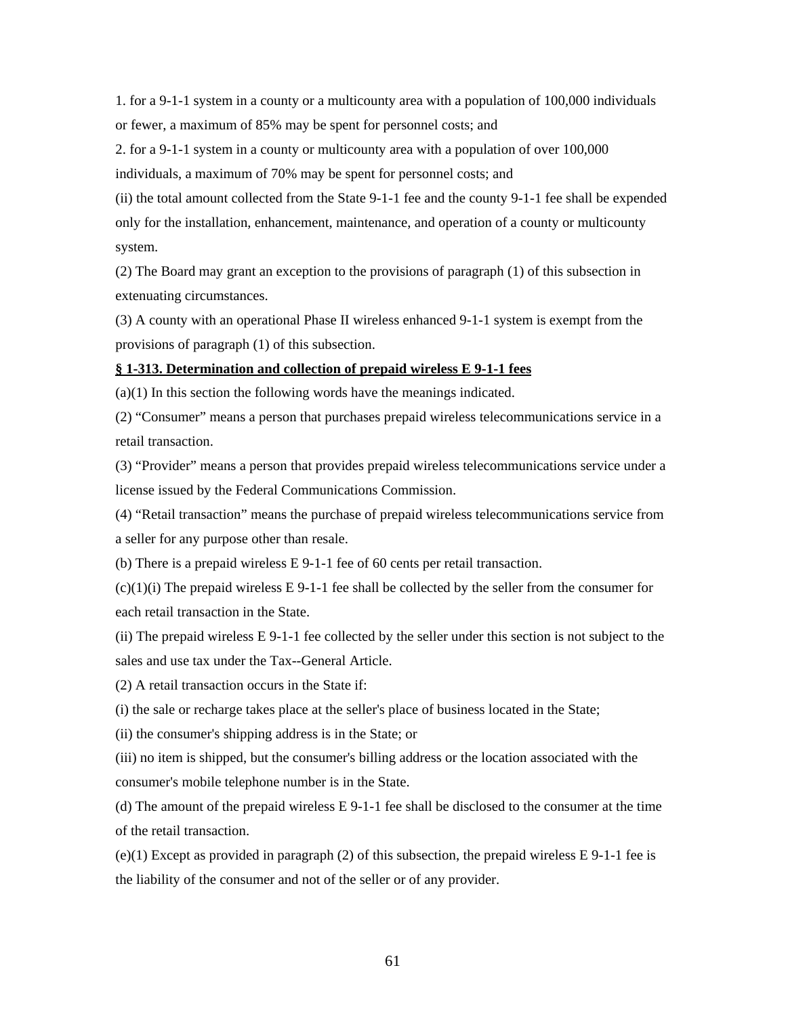1. for a 9-1-1 system in a county or a multicounty area with a population of 100,000 individuals or fewer, a maximum of 85% may be spent for personnel costs; and

2. for a 9-1-1 system in a county or multicounty area with a population of over 100,000

individuals, a maximum of 70% may be spent for personnel costs; and

(ii) the total amount collected from the State 9-1-1 fee and the county 9-1-1 fee shall be expended only for the installation, enhancement, maintenance, and operation of a county or multicounty system.

(2) The Board may grant an exception to the provisions of paragraph (1) of this subsection in extenuating circumstances.

(3) A county with an operational Phase II wireless enhanced 9-1-1 system is exempt from the provisions of paragraph (1) of this subsection.

#### **§ 1-313. Determination and collection of prepaid wireless E 9-1-1 fees**

(a)(1) In this section the following words have the meanings indicated.

(2) "Consumer" means a person that purchases prepaid wireless telecommunications service in a retail transaction.

(3) "Provider" means a person that provides prepaid wireless telecommunications service under a license issued by the Federal Communications Commission.

(4) "Retail transaction" means the purchase of prepaid wireless telecommunications service from a seller for any purpose other than resale.

(b) There is a prepaid wireless E 9-1-1 fee of 60 cents per retail transaction.

 $(c)(1)(i)$  The prepaid wireless E 9-1-1 fee shall be collected by the seller from the consumer for each retail transaction in the State.

(ii) The prepaid wireless E 9-1-1 fee collected by the seller under this section is not subject to the sales and use tax under the Tax--General Article.

(2) A retail transaction occurs in the State if:

(i) the sale or recharge takes place at the seller's place of business located in the State;

(ii) the consumer's shipping address is in the State; or

(iii) no item is shipped, but the consumer's billing address or the location associated with the consumer's mobile telephone number is in the State.

(d) The amount of the prepaid wireless E 9-1-1 fee shall be disclosed to the consumer at the time of the retail transaction.

 $(e)(1)$  Except as provided in paragraph (2) of this subsection, the prepaid wireless E 9-1-1 fee is the liability of the consumer and not of the seller or of any provider.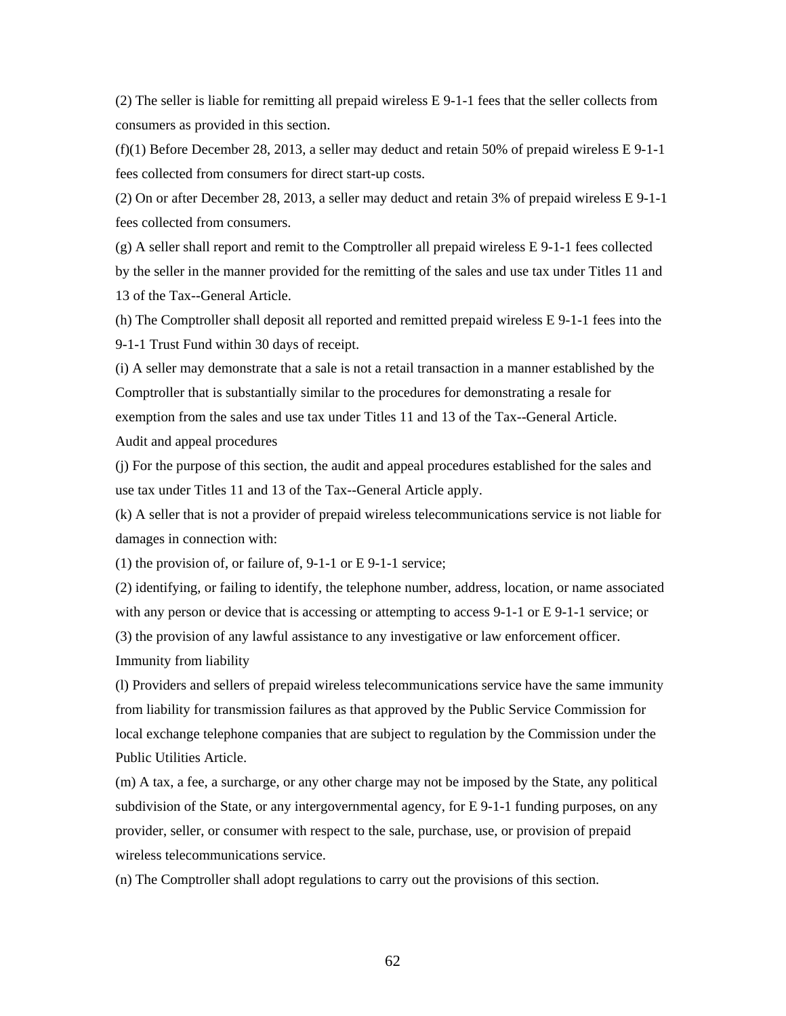(2) The seller is liable for remitting all prepaid wireless E 9-1-1 fees that the seller collects from consumers as provided in this section.

 $(f)(1)$  Before December 28, 2013, a seller may deduct and retain 50% of prepaid wireless E 9-1-1 fees collected from consumers for direct start-up costs.

(2) On or after December 28, 2013, a seller may deduct and retain 3% of prepaid wireless E 9-1-1 fees collected from consumers.

(g) A seller shall report and remit to the Comptroller all prepaid wireless E 9-1-1 fees collected by the seller in the manner provided for the remitting of the sales and use tax under Titles 11 and 13 of the Tax--General Article.

(h) The Comptroller shall deposit all reported and remitted prepaid wireless E 9-1-1 fees into the 9-1-1 Trust Fund within 30 days of receipt.

(i) A seller may demonstrate that a sale is not a retail transaction in a manner established by the Comptroller that is substantially similar to the procedures for demonstrating a resale for exemption from the sales and use tax under Titles 11 and 13 of the Tax--General Article. Audit and appeal procedures

(j) For the purpose of this section, the audit and appeal procedures established for the sales and use tax under Titles 11 and 13 of the Tax--General Article apply.

(k) A seller that is not a provider of prepaid wireless telecommunications service is not liable for damages in connection with:

(1) the provision of, or failure of, 9-1-1 or E 9-1-1 service;

(2) identifying, or failing to identify, the telephone number, address, location, or name associated with any person or device that is accessing or attempting to access 9-1-1 or E 9-1-1 service; or (3) the provision of any lawful assistance to any investigative or law enforcement officer. Immunity from liability

(l) Providers and sellers of prepaid wireless telecommunications service have the same immunity from liability for transmission failures as that approved by the Public Service Commission for local exchange telephone companies that are subject to regulation by the Commission under the Public Utilities Article.

(m) A tax, a fee, a surcharge, or any other charge may not be imposed by the State, any political subdivision of the State, or any intergovernmental agency, for E 9-1-1 funding purposes, on any provider, seller, or consumer with respect to the sale, purchase, use, or provision of prepaid wireless telecommunications service.

(n) The Comptroller shall adopt regulations to carry out the provisions of this section.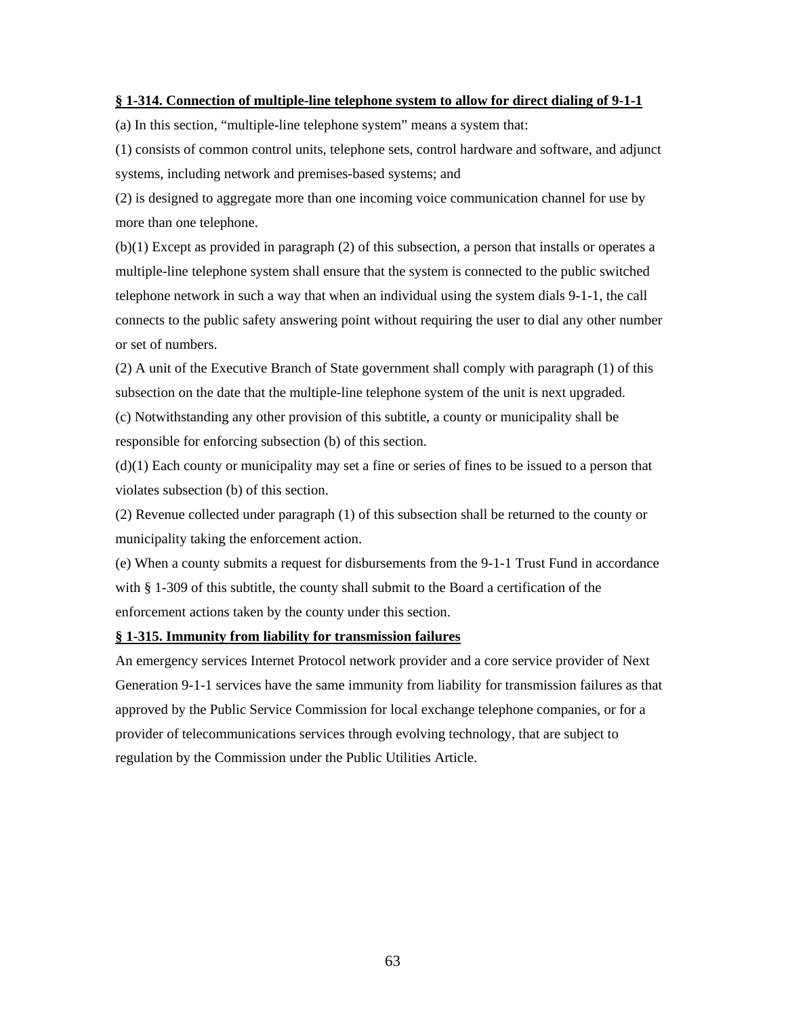#### **§ 1-314. Connection of multiple-line telephone system to allow for direct dialing of 9-1-1**

(a) In this section, "multiple-line telephone system" means a system that:

(1) consists of common control units, telephone sets, control hardware and software, and adjunct systems, including network and premises-based systems; and

(2) is designed to aggregate more than one incoming voice communication channel for use by more than one telephone.

(b)(1) Except as provided in paragraph (2) of this subsection, a person that installs or operates a multiple-line telephone system shall ensure that the system is connected to the public switched telephone network in such a way that when an individual using the system dials 9-1-1, the call connects to the public safety answering point without requiring the user to dial any other number or set of numbers.

(2) A unit of the Executive Branch of State government shall comply with paragraph (1) of this subsection on the date that the multiple-line telephone system of the unit is next upgraded. (c) Notwithstanding any other provision of this subtitle, a county or municipality shall be responsible for enforcing subsection (b) of this section.

(d)(1) Each county or municipality may set a fine or series of fines to be issued to a person that violates subsection (b) of this section.

(2) Revenue collected under paragraph (1) of this subsection shall be returned to the county or municipality taking the enforcement action.

(e) When a county submits a request for disbursements from the 9-1-1 Trust Fund in accordance with § 1-309 of this subtitle, the county shall submit to the Board a certification of the enforcement actions taken by the county under this section.

#### **§ 1-315. Immunity from liability for transmission failures**

An emergency services Internet Protocol network provider and a core service provider of Next Generation 9-1-1 services have the same immunity from liability for transmission failures as that approved by the Public Service Commission for local exchange telephone companies, or for a provider of telecommunications services through evolving technology, that are subject to regulation by the Commission under the Public Utilities Article.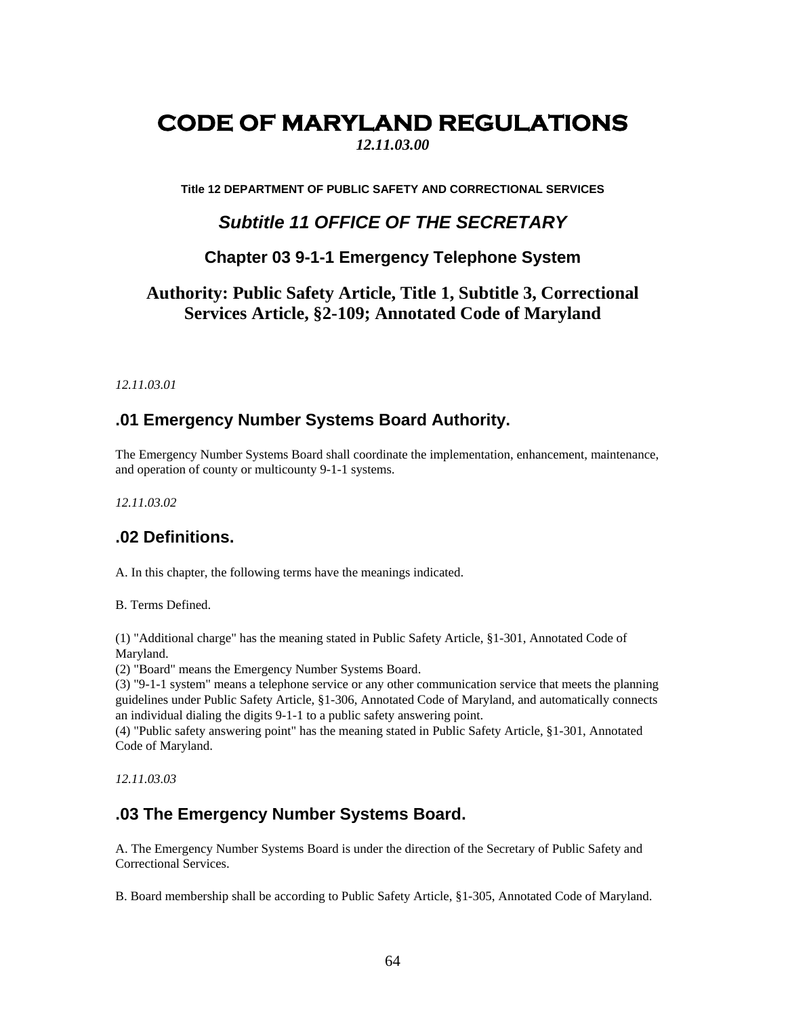# **CODE OF MARYLAND REGULATIONS**

*12.11.03.00*

**Title 12 DEPARTMENT OF PUBLIC SAFETY AND CORRECTIONAL SERVICES** 

# *Subtitle 11 OFFICE OF THE SECRETARY*

### **Chapter 03 9-1-1 Emergency Telephone System**

# **Authority: Public Safety Article, Title 1, Subtitle 3, Correctional Services Article, §2-109; Annotated Code of Maryland**

*12.11.03.01* 

### **.01 Emergency Number Systems Board Authority.**

The Emergency Number Systems Board shall coordinate the implementation, enhancement, maintenance, and operation of county or multicounty 9-1-1 systems.

*12.11.03.02* 

## **.02 Definitions.**

A. In this chapter, the following terms have the meanings indicated.

B. Terms Defined.

(1) "Additional charge" has the meaning stated in Public Safety Article, §1-301, Annotated Code of Maryland.

(2) "Board" means the Emergency Number Systems Board.

(3) "9-1-1 system" means a telephone service or any other communication service that meets the planning guidelines under Public Safety Article, §1-306, Annotated Code of Maryland, and automatically connects an individual dialing the digits 9-1-1 to a public safety answering point.

(4) "Public safety answering point" has the meaning stated in Public Safety Article, §1-301, Annotated Code of Maryland.

*12.11.03.03* 

### **.03 The Emergency Number Systems Board.**

A. The Emergency Number Systems Board is under the direction of the Secretary of Public Safety and Correctional Services.

B. Board membership shall be according to Public Safety Article, §1-305, Annotated Code of Maryland.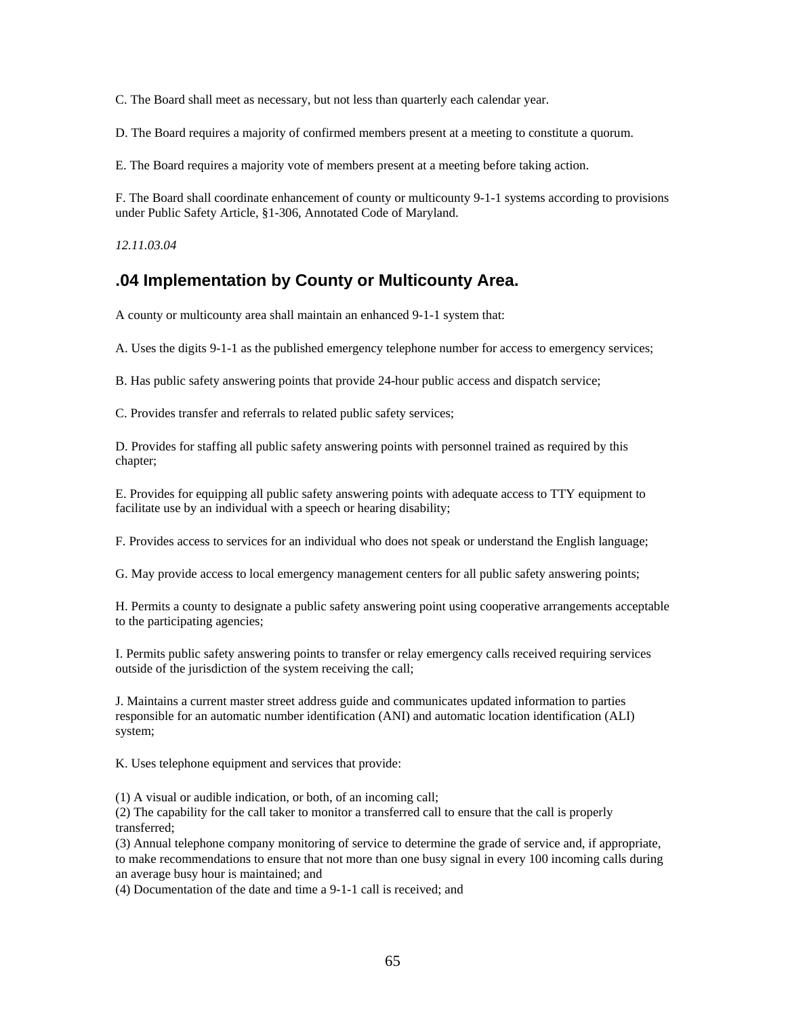C. The Board shall meet as necessary, but not less than quarterly each calendar year.

D. The Board requires a majority of confirmed members present at a meeting to constitute a quorum.

E. The Board requires a majority vote of members present at a meeting before taking action.

F. The Board shall coordinate enhancement of county or multicounty 9-1-1 systems according to provisions under Public Safety Article, §1-306, Annotated Code of Maryland.

*12.11.03.04* 

# **.04 Implementation by County or Multicounty Area.**

A county or multicounty area shall maintain an enhanced 9-1-1 system that:

A. Uses the digits 9-1-1 as the published emergency telephone number for access to emergency services;

B. Has public safety answering points that provide 24-hour public access and dispatch service;

C. Provides transfer and referrals to related public safety services;

D. Provides for staffing all public safety answering points with personnel trained as required by this chapter;

E. Provides for equipping all public safety answering points with adequate access to TTY equipment to facilitate use by an individual with a speech or hearing disability;

F. Provides access to services for an individual who does not speak or understand the English language;

G. May provide access to local emergency management centers for all public safety answering points;

H. Permits a county to designate a public safety answering point using cooperative arrangements acceptable to the participating agencies;

I. Permits public safety answering points to transfer or relay emergency calls received requiring services outside of the jurisdiction of the system receiving the call;

J. Maintains a current master street address guide and communicates updated information to parties responsible for an automatic number identification (ANI) and automatic location identification (ALI) system;

K. Uses telephone equipment and services that provide:

(1) A visual or audible indication, or both, of an incoming call;

(2) The capability for the call taker to monitor a transferred call to ensure that the call is properly transferred;

(3) Annual telephone company monitoring of service to determine the grade of service and, if appropriate, to make recommendations to ensure that not more than one busy signal in every 100 incoming calls during an average busy hour is maintained; and

(4) Documentation of the date and time a 9-1-1 call is received; and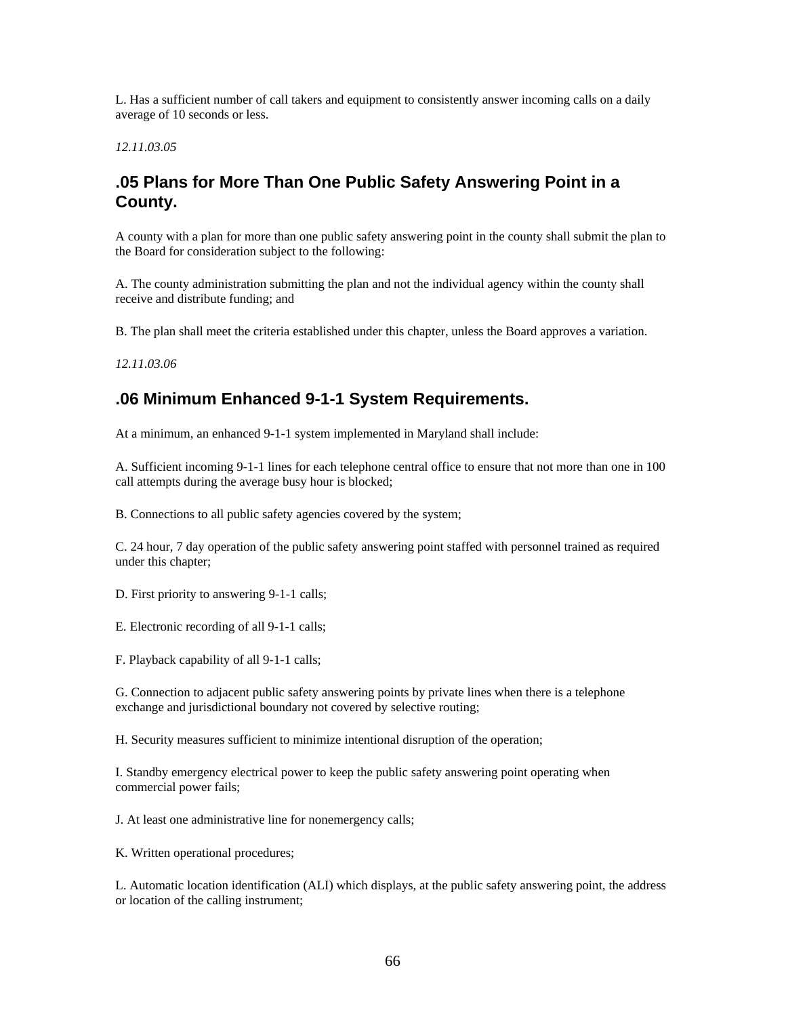L. Has a sufficient number of call takers and equipment to consistently answer incoming calls on a daily average of 10 seconds or less.

*12.11.03.05* 

# **.05 Plans for More Than One Public Safety Answering Point in a County.**

A county with a plan for more than one public safety answering point in the county shall submit the plan to the Board for consideration subject to the following:

A. The county administration submitting the plan and not the individual agency within the county shall receive and distribute funding; and

B. The plan shall meet the criteria established under this chapter, unless the Board approves a variation.

*12.11.03.06* 

## **.06 Minimum Enhanced 9-1-1 System Requirements.**

At a minimum, an enhanced 9-1-1 system implemented in Maryland shall include:

A. Sufficient incoming 9-1-1 lines for each telephone central office to ensure that not more than one in 100 call attempts during the average busy hour is blocked;

B. Connections to all public safety agencies covered by the system;

C. 24 hour, 7 day operation of the public safety answering point staffed with personnel trained as required under this chapter;

D. First priority to answering 9-1-1 calls;

E. Electronic recording of all 9-1-1 calls;

F. Playback capability of all 9-1-1 calls;

G. Connection to adjacent public safety answering points by private lines when there is a telephone exchange and jurisdictional boundary not covered by selective routing;

H. Security measures sufficient to minimize intentional disruption of the operation;

I. Standby emergency electrical power to keep the public safety answering point operating when commercial power fails;

J. At least one administrative line for nonemergency calls;

K. Written operational procedures;

L. Automatic location identification (ALI) which displays, at the public safety answering point, the address or location of the calling instrument;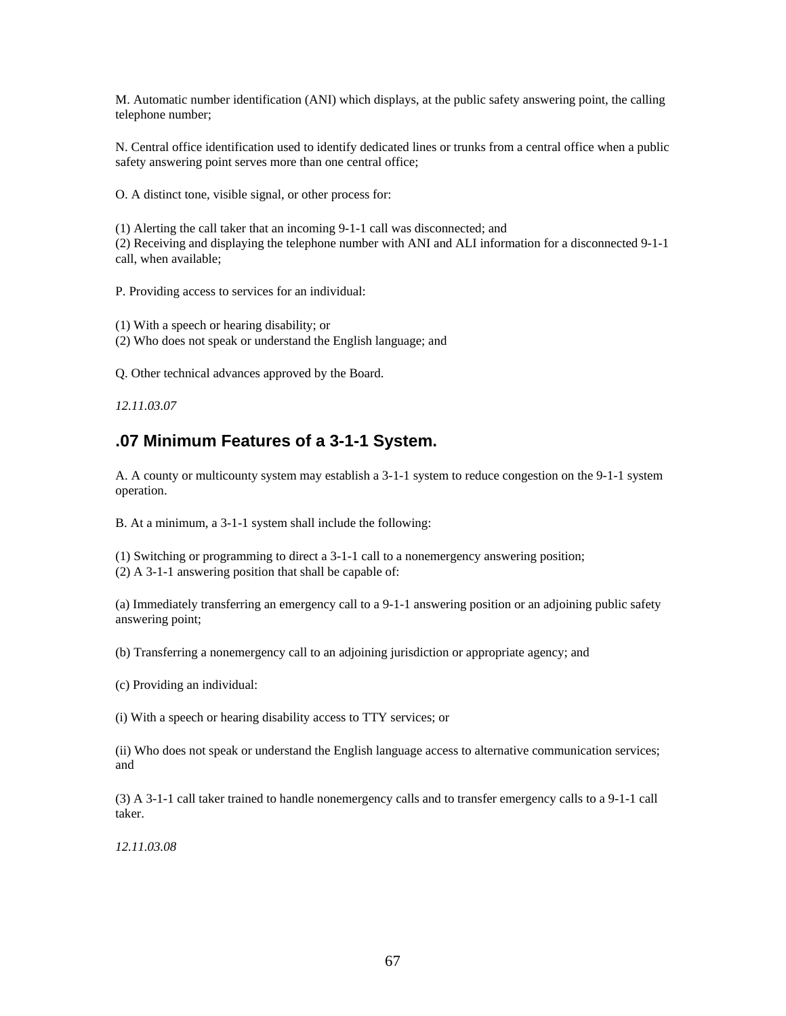M. Automatic number identification (ANI) which displays, at the public safety answering point, the calling telephone number;

N. Central office identification used to identify dedicated lines or trunks from a central office when a public safety answering point serves more than one central office;

O. A distinct tone, visible signal, or other process for:

(1) Alerting the call taker that an incoming 9-1-1 call was disconnected; and (2) Receiving and displaying the telephone number with ANI and ALI information for a disconnected 9-1-1 call, when available;

P. Providing access to services for an individual:

(1) With a speech or hearing disability; or (2) Who does not speak or understand the English language; and

Q. Other technical advances approved by the Board.

*12.11.03.07* 

## **.07 Minimum Features of a 3-1-1 System.**

A. A county or multicounty system may establish a 3-1-1 system to reduce congestion on the 9-1-1 system operation.

B. At a minimum, a 3-1-1 system shall include the following:

(1) Switching or programming to direct a 3-1-1 call to a nonemergency answering position; (2) A 3-1-1 answering position that shall be capable of:

(a) Immediately transferring an emergency call to a 9-1-1 answering position or an adjoining public safety answering point;

(b) Transferring a nonemergency call to an adjoining jurisdiction or appropriate agency; and

(c) Providing an individual:

(i) With a speech or hearing disability access to TTY services; or

(ii) Who does not speak or understand the English language access to alternative communication services; and

(3) A 3-1-1 call taker trained to handle nonemergency calls and to transfer emergency calls to a 9-1-1 call taker.

*12.11.03.08*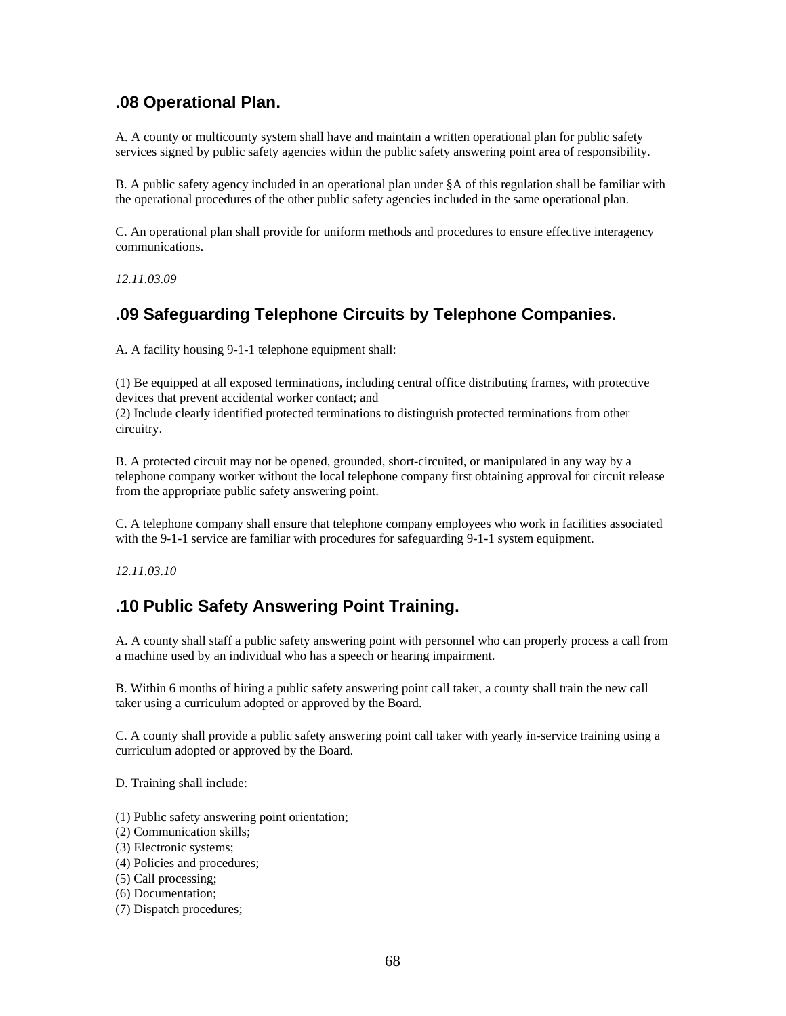## **.08 Operational Plan.**

A. A county or multicounty system shall have and maintain a written operational plan for public safety services signed by public safety agencies within the public safety answering point area of responsibility.

B. A public safety agency included in an operational plan under §A of this regulation shall be familiar with the operational procedures of the other public safety agencies included in the same operational plan.

C. An operational plan shall provide for uniform methods and procedures to ensure effective interagency communications.

*12.11.03.09* 

# **.09 Safeguarding Telephone Circuits by Telephone Companies.**

A. A facility housing 9-1-1 telephone equipment shall:

(1) Be equipped at all exposed terminations, including central office distributing frames, with protective devices that prevent accidental worker contact; and

(2) Include clearly identified protected terminations to distinguish protected terminations from other circuitry.

B. A protected circuit may not be opened, grounded, short-circuited, or manipulated in any way by a telephone company worker without the local telephone company first obtaining approval for circuit release from the appropriate public safety answering point.

C. A telephone company shall ensure that telephone company employees who work in facilities associated with the 9-1-1 service are familiar with procedures for safeguarding 9-1-1 system equipment.

*12.11.03.10* 

# **.10 Public Safety Answering Point Training.**

A. A county shall staff a public safety answering point with personnel who can properly process a call from a machine used by an individual who has a speech or hearing impairment.

B. Within 6 months of hiring a public safety answering point call taker, a county shall train the new call taker using a curriculum adopted or approved by the Board.

C. A county shall provide a public safety answering point call taker with yearly in-service training using a curriculum adopted or approved by the Board.

D. Training shall include:

- (1) Public safety answering point orientation;
- (2) Communication skills;
- (3) Electronic systems;
- (4) Policies and procedures;
- (5) Call processing;
- (6) Documentation;
- (7) Dispatch procedures;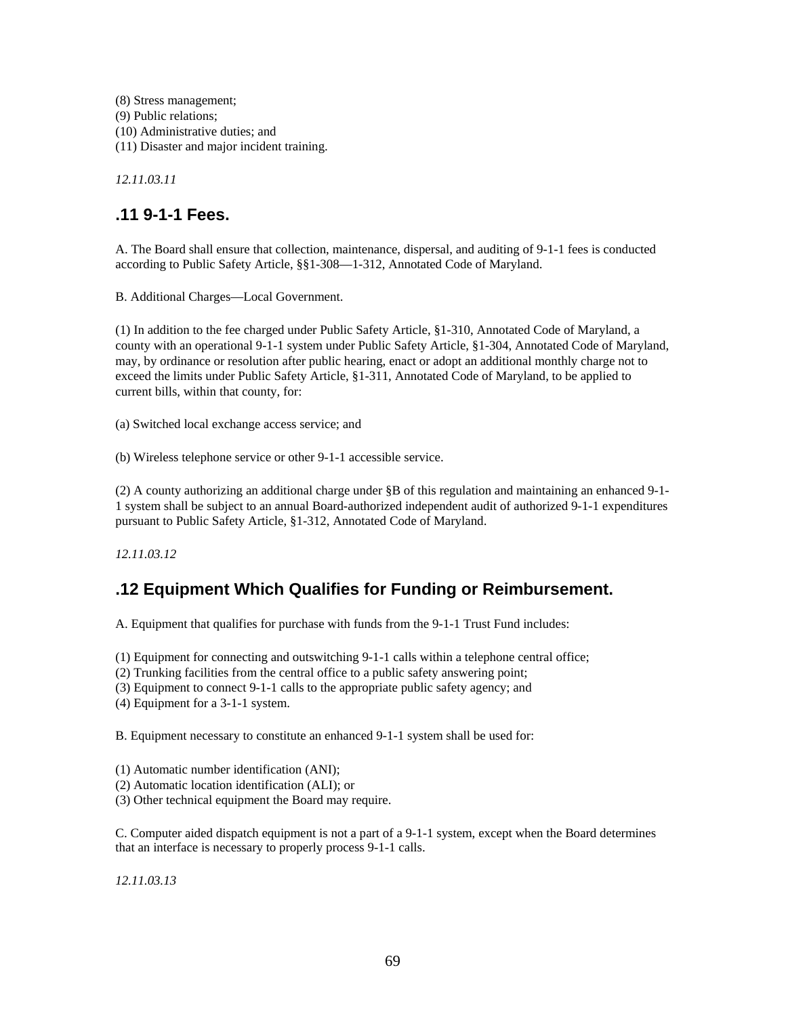(8) Stress management; (9) Public relations; (10) Administrative duties; and (11) Disaster and major incident training.

*12.11.03.11* 

# **.11 9-1-1 Fees.**

A. The Board shall ensure that collection, maintenance, dispersal, and auditing of 9-1-1 fees is conducted according to Public Safety Article, §§1-308—1-312, Annotated Code of Maryland.

B. Additional Charges—Local Government.

(1) In addition to the fee charged under Public Safety Article, §1-310, Annotated Code of Maryland, a county with an operational 9-1-1 system under Public Safety Article, §1-304, Annotated Code of Maryland, may, by ordinance or resolution after public hearing, enact or adopt an additional monthly charge not to exceed the limits under Public Safety Article, §1-311, Annotated Code of Maryland, to be applied to current bills, within that county, for:

(a) Switched local exchange access service; and

(b) Wireless telephone service or other 9-1-1 accessible service.

(2) A county authorizing an additional charge under §B of this regulation and maintaining an enhanced 9-1- 1 system shall be subject to an annual Board-authorized independent audit of authorized 9-1-1 expenditures pursuant to Public Safety Article, §1-312, Annotated Code of Maryland.

*12.11.03.12* 

# **.12 Equipment Which Qualifies for Funding or Reimbursement.**

A. Equipment that qualifies for purchase with funds from the 9-1-1 Trust Fund includes:

(1) Equipment for connecting and outswitching 9-1-1 calls within a telephone central office;

(2) Trunking facilities from the central office to a public safety answering point;

(3) Equipment to connect 9-1-1 calls to the appropriate public safety agency; and

(4) Equipment for a 3-1-1 system.

B. Equipment necessary to constitute an enhanced 9-1-1 system shall be used for:

(1) Automatic number identification (ANI);

(2) Automatic location identification (ALI); or

(3) Other technical equipment the Board may require.

C. Computer aided dispatch equipment is not a part of a 9-1-1 system, except when the Board determines that an interface is necessary to properly process 9-1-1 calls.

*12.11.03.13*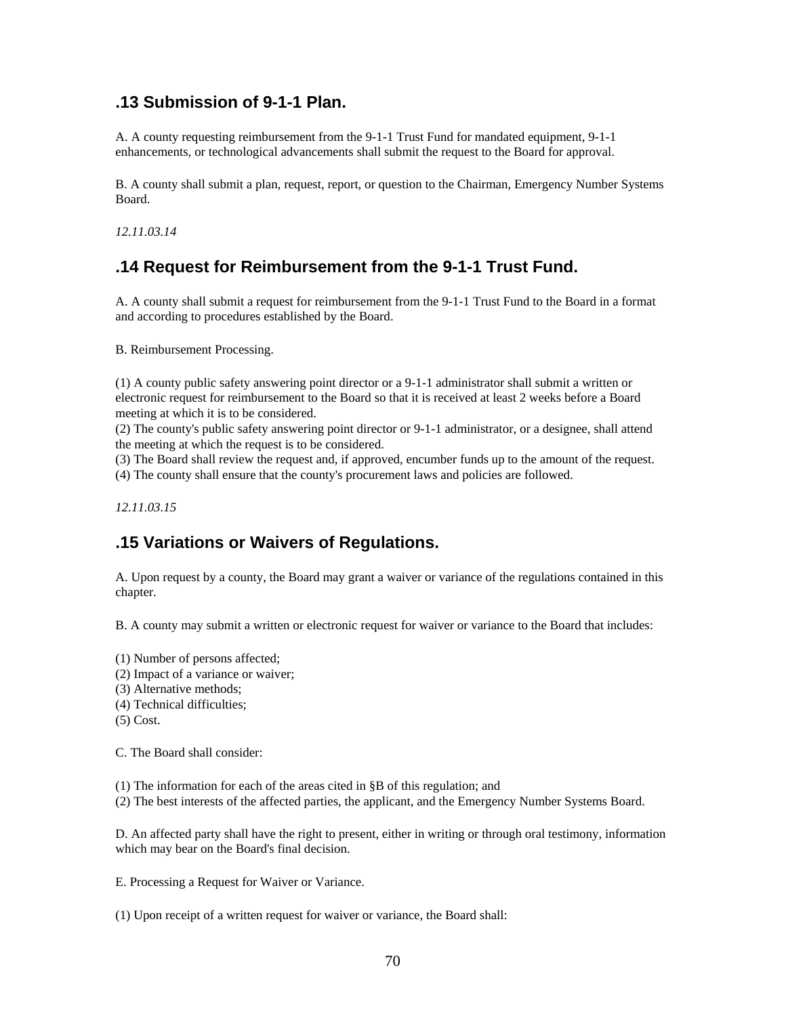### **.13 Submission of 9-1-1 Plan.**

A. A county requesting reimbursement from the 9-1-1 Trust Fund for mandated equipment, 9-1-1 enhancements, or technological advancements shall submit the request to the Board for approval.

B. A county shall submit a plan, request, report, or question to the Chairman, Emergency Number Systems Board.

*12.11.03.14* 

## **.14 Request for Reimbursement from the 9-1-1 Trust Fund.**

A. A county shall submit a request for reimbursement from the 9-1-1 Trust Fund to the Board in a format and according to procedures established by the Board.

B. Reimbursement Processing.

(1) A county public safety answering point director or a 9-1-1 administrator shall submit a written or electronic request for reimbursement to the Board so that it is received at least 2 weeks before a Board meeting at which it is to be considered.

(2) The county's public safety answering point director or 9-1-1 administrator, or a designee, shall attend the meeting at which the request is to be considered.

(3) The Board shall review the request and, if approved, encumber funds up to the amount of the request.

(4) The county shall ensure that the county's procurement laws and policies are followed.

*12.11.03.15* 

## **.15 Variations or Waivers of Regulations.**

A. Upon request by a county, the Board may grant a waiver or variance of the regulations contained in this chapter.

B. A county may submit a written or electronic request for waiver or variance to the Board that includes:

- (1) Number of persons affected;
- (2) Impact of a variance or waiver;
- (3) Alternative methods;
- (4) Technical difficulties;
- (5) Cost.

C. The Board shall consider:

(1) The information for each of the areas cited in §B of this regulation; and

(2) The best interests of the affected parties, the applicant, and the Emergency Number Systems Board.

D. An affected party shall have the right to present, either in writing or through oral testimony, information which may bear on the Board's final decision.

E. Processing a Request for Waiver or Variance.

(1) Upon receipt of a written request for waiver or variance, the Board shall: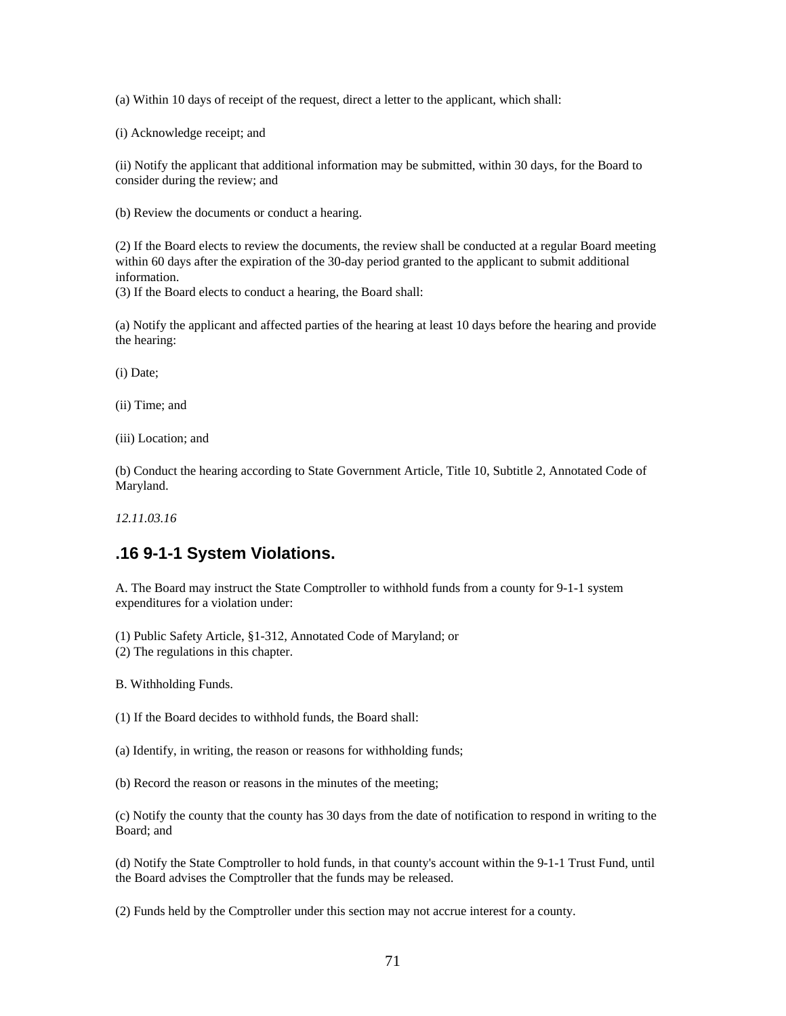(a) Within 10 days of receipt of the request, direct a letter to the applicant, which shall:

(i) Acknowledge receipt; and

(ii) Notify the applicant that additional information may be submitted, within 30 days, for the Board to consider during the review; and

(b) Review the documents or conduct a hearing.

(2) If the Board elects to review the documents, the review shall be conducted at a regular Board meeting within 60 days after the expiration of the 30-day period granted to the applicant to submit additional information.

(3) If the Board elects to conduct a hearing, the Board shall:

(a) Notify the applicant and affected parties of the hearing at least 10 days before the hearing and provide the hearing:

(i) Date;

(ii) Time; and

(iii) Location; and

(b) Conduct the hearing according to State Government Article, Title 10, Subtitle 2, Annotated Code of Maryland.

*12.11.03.16* 

## **.16 9-1-1 System Violations.**

A. The Board may instruct the State Comptroller to withhold funds from a county for 9-1-1 system expenditures for a violation under:

(1) Public Safety Article, §1-312, Annotated Code of Maryland; or

(2) The regulations in this chapter.

B. Withholding Funds.

(1) If the Board decides to withhold funds, the Board shall:

(a) Identify, in writing, the reason or reasons for withholding funds;

(b) Record the reason or reasons in the minutes of the meeting;

(c) Notify the county that the county has 30 days from the date of notification to respond in writing to the Board; and

(d) Notify the State Comptroller to hold funds, in that county's account within the 9-1-1 Trust Fund, until the Board advises the Comptroller that the funds may be released.

(2) Funds held by the Comptroller under this section may not accrue interest for a county.